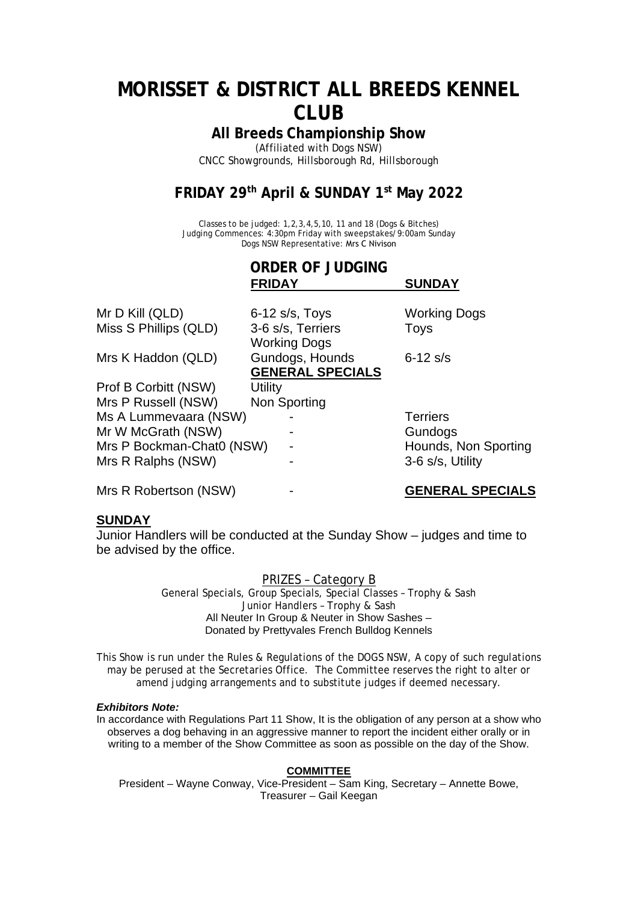# **MORISSET & DISTRICT ALL BREEDS KENNEL CLUB**

**All Breeds Championship Show**

(Affiliated with Dogs NSW) CNCC Showgrounds, Hillsborough Rd, Hillsborough

## **FRIDAY 29th April & SUNDAY 1 st May 2022**

Classes to be judged: 1,2,3,4,5,10, 11 and 18 (Dogs & Bitches) Judging Commences: 4:30pm Friday with sweepstakes/9:00am Sunday Dogs NSW Representative: Mrs C Nivison

**ORDER OF JUDGING**

|                           | <b>FRIDAY</b>                              | <b>SUNDAY</b>        |
|---------------------------|--------------------------------------------|----------------------|
| Mr D Kill (QLD)           | $6-12$ s/s, Toys                           | <b>Working Dogs</b>  |
| Miss S Phillips (QLD)     | 3-6 s/s, Terriers<br><b>Working Dogs</b>   | Toys                 |
| Mrs K Haddon (QLD)        | Gundogs, Hounds<br><b>GENERAL SPECIALS</b> | $6 - 12$ s/s         |
| Prof B Corbitt (NSW)      | <b>Utility</b>                             |                      |
| Mrs P Russell (NSW)       | Non Sporting                               |                      |
| Ms A Lummevaara (NSW)     |                                            | <b>Terriers</b>      |
| Mr W McGrath (NSW)        |                                            | Gundogs              |
| Mrs P Bockman-Chat0 (NSW) |                                            | Hounds, Non Sporting |
| Mrs R Ralphs (NSW)        |                                            | 3-6 s/s, Utility     |
|                           |                                            |                      |

Mrs R Robertson (NSW) - **GENERAL SPECIALS**

## **SUNDAY**

Junior Handlers will be conducted at the Sunday Show – judges and time to be advised by the office.

## PRIZES – Category B

General Specials, Group Specials, Special Classes – Trophy & Sash Junior Handlers – Trophy & Sash All Neuter In Group & Neuter in Show Sashes – Donated by Prettyvales French Bulldog Kennels

This Show is run under the Rules & Regulations of the DOGS NSW, A copy of such regulations may be perused at the Secretaries Office. The Committee reserves the right to alter or amend judging arrangements and to substitute judges if deemed necessary.

## *Exhibitors Note:*

In accordance with Regulations Part 11 Show, It is the obligation of any person at a show who observes a dog behaving in an aggressive manner to report the incident either orally or in writing to a member of the Show Committee as soon as possible on the day of the Show.

## **COMMITTEE**

President – Wayne Conway, Vice-President – Sam King, Secretary – Annette Bowe, Treasurer – Gail Keegan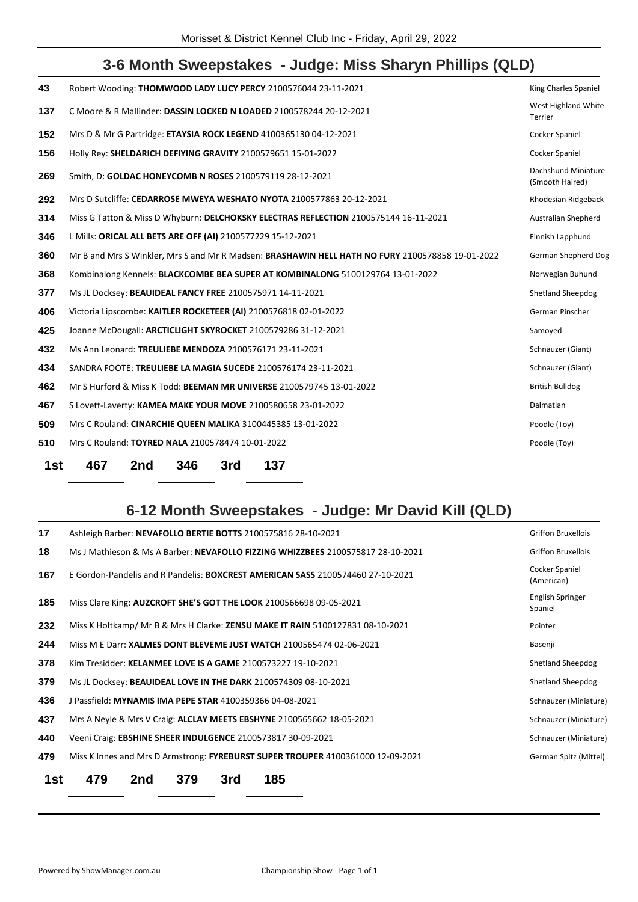## **3-6 Month Sweepstakes - Judge: Miss Sharyn Phillips (QLD)**

| 43  | Robert Wooding: THOMWOOD LADY LUCY PERCY 2100576044 23-11-2021                                   | King Charles Spaniel                   |
|-----|--------------------------------------------------------------------------------------------------|----------------------------------------|
| 137 | C Moore & R Mallinder: DASSIN LOCKED N LOADED 2100578244 20-12-2021                              | West Highland White<br>Terrier         |
| 152 | Mrs D & Mr G Partridge: ETAYSIA ROCK LEGEND 4100365130 04-12-2021                                | Cocker Spaniel                         |
| 156 | Holly Rey: SHELDARICH DEFIYING GRAVITY 2100579651 15-01-2022                                     | Cocker Spaniel                         |
| 269 | Smith, D: GOLDAC HONEYCOMB N ROSES 2100579119 28-12-2021                                         | Dachshund Miniature<br>(Smooth Haired) |
| 292 | Mrs D Sutcliffe: CEDARROSE MWEYA WESHATO NYOTA 2100577863 20-12-2021                             | Rhodesian Ridgeback                    |
| 314 | Miss G Tatton & Miss D Whyburn: DELCHOKSKY ELECTRAS REFLECTION 2100575144 16-11-2021             | Australian Shepherd                    |
| 346 | L Mills: ORICAL ALL BETS ARE OFF (AI) 2100577229 15-12-2021                                      | Finnish Lapphund                       |
| 360 | Mr B and Mrs S Winkler, Mrs S and Mr R Madsen: BRASHAWIN HELL HATH NO FURY 2100578858 19-01-2022 | German Shepherd Dog                    |
| 368 | Kombinalong Kennels: BLACKCOMBE BEA SUPER AT KOMBINALONG 5100129764 13-01-2022                   | Norwegian Buhund                       |
| 377 | Ms JL Docksey: BEAUIDEAL FANCY FREE 2100575971 14-11-2021                                        | <b>Shetland Sheepdog</b>               |
| 406 | Victoria Lipscombe: KAITLER ROCKETEER (AI) 2100576818 02-01-2022                                 | German Pinscher                        |
| 425 | Joanne McDougall: ARCTICLIGHT SKYROCKET 2100579286 31-12-2021                                    | Samoyed                                |
| 432 | Ms Ann Leonard: TREULIEBE MENDOZA 2100576171 23-11-2021                                          | Schnauzer (Giant)                      |
| 434 | SANDRA FOOTE: TREULIEBE LA MAGIA SUCEDE 2100576174 23-11-2021                                    | Schnauzer (Giant)                      |
| 462 | Mr S Hurford & Miss K Todd: BEEMAN MR UNIVERSE 2100579745 13-01-2022                             | <b>British Bulldog</b>                 |
| 467 | S Lovett-Laverty: KAMEA MAKE YOUR MOVE 2100580658 23-01-2022                                     | Dalmatian                              |
| 509 | Mrs C Rouland: CINARCHIE QUEEN MALIKA 3100445385 13-01-2022                                      | Poodle (Toy)                           |
| 510 | Mrs C Rouland: TOYRED NALA 2100578474 10-01-2022                                                 | Poodle (Toy)                           |
| 1st | 467<br>137<br>2nd<br>346<br>3rd                                                                  |                                        |

## **6-12 Month Sweepstakes - Judge: Mr David Kill (QLD)**

| 1st | 185<br>479<br>379<br>3rd<br>2nd                                                       |                              |
|-----|---------------------------------------------------------------------------------------|------------------------------|
| 479 | Miss K Innes and Mrs D Armstrong: FYREBURST SUPER TROUPER 4100361000 12-09-2021       | German Spitz (Mittel)        |
| 440 | Veeni Craig: EBSHINE SHEER INDULGENCE 2100573817 30-09-2021                           | Schnauzer (Miniature)        |
| 437 | Mrs A Neyle & Mrs V Craig: ALCLAY MEETS EBSHYNE 2100565662 18-05-2021                 | Schnauzer (Miniature)        |
| 436 | J Passfield: MYNAMIS IMA PEPE STAR 4100359366 04-08-2021                              | Schnauzer (Miniature)        |
| 379 | Ms JL Docksey: BEAUIDEAL LOVE IN THE DARK 2100574309 08-10-2021                       | Shetland Sheepdog            |
| 378 | Kim Tresidder: KELANMEE LOVE IS A GAME 2100573227 19-10-2021                          | Shetland Sheepdog            |
| 244 | Miss M E Darr: <b>XALMES DONT BLEVEME JUST WATCH</b> 2100565474 02-06-2021            | Basenji                      |
| 232 | Miss K Holtkamp/ Mr B & Mrs H Clarke: ZENSU MAKE IT RAIN 5100127831 08-10-2021        | Pointer                      |
| 185 | Miss Clare King: AUZCROFT SHE'S GOT THE LOOK 2100566698 09-05-2021                    | English Springer<br>Spaniel  |
| 167 | E Gordon-Pandelis and R Pandelis: <b>BOXCREST AMERICAN SASS</b> 2100574460 27-10-2021 | Cocker Spaniel<br>(American) |
| 18  | Ms J Mathieson & Ms A Barber: NEVAFOLLO FIZZING WHIZZBEES 2100575817 28-10-2021       | <b>Griffon Bruxellois</b>    |
| 17  | Ashleigh Barber: NEVAFOLLO BERTIE BOTTS 2100575816 28-10-2021                         | <b>Griffon Bruxellois</b>    |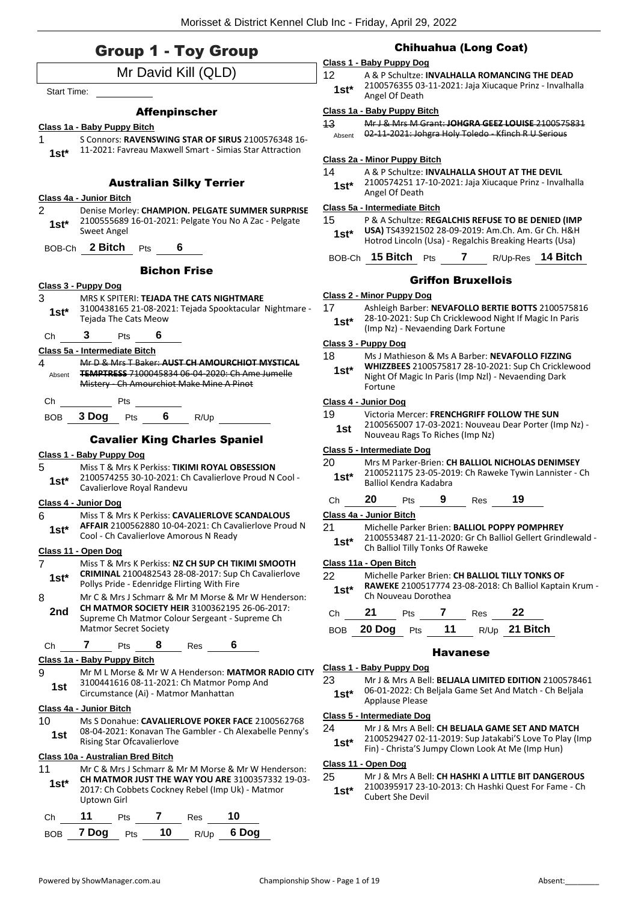|                    | <b>Group 1 - Toy Group</b>                                                                                                                                |
|--------------------|-----------------------------------------------------------------------------------------------------------------------------------------------------------|
|                    | Mr David Kill (QLD)                                                                                                                                       |
| <b>Start Time:</b> |                                                                                                                                                           |
|                    |                                                                                                                                                           |
|                    | <b>Affenpinscher</b>                                                                                                                                      |
|                    | Class 1a - Baby Puppy Bitch<br>S Connors: RAVENSWING STAR OF SIRUS 2100576348 16-                                                                         |
| $1st^*$            | 11-2021: Favreau Maxwell Smart - Simias Star Attraction                                                                                                   |
|                    | <b>Australian Silky Terrier</b>                                                                                                                           |
|                    | Class 4a - Junior Bitch                                                                                                                                   |
| 2<br>$1st^*$       | Denise Morley: CHAMPION. PELGATE SUMMER SURPRISE<br>2100555689 16-01-2021: Pelgate You No A Zac - Pelgate<br>Sweet Angel                                  |
|                    | BOB-Ch 2 Bitch<br>6<br>Pts                                                                                                                                |
|                    | <b>Bichon Frise</b>                                                                                                                                       |
|                    | Class 3 - Puppy Dog                                                                                                                                       |
| 3                  | MRS K SPITERI: TEJADA THE CATS NIGHTMARE                                                                                                                  |
| 1st*               | 3100438165 21-08-2021: Tejada Spooktacular Nightmare -<br>Tejada The Cats Meow                                                                            |
| Ch                 | 3 Pts<br>6                                                                                                                                                |
|                    | Class 5a - Intermediate Bitch                                                                                                                             |
| 4<br>Absent        | Mr D & Mrs T Baker: AUST CH AMOURCHIOT MYSTICAL<br><b>TEMPTRESS 7100045834 06-04-2020: Ch Ame Jumelle</b>                                                 |
|                    | Mistery - Ch Amourchiot Make Mine A Pinot                                                                                                                 |
|                    | Ch Pts                                                                                                                                                    |
|                    | BOB 3 Dog Pts 6 R/Up                                                                                                                                      |
|                    | <b>Cavalier King Charles Spaniel</b>                                                                                                                      |
|                    | Class 1 - Baby Puppy Dog                                                                                                                                  |
| 5                  | Miss T & Mrs K Perkiss: TIKIMI ROYAL OBSESSION                                                                                                            |
| 1st*               | 2100574255 30-10-2021: Ch Cavalierlove Proud N Cool -<br>Cavalierlove Royal Randevu                                                                       |
|                    | Class 4 - Junior Dog                                                                                                                                      |
| 6<br>1st*          | Miss T & Mrs K Perkiss: CAVALIERLOVE SCANDALOUS<br><b>AFFAIR</b> 2100562880 10-04-2021: Ch Cavalierlove Proud N<br>Cool - Ch Cavalierlove Amorous N Ready |
|                    | <u> Class 11 - Open Dog</u>                                                                                                                               |
| 7<br>1st*          | Miss T & Mrs K Perkiss: NZ CH SUP CH TIKIMI SMOOTH<br>CRIMINAL 2100482543 28-08-2017: Sup Ch Cavalierlove<br>Pollys Pride - Edenridge Flirting With Fire  |
| 8                  | Mr C & Mrs J Schmarr & Mr M Morse & Mr W Henderson:                                                                                                       |
| 2nd                | <b>CH MATMOR SOCIETY HEIR 3100362195 26-06-2017:</b><br>Supreme Ch Matmor Colour Sergeant - Supreme Ch<br><b>Matmor Secret Society</b>                    |
| Ch                 | 7<br>8.<br>6<br>Res<br>Pts                                                                                                                                |
|                    | Class 1a - Baby Puppy Bitch                                                                                                                               |
| 9                  | Mr M L Morse & Mr W A Henderson: MATMOR RADIO CITY                                                                                                        |
| 1st                | 3100441616 08-11-2021: Ch Matmor Pomp And<br>Circumstance (Ai) - Matmor Manhattan                                                                         |
|                    | Class 4a - Junior Bitch                                                                                                                                   |
| 10<br>1st.         | Ms S Donahue: CAVALIERLOVE POKER FACE 2100562768<br>08-04-2021: Konavan The Gambler - Ch Alexabelle Penny's<br>Rising Star Ofcavalierlove                 |
|                    | <b>Class 10a - Australian Bred Bitch</b>                                                                                                                  |
| 11                 | Mr C & Mrs J Schmarr & Mr M Morse & Mr W Henderson:                                                                                                       |

## Chihuahua (Long Coat)

### **Class 1 - Baby Puppy Dog**

12 A & P Schultze: **INVALHALLA ROMANCING THE DEAD** 2100576355 03-11-2021: Jaja Xiucaque Prinz - Invalhalla Angel Of Death **1st\***

#### **Class 1a - Baby Puppy Bitch**

| 13     | Mr J & Mrs M Grant: JOHGRA GEEZ LOUISE 2100575831   |
|--------|-----------------------------------------------------|
| Absent | 02-11-2021: Johgra Holy Toledo - Kfinch R U Serious |

**Class 2a - Minor Puppy Bitch**

| 14     | A & P Schultze: INVALHALLA SHOUT AT THE DEVIL           |
|--------|---------------------------------------------------------|
| $1st*$ | 2100574251 17-10-2021: Jaja Xiucaque Prinz - Invalhalla |
|        | Angel Of Death                                          |

#### **Class 5a - Intermediate Bitch**

15 P & A Schultze: **REGALCHIS REFUSE TO BE DENIED (IMP USA)** TS43921502 28-09-2019: Am.Ch. Am. Gr Ch. H&H Hotrod Lincoln (Usa) - Regalchis Breaking Hearts (Usa) **1st\***

```
BOB-Ch 15 Bitch Pts 7 R/Up-Res 14 Bitch
```
## Griffon Bruxellois

#### **Class 2 - Minor Puppy Dog**

- 17 Ashleigh Barber: **NEVAFOLLO BERTIE BOTTS** 2100575816
- 28-10-2021: Sup Ch Cricklewood Night If Magic In Paris
- (Imp Nz) Nevaending Dark Fortune **1st\***

## **Class 3 - Puppy Dog**

- 18 Ms J Mathieson & Ms A Barber: **NEVAFOLLO FIZZING** 
	- **WHIZZBEES** 2100575817 28-10-2021: Sup Ch Cricklewood Night Of Magic In Paris (Imp Nzl) - Nevaending Dark Fortune **1st\***

#### **Class 4 - Junior Dog**

19 Victoria Mercer: **FRENCHGRIFF FOLLOW THE SUN**

| 1st | 2100565007 17-03-2021: Nouveau Dear Porter (Imp Nz) - |
|-----|-------------------------------------------------------|
|     | Nouveau Rags To Riches (Imp Nz)                       |

#### **Class 5 - Intermediate Dog**

20 Mrs M Parker-Brien: **CH BALLIOL NICHOLAS DENIMSEY** 2100521175 23-05-2019: Ch Raweke Tywin Lannister - Ch Balliol Kendra Kadabra **1st\***

#### Ch **20** Pts **9** Res **19**

#### **Class 4a - Junior Bitch**

- 21 Michelle Parker Brien: **BALLIOL POPPY POMPHREY**
- 2100553487 21-11-2020: Gr Ch Balliol Gellert Grindlewald **1st** 2100553487 21-11-2020: Gr Ch Balliol Tilly Tonks Of Raweke

## **Class 11a - Open Bitch**

- 22 Michelle Parker Brien: **CH BALLIOL TILLY TONKS OF** 
	- **RAWEKE** 2100517774 23-08-2018: Ch Balliol Kaptain Krum 1st\* **RAWEKE** 2100517774

| $Ch$ 21 | <b>Pts</b> | <b>Res</b> | 22                              |
|---------|------------|------------|---------------------------------|
|         |            |            | BOB 20 Dog Pts 11 R/Up 21 Bitch |

#### Havanese

#### **Class 1 - Baby Puppy Dog**

23 Mr J & Mrs A Bell: **BELJALA LIMITED EDITION** 2100578461 06-01-2022: Ch Beljala Game Set And Match - Ch Beljala Applause Please **1st\***

## **Class 5 - Intermediate Dog**

| 24 | Mr J & Mrs A Bell: CH BELIALA GAME SET AND MATCH       |
|----|--------------------------------------------------------|
|    | 2100529427.02-11-2019; Sun Iatakahi'S Love To Play (Im |

9: Sup Jatakabi'S Love To Play (Imp Fin) - Christa'S Jumpy Clown Look At Me (Imp Hun) **1st\***

#### **Class 11 - Open Dog**

25 Mr J & Mrs A Bell: **CH HASHKI A LITTLE BIT DANGEROUS**

2100395917 23-10-2013: Ch Hashki Quest For Fame - Ch 1st<sup>\*</sup> <sup>2100395917</sup><br>Cubert She Devil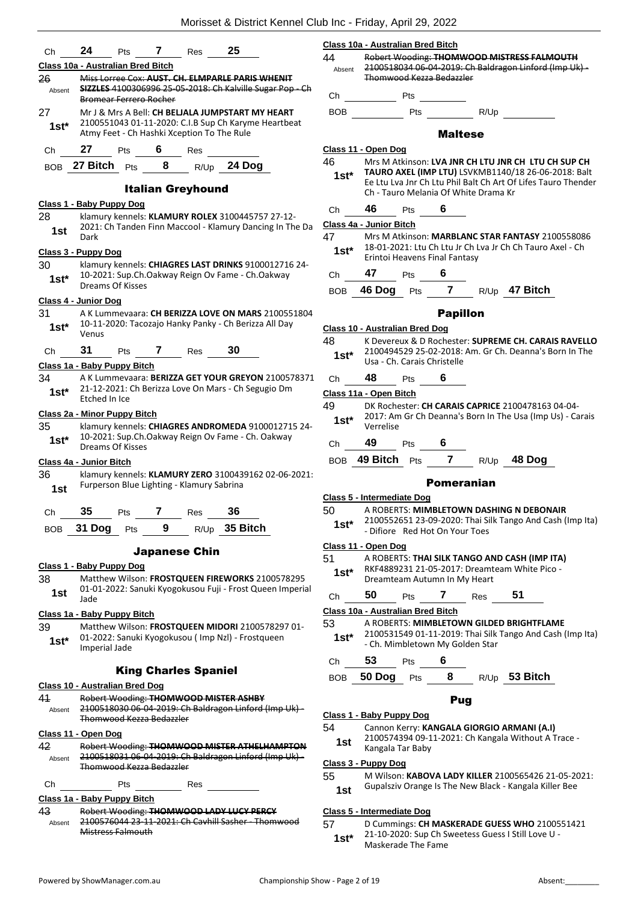| Ch            | 24<br>25<br>7<br>Pts<br>Res                                                                                  |              | Class 10a - Australian Bred Bitch                        |
|---------------|--------------------------------------------------------------------------------------------------------------|--------------|----------------------------------------------------------|
|               | Class 10a - Australian Bred Bitch                                                                            | 44<br>Absent | <b>Robert Wooding: THOM</b><br>2100518034 06-04-2019     |
| 26            | Miss Lorree Cox: AUST. CH. ELMPARLE PARIS WHENIT                                                             |              | <b>Thomwood Kezza Bedaz</b>                              |
| Absent        | SIZZLES 4100306996 25-05-2018: Ch Kalville Sugar Pop - Ch<br>Bromear Ferrero Rocher                          | Ch           | Pts                                                      |
| 27            | Mr J & Mrs A Bell: CH BELJALA JUMPSTART MY HEART<br>2100551043 01-11-2020: C.I.B Sup Ch Karyme Heartbeat     | BOB          | Pts                                                      |
| $1st^*$       | Atmy Feet - Ch Hashki Xception To The Rule                                                                   |              | Mal                                                      |
| Ch            | 6 Res<br>27<br><b>Pts</b>                                                                                    |              | Class 11 - Open Dog                                      |
|               | BOB 27 Bitch Pts 8 R/Up 24 Dog                                                                               | 46           | Mrs M Atkinson: LVA JN<br><b>TAURO AXEL (IMP LTU)</b>    |
|               | <b>Italian Greyhound</b>                                                                                     | $1st*$       | Ee Ltu Lva Jnr Ch Ltu Phi<br>Ch - Tauro Melania Of W     |
|               | Class 1 - Baby Puppy Dog                                                                                     | Ch           | 46<br>6<br>Pts                                           |
| 28<br>1st     | klamury kennels: KLAMURY ROLEX 3100445757 27-12-<br>2021: Ch Tanden Finn Maccool - Klamury Dancing In The Da |              | Class 4a - Junior Bitch                                  |
|               | Dark                                                                                                         | 47           | Mrs M Atkinson: MARBI                                    |
|               | Class 3 - Puppy Dog                                                                                          | $1st^*$      | 18-01-2021: Ltu Ch Ltu J<br>Erintoi Heavens Final Fa     |
| 30<br>$1st*$  | klamury kennels: CHIAGRES LAST DRINKS 9100012716 24-<br>10-2021: Sup.Ch.Oakway Reign Ov Fame - Ch.Oakway     | Ch           | 47<br>6<br>Pts                                           |
|               | Dreams Of Kisses                                                                                             | BOB          | $\overline{7}$<br>46 Dog<br>Pts                          |
|               | Class 4 - Junior Dog                                                                                         |              |                                                          |
| 31<br>$1st^*$ | A K Lummevaara: CH BERIZZA LOVE ON MARS 2100551804<br>10-11-2020: Tacozajo Hanky Panky - Ch Berizza All Day  |              | Pap                                                      |
|               | Venus                                                                                                        | 48           | Class 10 - Australian Bred Dog<br>K Devereux & D Rochest |
| Ch            | 31<br>30<br>Pts 7 Res                                                                                        | $1st^*$      | 2100494529 25-02-2018                                    |
|               | Class 1a - Baby Puppy Bitch                                                                                  |              | Usa - Ch. Carais Christell                               |
| 34            | A K Lummevaara: BERIZZA GET YOUR GREYON 2100578371                                                           | Ch           | 48<br>6<br>Pts                                           |
| $1st*$        | 21-12-2021: Ch Berizza Love On Mars - Ch Segugio Dm<br>Etched In Ice                                         |              | Class 11a - Open Bitch                                   |
|               | Class 2a - Minor Puppy Bitch                                                                                 | 49           | DK Rochester: CH CARA<br>2017: Am Gr Ch Deanna           |
| 35            | klamury kennels: CHIAGRES ANDROMEDA 9100012715 24-                                                           | $1st*$       | Verrelise                                                |
| 1st*          | 10-2021: Sup.Ch.Oakway Reign Ov Fame - Ch. Oakway<br>Dreams Of Kisses                                        | Ch           | 49<br>- 6<br><b>Pts</b>                                  |
|               | Class 4a - Junior Bitch                                                                                      |              | BOB 49 Bitch Pts<br>$\mathbf{7}$                         |
| 36            | klamury kennels: KLAMURY ZERO 3100439162 02-06-2021:<br>Furperson Blue Lighting - Klamury Sabrina            |              | Pome                                                     |
| 1st           |                                                                                                              |              | Class 5 - Intermediate Dog                               |
| Ch            | 35<br>36<br>7<br>Pts<br>Res                                                                                  | 50           | A ROBERTS: MIMBLETO                                      |
| <b>BOB</b>    | R/Up 35 Bitch<br>31 Dog<br>9<br>Pts                                                                          | $1st^*$      | 2100552651 23-09-2020<br>- Difiore Red Hot On Yo         |
|               | <b>Japanese Chin</b>                                                                                         |              | Class 11 - Open Dog                                      |
|               | Class 1 - Baby Puppy Dog                                                                                     | 51           | A ROBERTS: THAI SILK T.                                  |
| 38            | Matthew Wilson: FROSTQUEEN FIREWORKS 2100578295                                                              | 1st*         | RKF4889231 21-05-2017<br>Dreamteam Autumn In I           |
| 1st           | 01-01-2022: Sanuki Kyogokusou Fuji - Frost Queen Imperial<br>Jade                                            | Ch           | 50<br>7<br>Pts                                           |
|               | Class 1a - Baby Puppy Bitch                                                                                  |              | Class 10a - Australian Bred Bitch                        |
| 39            | Matthew Wilson: FROSTQUEEN MIDORI 2100578297 01-                                                             | 53           | A ROBERTS: MIMBLETO                                      |
| $1st^*$       | 01-2022: Sanuki Kyogokusou (Imp Nzl) - Frostqueen<br>Imperial Jade                                           | $1st^*$      | 2100531549 01-11-2019<br>- Ch. Mimbletown My G           |
|               | <b>King Charles Spaniel</b>                                                                                  | Ch           | 53<br>6<br>Pts                                           |
|               | <b>Class 10 - Australian Bred Dog</b>                                                                        | BOB          | 50 Dog<br>8<br>Pts                                       |
| 41            | Robert Wooding: THOMWOOD MISTER ASHBY                                                                        |              | Р                                                        |
| Absent        | 2100518030 06 04 2019: Ch Baldragon Linford (Imp Uk)<br>Thomwood Kezza Bedazzler                             |              | Class 1 - Baby Puppy Dog                                 |
|               | Class 11 - Open Dog                                                                                          | 54           | Cannon Kerry: KANGALA                                    |
| 42            | Robert Wooding: THOMWOOD MISTER ATHELHAMPTON                                                                 | 1st          | 2100574394 09-11-2021<br>Kangala Tar Baby                |
| Absent        | 2100518031 06-04-2019: Ch Baldragon Linford (Imp Uk) -                                                       |              | Class 3 - Puppy Dog                                      |
|               | <b>Thomwood Kezza Bedazzler</b>                                                                              | 55           | M Wilson: KABOVA LAD                                     |
| Ch            | Pts<br>Res                                                                                                   | 1st          | Gupalsziv Orange Is The                                  |

#### **Class 1a - Baby Puppy Bitch**

#### 43 Robert Wooding: **THOMWOOD LADY LUCY PERCY**

2100576044 23-11-2021: Ch Cavhill Sasher - Thomwood Mistress Falmouth Absent

| 44<br>Absent | Robert Wooding: THOMWOOD MISTRESS FALMOUTH<br>2100518034 06-04-2019: Ch Baldragon Linford (Imp Uk) -<br>Thomwood Kezza Bedazzler |
|--------------|----------------------------------------------------------------------------------------------------------------------------------|
| Ch           | Pts                                                                                                                              |
| <b>BOB</b>   | R/Up<br>Pts                                                                                                                      |
|              | <b>Maltese</b>                                                                                                                   |
|              | Class 11 - Open Dog                                                                                                              |
| 46           | Mrs M Atkinson: LVA JNR CH LTU JNR CH LTU CH SUP CH                                                                              |
| $1st^*$      | TAURO AXEL (IMP LTU) LSVKMB1140/18 26-06-2018: Balt                                                                              |
|              | Ee Ltu Lya Jnr Ch Ltu Phil Balt Ch Art Of Lifes Tauro Thender<br>Ch - Tauro Melania Of White Drama Kr                            |
| Ch           | 46<br>6<br>Pts                                                                                                                   |
|              | Class 4a - Junior Bitch                                                                                                          |
| 47 —         | Mrs M Atkinson: MARBLANC STAR FANTASY 2100558086                                                                                 |
| 1st*         | 18-01-2021: Ltu Ch Ltu Jr Ch Lva Jr Ch Ch Tauro Axel - Ch<br>Erintoi Heavens Final Fantasy                                       |
| Ch           | 47 Pts 6                                                                                                                         |
|              | BOB 46 Dog Pts 7 R/Up 47 Bitch                                                                                                   |
|              | <b>Papillon</b>                                                                                                                  |
|              | Class 10 - Australian Bred Dog                                                                                                   |
| 48           | K Devereux & D Rochester: SUPREME CH. CARAIS RAVELLO                                                                             |
| $1st^*$      | 2100494529 25-02-2018: Am. Gr Ch. Deanna's Born In The<br>Usa - Ch. Carais Christelle                                            |
| Ch           | 48<br>6<br>Pts                                                                                                                   |
|              | Class 11a - Open Bitch                                                                                                           |
| 49 —         | DK Rochester: CH CARAIS CAPRICE 2100478163 04-04-                                                                                |
| $1c+$        | 2017: Am Gr Ch Deanna's Born In The Usa (Imp Us) - Carais                                                                        |

- Verrelise **1st\***
- Ch **49** Pts **6**
- BOB **49 Bitch** Pts **7** R/Up **48 Dog**

#### Pomeranian

#### **Class 5 - Intermediate Dog**

50 A ROBERTS: **MIMBLETOWN DASHING N DEBONAIR**

2100552651 23-09-2020: Thai Silk Tango And Cash (Imp Ita) - Difiore Red Hot On Your Toes **1st\***

#### **Class 11 - Open Dog**

- 51 A ROBERTS: **THAI SILK TANGO AND CASH (IMP ITA)**
- RKF4889231 21-05-2017: Dreamteam White Pico **1st**\* RKF4889231 21-05-2017: Dreamteam Autumn In My Heart

|  | 50 | เร |  | ĸes<br>__ |  |
|--|----|----|--|-----------|--|
|--|----|----|--|-----------|--|

#### **Class 10a - Australian Bred Bitch**

- 53 A ROBERTS: **MIMBLETOWN GILDED BRIGHTFLAME** 2100531549 01-11-2019: Thai Silk Tango And Cash (Imp Ita) **1st** <sup>2100531549 01-11-2019: Thai Silk<br>Ch. Mimbletown My Golden Star</sup>
- Ch **53** Pts **6**

BOB **50 Dog** Pts **8** R/Up **53 Bitch**

#### Pug

#### **Class 1 - Baby Puppy Dog**

- 54 Cannon Kerry: **KANGALA GIORGIO ARMANI (A.I)**
- 2100574394 09-11-2021: Ch Kangala Without A Trace **1st** <sup>21005</sup>/4394 09-1<br>Kangala Tar Baby

#### **Class 3 - Puppy Dog**

#### 55 M Wilson: **KABOVA LADY KILLER** 2100565426 21-05-2021:

1st Gupalsziv Orange Is The New Black - Kangala Killer Bee

#### **Class 5 - Intermediate Dog**

57 D Cummings: **CH MASKERADE GUESS WHO** 2100551421 21-10-2020: Sup Ch Sweetess Guess I Still Love U - Maskerade The Fame **1st\***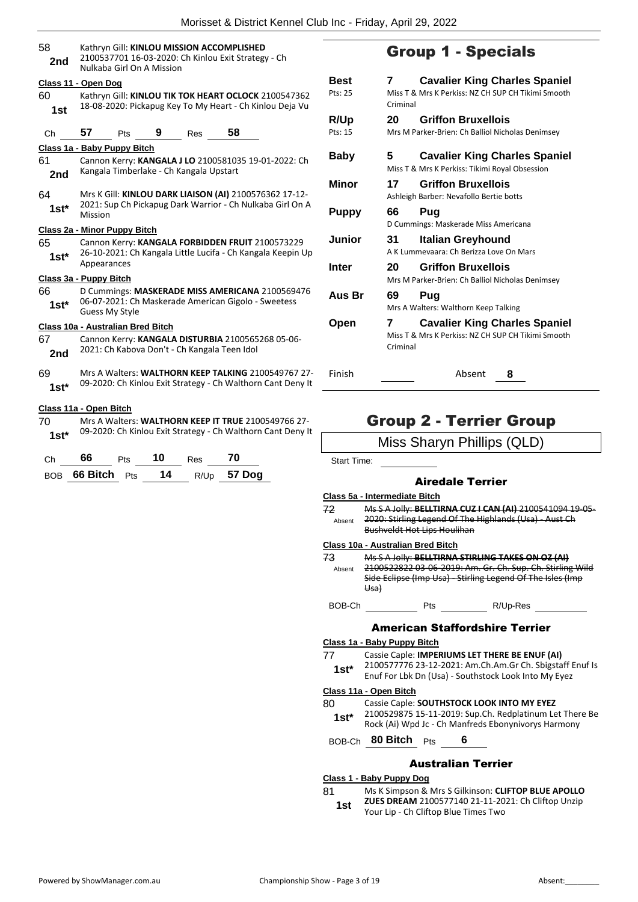| 58<br>2nd     | Kathryn Gill: KINLOU MISSION ACCOMPLISHED<br>2100537701 16-03-2020: Ch Kinlou Exit Strategy - Ch<br>Nulkaba Girl On A Mission           |  |  |  |  |  |  |
|---------------|-----------------------------------------------------------------------------------------------------------------------------------------|--|--|--|--|--|--|
| 60<br>1st     | Class 11 - Open Dog<br>Kathryn Gill: KINLOU TIK TOK HEART OCLOCK 2100547362<br>18-08-2020: Pickapug Key To My Heart - Ch Kinlou Deja Vu |  |  |  |  |  |  |
| Ch            | 57<br>58<br>9<br>Pts<br>Res                                                                                                             |  |  |  |  |  |  |
|               | Class 1a - Baby Puppy Bitch                                                                                                             |  |  |  |  |  |  |
| 61<br>2nd     | Cannon Kerry: KANGALA J LO 2100581035 19-01-2022: Ch<br>Kangala Timberlake - Ch Kangala Upstart                                         |  |  |  |  |  |  |
| 64<br>$1st^*$ | Mrs K Gill: KINLOU DARK LIAISON (AI) 2100576362 17-12-<br>2021: Sup Ch Pickapug Dark Warrior - Ch Nulkaba Girl On A<br>Mission          |  |  |  |  |  |  |
|               | Class 2a - Minor Puppy Bitch                                                                                                            |  |  |  |  |  |  |
| 65<br>$1st^*$ | Cannon Kerry: KANGALA FORBIDDEN FRUIT 2100573229<br>26-10-2021: Ch Kangala Little Lucifa - Ch Kangala Keepin Up<br>Appearances          |  |  |  |  |  |  |
|               | Class 3a - Puppy Bitch                                                                                                                  |  |  |  |  |  |  |
| 66<br>$1st^*$ | D Cummings: MASKERADE MISS AMERICANA 2100569476<br>06-07-2021: Ch Maskerade American Gigolo - Sweetess<br>Guess My Style                |  |  |  |  |  |  |
|               | Class 10a - Australian Bred Bitch                                                                                                       |  |  |  |  |  |  |
| 67<br>2nd     | Cannon Kerry: KANGALA DISTURBIA 2100565268 05-06-<br>2021: Ch Kabova Don't - Ch Kangala Teen Idol                                       |  |  |  |  |  |  |
| 69<br>$1st*$  | Mrs A Walters: WALTHORN KEEP TALKING 2100549767 27-<br>09-2020: Ch Kinlou Exit Strategy - Ch Walthorn Cant Deny It                      |  |  |  |  |  |  |
|               |                                                                                                                                         |  |  |  |  |  |  |

#### **Class 11a - Open Bitch**

70 Mrs A Walters: **WALTHORN KEEP IT TRUE** 2100549766 27- 09-2020: Ch Kinlou Exit Strategy - Ch Walthorn Cant Deny It **1st\***

| Ch. | 66 -                  | <b>Pts</b> | 10 | Res | 70            |
|-----|-----------------------|------------|----|-----|---------------|
|     | BOB 66 Bitch $Pts$ 14 |            |    |     | $R/Up$ 57 Dog |

# Group 1 - Specials

| <b>Best</b><br>Pts: 25 | 7<br>Criminal | <b>Cavalier King Charles Spaniel</b><br>Miss T & Mrs K Perkiss: NZ CH SUP CH Tikimi Smooth |
|------------------------|---------------|--------------------------------------------------------------------------------------------|
| R/Up                   | 20            | <b>Griffon Bruxellois</b>                                                                  |
| Pts: 15                |               | Mrs M Parker-Brien: Ch Balliol Nicholas Denimsey                                           |
| Baby                   | 5.            | <b>Cavalier King Charles Spaniel</b><br>Miss T & Mrs K Perkiss: Tikimi Royal Obsession     |
| Minor                  | 17            | <b>Griffon Bruxellois</b><br>Ashleigh Barber: Nevafollo Bertie botts                       |
| Puppy                  | 66            | Pug<br>D Cummings: Maskerade Miss Americana                                                |
| Junior                 | 31            | Italian Greyhound<br>A K Lummevaara: Ch Berizza Love On Mars                               |
| Inter                  | 20.           | <b>Griffon Bruxellois</b><br>Mrs M Parker-Brien: Ch Balliol Nicholas Denimsey              |
| Aus Br                 | 69            | Pug<br>Mrs A Walters: Walthorn Keep Talking                                                |
| Open                   | 7<br>Criminal | <b>Cavalier King Charles Spaniel</b><br>Miss T & Mrs K Perkiss: NZ CH SUP CH Tikimi Smooth |
| Finish                 |               | Absent<br>8                                                                                |

## Group 2 - Terrier Group

## Miss Sharyn Phillips (QLD)

Start Time:

## Airedale Terrier

#### **Class 5a - Intermediate Bitch**

| 72     | Ms S A Jolly: BELLTIRNA CUZ I CAN (AI) 2100541094 19 05 |
|--------|---------------------------------------------------------|
| Absent | 2020: Stirling Legend Of The Highlands (Usa) - Aust Ch  |
|        | <b>Bushveldt Hot Lips Houlihan</b>                      |

#### **Class 10a - Australian Bred Bitch**

| 73     | Ms S A Jolly: BELLTIRNA STIRLING TAKES ON OZ (AI)          |
|--------|------------------------------------------------------------|
| Absent | 2100522822 03-06-2019: Am. Gr. Ch. Sup. Ch. Stirling Wild  |
|        | Side Eclipse (Imp Usa) - Stirling Legend Of The Isles (Imp |
|        | <del>Usa</del> )                                           |

BOB-Ch Pts R/Up-Res

#### American Staffordshire Terrier

### **Class 1a - Baby Puppy Bitch**

| -77    | Cassie Caple: IMPERIUMS LET THERE BE ENUF (AI)           |
|--------|----------------------------------------------------------|
| $1st*$ | 2100577776 23-12-2021: Am.Ch.Am.Gr Ch. Sbigstaff Enuf Is |
|        | Enuf For Lbk Dn (Usa) - Southstock Look Into My Eyez     |

## **Class 11a - Open Bitch**

- 80 Cassie Caple: **SOUTHSTOCK LOOK INTO MY EYEZ**
	- 2100529875 15-11-2019: Sup.Ch. Redplatinum Let There Be Rock (Ai) Wpd Jc - Ch Manfreds Ebonynivorys Harmony **1st\***

BOB-Ch **80 Bitch** Pts **6**

## Australian Terrier

## **Class 1 - Baby Puppy Dog**

- 81 Ms K Simpson & Mrs S Gilkinson: **CLIFTOP BLUE APOLLO** 
	- **ZUES DREAM** 2100577140 21-11-2021: Ch Cliftop Unzip **1st ZULS DREAM** 2100577140 21-11-20<br>Your Lip - Ch Cliftop Blue Times Two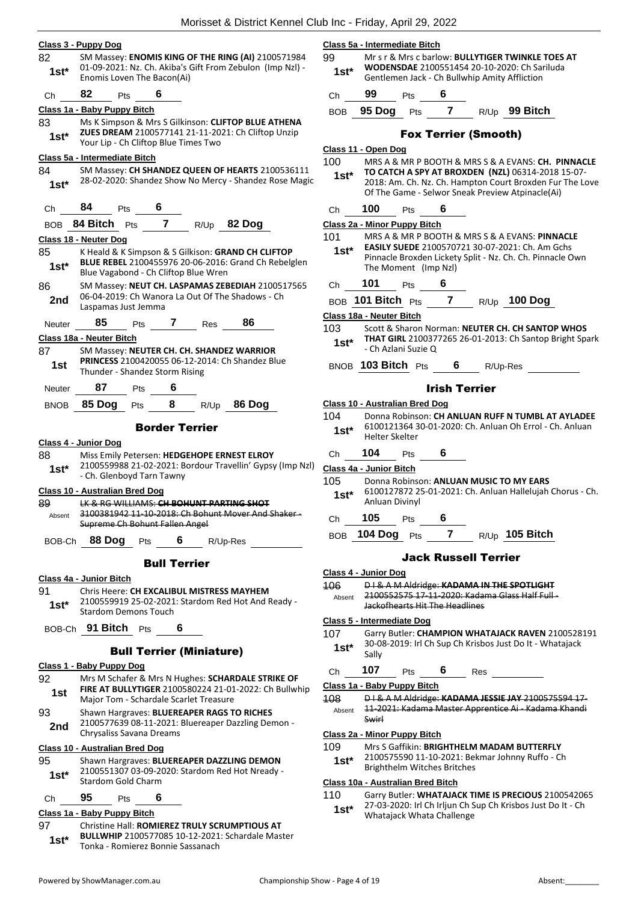|              | Class 3 - Puppy Dog                       |     |                                 |              |                                                                                                            |               | Class 5a - Intermediate Bitch     |     |                                |     |                                                                                                                                                            |  |
|--------------|-------------------------------------------|-----|---------------------------------|--------------|------------------------------------------------------------------------------------------------------------|---------------|-----------------------------------|-----|--------------------------------|-----|------------------------------------------------------------------------------------------------------------------------------------------------------------|--|
| 82           |                                           |     |                                 |              | SM Massey: ENOMIS KING OF THE RING (AI) 2100571984                                                         | 99            |                                   |     |                                |     | Mr s r & Mrs c barlow: BULLYTIGER TWINKLE TOES AT                                                                                                          |  |
| $1st*$       | Enomis Loven The Bacon(Ai)                |     |                                 |              | 01-09-2021: Nz. Ch. Akiba's Gift From Zebulon (Imp Nzl) -                                                  | $1st*$        |                                   |     |                                |     | WODENSDAE 2100551454 20-10-2020: Ch Sariluda<br>Gentlemen Jack - Ch Bullwhip Amity Affliction                                                              |  |
| Ch           | 82<br>Pts                                 |     | 6                               |              |                                                                                                            | Ch            | 99                                | Pts | 6                              |     |                                                                                                                                                            |  |
|              | Class 1a - Baby Puppy Bitch               |     |                                 |              |                                                                                                            |               | BOB 95 Dog                        | Pts | $\overline{7}$                 |     | R/Up 99 Bitch                                                                                                                                              |  |
| 83           |                                           |     |                                 |              | Ms K Simpson & Mrs S Gilkinson: CLIFTOP BLUE ATHENA                                                        |               |                                   |     |                                |     |                                                                                                                                                            |  |
| $1st*$       | Your Lip - Ch Cliftop Blue Times Two      |     |                                 |              | ZUES DREAM 2100577141 21-11-2021: Ch Cliftop Unzip                                                         |               |                                   |     | <b>Fox Terrier (Smooth)</b>    |     |                                                                                                                                                            |  |
|              |                                           |     |                                 |              |                                                                                                            |               | Class 11 - Open Dog               |     |                                |     |                                                                                                                                                            |  |
|              | Class 5a - Intermediate Bitch             |     |                                 |              |                                                                                                            | 100           |                                   |     |                                |     | MRS A & MR P BOOTH & MRS S & A EVANS: CH. PINN                                                                                                             |  |
| 84<br>$1st*$ |                                           |     |                                 |              | SM Massey: CH SHANDEZ QUEEN OF HEARTS 2100536111<br>28-02-2020: Shandez Show No Mercy - Shandez Rose Magic | $1st^*$       |                                   |     |                                |     | TO CATCH A SPY AT BROXDEN (NZL) 06314-2018 15-0<br>2018: Am. Ch. Nz. Ch. Hampton Court Broxden Fur The<br>Of The Game - Selwor Sneak Preview Atpinacle(Ai) |  |
| Сh           | 84<br>Pts                                 |     |                                 |              |                                                                                                            | Ch            | 100                               | Pts | 6                              |     |                                                                                                                                                            |  |
| <b>BOB</b>   | 84 Bitch Pts                              |     | 7                               | R/Up         | 82 Dog                                                                                                     |               | Class 2a - Minor Puppy Bitch      |     |                                |     |                                                                                                                                                            |  |
|              | Class 18 - Neuter Dog                     |     |                                 |              |                                                                                                            | 101           |                                   |     |                                |     | MRS A & MR P BOOTH & MRS S & A EVANS: PINNACLE                                                                                                             |  |
| 85<br>$1st*$ | Blue Vagabond - Ch Cliftop Blue Wren      |     |                                 |              | K Heald & K Simpson & S Gilkison: GRAND CH CLIFTOP<br>BLUE REBEL 2100455976 20-06-2016: Grand Ch Rebelglen | $1st^*$       | The Moment (Imp Nzl)              |     |                                |     | <b>EASILY SUEDE 2100570721 30-07-2021: Ch. Am Gchs</b><br>Pinnacle Broxden Lickety Split - Nz. Ch. Ch. Pinnacle Ov                                         |  |
| 86           |                                           |     |                                 |              | SM Massey: NEUT CH. LASPAMAS ZEBEDIAH 2100517565                                                           | Ch            | 101                               | Pts |                                |     |                                                                                                                                                            |  |
| 2nd          | Laspamas Just Jemma                       |     |                                 |              | 06-04-2019: Ch Wanora La Out Of The Shadows - Ch                                                           |               | BOB 101 Bitch Pts                 |     | $7^{\circ}$                    |     | $R/Up$ 100 Dog                                                                                                                                             |  |
|              | 85                                        |     |                                 |              | 86                                                                                                         |               | Class 18a - Neuter Bitch          |     |                                |     |                                                                                                                                                            |  |
| Neuter       |                                           | Pts | 7                               | Res          |                                                                                                            | 103           |                                   |     |                                |     | Scott & Sharon Norman: NEUTER CH. CH SANTOP WHO                                                                                                            |  |
| 87           | Class 18a - Neuter Bitch                  |     |                                 |              |                                                                                                            | $1st*$        | - Ch Azlani Suzie Q               |     |                                |     | <b>THAT GIRL</b> 2100377265 26-01-2013: Ch Santop Bright                                                                                                   |  |
| 1st          | Thunder - Shandez Storm Rising            |     |                                 |              | SM Massey: NEUTER CH. CH. SHANDEZ WARRIOR<br><b>PRINCESS 2100420055 06-12-2014: Ch Shandez Blue</b>        |               | BNOB 103 Bitch Pts                |     | 6                              |     | R/Up-Res                                                                                                                                                   |  |
| Neuter       | 87                                        | Pts | 6                               |              |                                                                                                            |               |                                   |     | <b>Irish Terrier</b>           |     |                                                                                                                                                            |  |
| <b>BNOB</b>  | 85 Dog                                    | Pts | 8                               | R/Up         | 86 Dog                                                                                                     |               | Class 10 - Australian Bred Dog    |     |                                |     | Donna Robinson: CH ANLUAN RUFF N TUMBL AT AYLA                                                                                                             |  |
| 88           | Class 4 - Junior Dog                      |     | <b>Border Terrier</b>           |              | Miss Emily Petersen: HEDGEHOPE ERNEST ELROY                                                                | $1st^*$<br>Ch | <b>Helter Skelter</b><br>104      | Pts | 6                              |     |                                                                                                                                                            |  |
| $1st*$       | - Ch. Glenboyd Tarn Tawny                 |     |                                 |              | 2100559988 21-02-2021: Bordour Travellin' Gypsy (Imp Nzl)                                                  | 105           | Class 4a - Junior Bitch           |     |                                |     | Donna Robinson: ANLUAN MUSIC TO MY EARS                                                                                                                    |  |
|              | <b>Class 10 - Australian Bred Dog</b>     |     |                                 |              |                                                                                                            | $1st^*$       |                                   |     |                                |     | 6100127872 25-01-2021: Ch. Anluan Hallelujah Chorus                                                                                                        |  |
| 89           | LK & RG WILLIAMS: CH BOHUNT PARTING SHOT  |     |                                 |              | 3100381942 11-10-2018: Ch Bohunt Mover And Shaker -                                                        |               | Anluan Divinyl                    |     |                                |     |                                                                                                                                                            |  |
| Absent       | Supreme Ch Bohunt Fallen Angel            |     |                                 |              |                                                                                                            | Ch            | 105                               | Pts | 6                              |     |                                                                                                                                                            |  |
|              | BOB-Ch 88 Dog                             | Pts |                                 | $6$ R/Up-Res |                                                                                                            |               | BOB 104 Dog Pts                   |     | $\overline{7}$                 |     | R/Up 105 Bitch                                                                                                                                             |  |
|              |                                           |     | <b>Bull Terrier</b>             |              |                                                                                                            |               |                                   |     | <b>Jack Russell Terrier</b>    |     |                                                                                                                                                            |  |
|              | Class 4a - Junior Bitch                   |     |                                 |              |                                                                                                            |               | Class 4 - Junior Dog              |     |                                |     |                                                                                                                                                            |  |
| 91           | Chris Heere: CH EXCALIBUL MISTRESS MAYHEM |     |                                 |              |                                                                                                            | 106           |                                   |     |                                |     | DI & A M Aldridge: KADAMA IN THE SPOTLIGHT<br>2100552575 17-11-2020: Kadama Glass Half Full-                                                               |  |
| $1st^*$      |                                           |     |                                 |              | 2100559919 25-02-2021: Stardom Red Hot And Ready -                                                         | Absent        |                                   |     | Jackofhearts Hit The Headlines |     |                                                                                                                                                            |  |
|              | <b>Stardom Demons Touch</b>               |     |                                 |              |                                                                                                            |               | Class 5 - Intermediate Dog        |     |                                |     |                                                                                                                                                            |  |
|              | BOB-Ch 91 Bitch Pts                       |     |                                 |              |                                                                                                            | 107           |                                   |     |                                |     | Garry Butler: CHAMPION WHATAJACK RAVEN 210052                                                                                                              |  |
|              |                                           |     | <b>Bull Terrier (Miniature)</b> |              |                                                                                                            | $1st^*$       |                                   |     |                                |     | 30-08-2019: Irl Ch Sup Ch Krisbos Just Do It - Whatajac                                                                                                    |  |
|              | Class 1 - Baby Puppy Dog                  |     |                                 |              |                                                                                                            |               | Sally                             |     |                                |     |                                                                                                                                                            |  |
| 92           |                                           |     |                                 |              | Mrs M Schafer & Mrs N Hughes: SCHARDALE STRIKE OF                                                          | Ch            | 107                               | Pts | 6                              | Res |                                                                                                                                                            |  |
| 1st          | Major Tom - Schardale Scarlet Treasure    |     |                                 |              | FIRE AT BULLYTIGER 2100580224 21-01-2022: Ch Bullwhip                                                      | 108.          | Class 1a - Baby Puppy Bitch       |     |                                |     | DI & A M Aldridge: KADAMA JESSIE JAY 2100575594 1                                                                                                          |  |
| 93<br>2nd    | Chrysaliss Savana Dreams                  |     |                                 |              | Shawn Hargraves: BLUEREAPER RAGS TO RICHES<br>2100577639 08-11-2021: Bluereaper Dazzling Demon -           | Absent        | Swirl                             |     |                                |     | 11-2021: Kadama Master Apprentice Ai - Kadama Khar                                                                                                         |  |
|              |                                           |     |                                 |              |                                                                                                            | 109           | Class 2a - Minor Puppy Bitch      |     |                                |     | Mrs S Gaffikin: BRIGHTHELM MADAM BUTTERFLY                                                                                                                 |  |
| 95           | Class 10 - Australian Bred Dog            |     |                                 |              | Shawn Hargraves: BLUEREAPER DAZZLING DEMON                                                                 | $1st^*$       |                                   |     |                                |     | 2100575590 11-10-2021: Bekmar Johnny Ruffo - Ch                                                                                                            |  |
| $1st^*$      |                                           |     |                                 |              | 2100551307 03-09-2020: Stardom Red Hot Nready -                                                            |               |                                   |     | Brighthelm Witches Britches    |     |                                                                                                                                                            |  |
|              | <b>Stardom Gold Charm</b>                 |     |                                 |              |                                                                                                            |               | Class 10a - Australian Bred Bitch |     |                                |     |                                                                                                                                                            |  |
| Ch           | 95<br>Pts                                 |     | 6                               |              |                                                                                                            | 110           |                                   |     |                                |     | Garry Butler: WHATAJACK TIME IS PRECIOUS 2100542<br>27-03-2020: Irl Ch Irljun Ch Sup Ch Krisbos Just Do It - 0                                             |  |
|              | Class 1a - Baby Puppy Bitch               |     |                                 |              |                                                                                                            | $1st^*$       |                                   |     | Whatajack Whata Challenge      |     |                                                                                                                                                            |  |
| 97           |                                           |     |                                 |              | Christine Hall: ROMIEREZ TRULY SCRUMPTIOUS AT                                                              |               |                                   |     |                                |     |                                                                                                                                                            |  |

| $1st*$ | <b>BULLWHIP 2100577085 10-12-2021: Schardale Master</b> |
|--------|---------------------------------------------------------|
|        | Tonka - Romierez Bonnie Sassanach                       |
|        |                                                         |

| Сh             | 99                             | Pts        | 6                          |                             |                                                                                                                                                                                                                         |  |
|----------------|--------------------------------|------------|----------------------------|-----------------------------|-------------------------------------------------------------------------------------------------------------------------------------------------------------------------------------------------------------------------|--|
|                | BOB 95 Dog Pts                 |            |                            |                             | 7 R/Up 99 Bitch                                                                                                                                                                                                         |  |
|                |                                |            |                            | <b>Fox Terrier (Smooth)</b> |                                                                                                                                                                                                                         |  |
|                | Class 11 - Open Dog            |            |                            |                             |                                                                                                                                                                                                                         |  |
| 100<br>$1st^*$ |                                |            |                            |                             | MRS A & MR P BOOTH & MRS S & A EVANS: CH. PINNACLE<br>TO CATCH A SPY AT BROXDEN (NZL) 06314-2018 15-07-<br>2018: Am. Ch. Nz. Ch. Hampton Court Broxden Fur The Love<br>Of The Game - Selwor Sneak Preview Atpinacle(Ai) |  |
| Ch             | 100                            | <b>Pts</b> | $\overline{\phantom{0}}$ 6 |                             |                                                                                                                                                                                                                         |  |
|                | Class 2a - Minor Puppy Bitch   |            |                            |                             |                                                                                                                                                                                                                         |  |
| 101<br>$1st^*$ | The Moment (Imp Nzl)           |            |                            |                             | MRS A & MR P BOOTH & MRS S & A EVANS: PINNACLE<br><b>EASILY SUEDE 2100570721 30-07-2021: Ch. Am Gchs</b><br>Pinnacle Broxden Lickety Split - Nz. Ch. Ch. Pinnacle Own                                                   |  |
| Ch             | 101                            | Pts        | 6                          |                             |                                                                                                                                                                                                                         |  |
|                | BOB 101 Bitch Pts              |            |                            |                             | 7 R/Up 100 Dog                                                                                                                                                                                                          |  |
|                | Class 18a - Neuter Bitch       |            |                            |                             |                                                                                                                                                                                                                         |  |
| 103.<br>1st*   | - Ch Azlani Suzie Q            |            |                            |                             | Scott & Sharon Norman: NEUTER CH. CH SANTOP WHOS<br>THAT GIRL 2100377265 26-01-2013: Ch Santop Bright Spark                                                                                                             |  |
|                | BNOB 103 Bitch Pts 6 R/Up-Res  |            |                            |                             |                                                                                                                                                                                                                         |  |
|                |                                |            | <b>Irish Terrier</b>       |                             |                                                                                                                                                                                                                         |  |
|                | Class 10 - Australian Bred Dog |            |                            |                             |                                                                                                                                                                                                                         |  |
| 104<br>$1st^*$ | <b>Helter Skelter</b>          |            |                            |                             | Donna Robinson: CH ANLUAN RUFF N TUMBL AT AYLADEE<br>6100121364 30-01-2020: Ch. Anluan Oh Errol - Ch. Anluan                                                                                                            |  |
| Ch             | 104                            | <b>Pts</b> | 6                          |                             |                                                                                                                                                                                                                         |  |
|                | Class 4a - Junior Bitch        |            |                            |                             |                                                                                                                                                                                                                         |  |
| 105<br>$1st^*$ | Anluan Divinyl                 |            |                            |                             | Donna Robinson: ANLUAN MUSIC TO MY EARS<br>6100127872 25-01-2021: Ch. Anluan Hallelujah Chorus - Ch.                                                                                                                    |  |
|                | Ch 105 Pts 6                   |            |                            |                             |                                                                                                                                                                                                                         |  |
| BOB.           | 104 Dog Pts                    |            | $\overline{7}$             |                             | R/Up 105 Bitch                                                                                                                                                                                                          |  |
|                |                                |            |                            | <b>Jack Russell Terrier</b> |                                                                                                                                                                                                                         |  |
|                | <u>Class 4 - Junior Dog</u>    |            |                            |                             |                                                                                                                                                                                                                         |  |
| 106            |                                |            |                            |                             | DI & A M Aldridge: KADAMA IN THE SPOTLIGHT                                                                                                                                                                              |  |
| Absent         | Jackofhearts Hit The Headlines |            |                            |                             | 2100552575 17-11-2020: Kadama Glass Half Full-                                                                                                                                                                          |  |

#### **Class 5 - Intermediate Dog**

107 Garry Butler: **CHAMPION WHATAJACK RAVEN** 2100528191 30-08-2019: Irl Ch Sup Ch Krisbos Just Do It - Whatajack Sally

#### **Baby Puppy Bitch**

#### **Minor Puppy Bitch**

- 109 Mrs S Gaffikin: **BRIGHTHELM MADAM BUTTERFLY**
- 2100575590 11-10-2021: Bekmar Johnny Ruffo Ch **Brighthelm Witches Britches**

#### **Class 10a - Australian Bred Bitch**

- Garry Butler: WHATAJACK TIME IS PRECIOUS 2100542065
- 27-03-2020: Irl Ch Irljun Ch Sup Ch Krisbos Just Do It Ch **Whatajack Whata Challenge**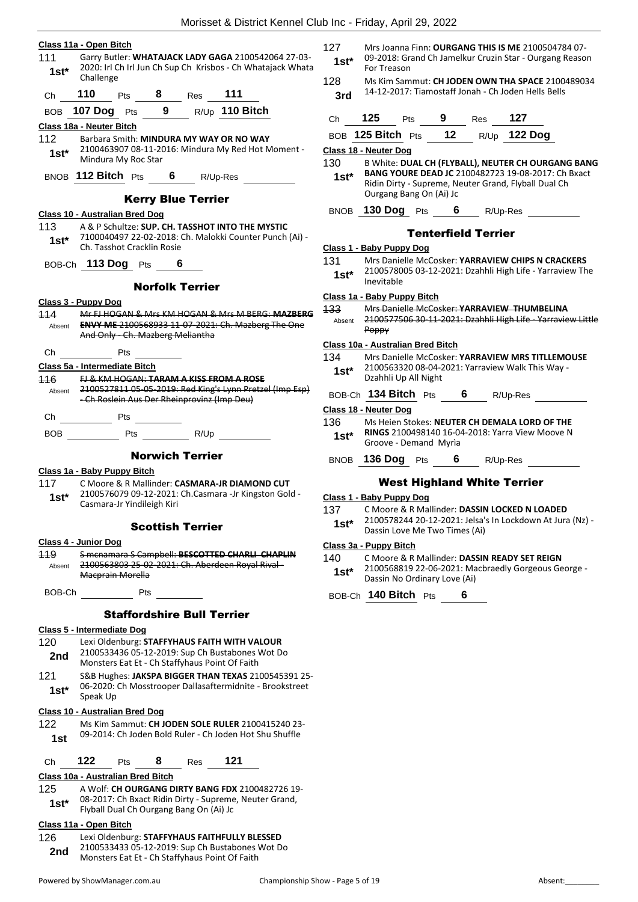|                |                                                                                                                                                   |               | .                                              |
|----------------|---------------------------------------------------------------------------------------------------------------------------------------------------|---------------|------------------------------------------------|
|                | Class 11a - Open Bitch                                                                                                                            | 127           | Mrs Joanna Finn:                               |
| 111<br>$1st^*$ | Garry Butler: WHATAJACK LADY GAGA 2100542064 27-03-<br>2020: Irl Ch Irl Jun Ch Sup Ch Krisbos - Ch Whatajack Whata                                | $1st^*$       | 09-2018: Grand (<br>For Treason                |
| Ch             | Challenge<br>110<br>Pts 8 Res 111                                                                                                                 | 128<br>3rd    | Ms Kim Sammut:<br>14-12-2017: Tian             |
|                |                                                                                                                                                   |               |                                                |
| <b>BOB</b>     | 107 Dog Pts 9 R/Up 110 Bitch                                                                                                                      | Ch            | 125<br>Pts                                     |
| 112            | Class 18a - Neuter Bitch<br>Barbara Smith: MINDURA MY WAY OR NO WAY                                                                               |               | BOB 125 Bitch Pts                              |
| $1st^*$        | 2100463907 08-11-2016: Mindura My Red Hot Moment -                                                                                                |               | Class 18 - Neuter Dog                          |
|                | Mindura My Roc Star<br>BNOB 112 Bitch Pts 6 R/Up-Res                                                                                              | 130<br>1st*   | <b>B White: DUAL C</b><br><b>BANG YOURE DE</b> |
|                | <b>Kerry Blue Terrier</b>                                                                                                                         |               | Ridin Dirty - Supr<br>Ourgang Bang Or          |
|                | <b>Class 10 - Australian Bred Dog</b>                                                                                                             |               | BNOB 130 Dog Pts                               |
| 113            | A & P Schultze: SUP. CH. TASSHOT INTO THE MYSTIC                                                                                                  |               |                                                |
| $1st^*$        | 7100040497 22-02-2018: Ch. Malokki Counter Punch (Ai) -<br>Ch. Tasshot Cracklin Rosie                                                             |               | Ten<br>Class 1 - Baby Puppy Dog                |
|                | BOB-Ch 113 Dog Pts 6                                                                                                                              | 131           | Mrs Danielle Mc                                |
|                |                                                                                                                                                   | $1st^*$       | 2100578005 03-                                 |
|                | <b>Norfolk Terrier</b>                                                                                                                            |               | Inevitable                                     |
|                | Class 3 - Puppy Dog                                                                                                                               |               | Class 1a - Baby Puppy Bit<br>Mrs Danielle Mc   |
| 114            | Mr FJ HOGAN & Mrs KM HOGAN & Mrs M BERG: MAZBERG                                                                                                  | 133<br>Absent | 210057750630                                   |
|                | Absent ENVY ME 2100568933 11-07-2021: Ch. Mazberg The One<br>And Only Ch. Mazberg Meliantha                                                       |               | Poppy                                          |
|                |                                                                                                                                                   |               | Class 10a - Australian Bre                     |
| Ch             | <b>Pts</b>                                                                                                                                        | 134           | Mrs Danielle Mc                                |
| 116            | Class 5a - Intermediate Bitch<br><b>FJ &amp; KM HOGAN: TARAM A KISS FROM A ROSE</b>                                                               | $1st^*$       | 210056332008-0<br>Dzahhli Up All Ni            |
|                | Absent 2100527811 05-05-2019: Red King's Lynn Pretzel (Imp Esp)                                                                                   |               | BOB-Ch 134 Bitch P                             |
|                | -Ch Roslein Aus Der Rheinprovinz (Imp Deu)                                                                                                        |               | Class 18 - Neuter Dog                          |
|                | Ch Pts<br><u>and the second</u>                                                                                                                   | 136           | Ms Heien Stokes                                |
|                | BOB Pts R/Up                                                                                                                                      | $1st^*$       | <b>RINGS 21004981</b><br>Groove - Deman        |
|                | <b>Norwich Terrier</b>                                                                                                                            |               | BNOB 136 Dog Pts                               |
|                | Class 1a - Baby Puppy Bitch                                                                                                                       |               |                                                |
| 117            | C Moore & R Mallinder: CASMARA-JR DIAMOND CUT                                                                                                     |               | <b>West Hig</b>                                |
| $1st*$         | 2100576079 09-12-2021: Ch.Casmara -Jr Kingston Gold -<br>Casmara-Jr Yindileigh Kiri                                                               |               | Class 1 - Baby Puppy Dog                       |
|                |                                                                                                                                                   | 137           | C Moore & R Ma<br>2100578244 20-3              |
|                | <b>Scottish Terrier</b>                                                                                                                           | 1st*          | Dassin Love Me 7                               |
|                | Class 4 - Junior Dog                                                                                                                              |               | Class 3a - Puppy Bitch                         |
| 449            | S menamara S Campbell: BESCOTTED CHARLI CHAPLIN                                                                                                   | 140           | C Moore & R Ma                                 |
| Absent         | 2100563803 25-02-2021: Ch. Aberdeen Royal Rival-<br>Macprain Morella                                                                              | $1st^*$       | 2100568819 22-<br>Dassin No Ordina             |
|                | BOB-Ch Pts                                                                                                                                        |               | BOB-Ch 140 Bitch P                             |
|                | <b>Staffordshire Bull Terrier</b>                                                                                                                 |               |                                                |
|                | <b>Class 5 - Intermediate Dog</b>                                                                                                                 |               |                                                |
| 120<br>2nd     | Lexi Oldenburg: STAFFYHAUS FAITH WITH VALOUR<br>2100533436 05-12-2019: Sup Ch Bustabones Wot Do<br>Monsters Eat Et - Ch Staffyhaus Point Of Faith |               |                                                |
| 121<br>$1st^*$ | S&B Hughes: JAKSPA BIGGER THAN TEXAS 2100545391 25-<br>06-2020: Ch Mosstrooper Dallasaftermidnite - Brookstreet                                   |               |                                                |
|                | Speak Up<br><b>Class 10 - Australian Bred Dog</b>                                                                                                 |               |                                                |
| 122.           | Ms Kim Sammut: CH JODEN SOLE RULER 2100415240 23-                                                                                                 |               |                                                |
| 1st            | 09-2014: Ch Joden Bold Ruler - Ch Joden Hot Shu Shuffle                                                                                           |               |                                                |
| Ch             | 122<br>8 Res 121<br><b>Pts</b>                                                                                                                    |               |                                                |
|                | Class 10a - Australian Bred Bitch                                                                                                                 |               |                                                |
| 125            | A Wolf: CH OURGANG DIRTY BANG FDX 2100482726 19-                                                                                                  |               |                                                |
| $1st^*$        | 08-2017: Ch Bxact Ridin Dirty - Supreme, Neuter Grand,                                                                                            |               |                                                |
|                | Flyball Dual Ch Ourgang Bang On (Ai) Jc                                                                                                           |               |                                                |

| 126 | Lexi Oldenburg: STAFFYHAUS FAITHFULLY BLESSED   |
|-----|-------------------------------------------------|
| 2nd | 2100533433 05-12-2019: Sup Ch Bustabones Wot Do |

Monsters Eat Et - Ch Staffyhaus Point Of Faith **2nd**

- 127 Mrs Joanna Finn: **OURGANG THIS IS ME** 2100504784 07- Ch Jamelkur Cruzin Star - Ourgang Reason
- 128 Ms Kim Sammut: **CH JODEN OWN THA SPACE** 2100489034 14-12-2017: Tiamostaff Jonah - Ch Joden Hells Bells **3rd**

| Ch            | 125                   | <b>Pts</b> | 9               | Res      | 127          |  |
|---------------|-----------------------|------------|-----------------|----------|--------------|--|
|               | BOB 125 Bitch Pts     |            | $\overline{12}$ |          | R/Up 122 Dog |  |
|               | Class 18 - Neuter Dog |            |                 |          |              |  |
| $\sim$ $\sim$ | --------              |            |                 | -------- |              |  |

**IH (FLYBALL), NEUTER CH OURGANG BANG BANG YOURE DEAD JC** 2100482723 19-08-2017: Ch Bxact reme, Neuter Grand, Flyball Dual Ch n (Ai) Jc

**6** R/Up-Res

## terfield Terrier

Cosker: **YARRAVIEW CHIPS N CRACKERS** 12-2021: Dzahhli High Life - Yarraview The

#### **Class 1a - Baby Puppy Bitch**

133 Mrs Danielle McCosker: **YARRAVIEW THUMBELINA** 11-2021: Dzahhli High Life - Yarraview Little

### **Class 10a - Australian Bred Bitch**

Cosker: **YARRAVIEW MRS TITLLEMOUSE** 04-2021: Yarraview Walk This Way -<br>ight Dzahhli Up All Night **1st\***

ts **6** R/Up-Res

| 136    | Ms Heien Stokes: NEUTER CH DEMALA LORD OF THE   |
|--------|-------------------------------------------------|
| $1st*$ | RINGS 2100498140 16-04-2018: Yarra View Moove N |
|        | Groove - Demand Myria                           |

**6** R/Up-Res

## **Inland White Terrier**

**Illinder: DASSIN LOCKED N LOADED** 

- 12-2021: Jelsa's In Lockdown At Jura (Nz) -Two Times (Ai)
- 140 C Moore & R Mallinder: **DASSIN READY SET REIGN**
- 06-2021: Macbraedly Gorgeous George ary Love (Ai)

 $H_{\text{ts}}$  6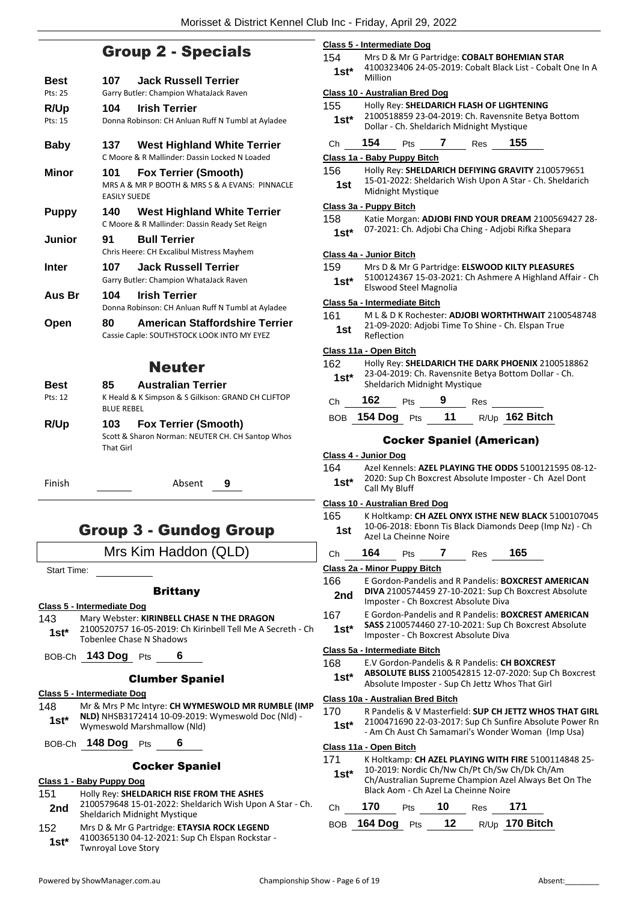## Group 2 - Specials

**Best 107 Jack Russell Terrier** Pts: 25 Garry Butler: Champion WhataJack Raven **R/Up 104 Irish Terrier** Pts: 15 Donna Robinson: CH Anluan Ruff N Tumbl at Ayladee **Baby 137 West Highland White Terrier** C Moore & R Mallinder: Dassin Locked N Loaded **Minor 101 Fox Terrier (Smooth)** MRS A & MR P BOOTH & MRS S & A EVANS: PINNACLE EASILY SUEDE **Puppy 140 West Highland White Terrier** C Moore & R Mallinder: Dassin Ready Set Reign **Junior 91 Bull Terrier** Chris Heere: CH Excalibul Mistress Mayhem **Inter 107 Jack Russell Terrier** Garry Butler: Champion WhataJack Raven **Aus Br 104 Irish Terrier** Donna Robinson: CH Anluan Ruff N Tumbl at Ayladee **Open 80 American Staffordshire Terrier** Cassie Caple: SOUTHSTOCK LOOK INTO MY EYEZ

## Neuter

**Best 85 Australian Terrier** Pts: 12 K Heald & K Simpson & S Gilkison: GRAND CH CLIFTOP BLUE REBEL **R/Up 103 Fox Terrier (Smooth)**

> Scott & Sharon Norman: NEUTER CH. CH Santop Whos That Girl

Finish Absent **9**

## Group 3 - Gundog Group

Mrs Kim Haddon (QLD)

Start Time:

## **Brittany**

- **Class 5 - Intermediate Dog**
- 143 Mary Webster: **KIRINBELL CHASE N THE DRAGON**
- 2100520757 16-05-2019: Ch Kirinbell Tell Me A Secreth Ch 1st\* <sup>2100520757</sup> 16-05-2019: Cr<br>Tobenlee Chase N Shadows

BOB-Ch **143 Dog** Pts **6**

## Clumber Spaniel

**Class 5 - Intermediate Dog**

148 Mr & Mrs P Mc Intyre: **CH WYMESWOLD MR RUMBLE (IMP NLD)** NHSB3172414 10-09-2019: Wymeswold Doc (Nld) - Wymeswold Marshmallow (Nld) **1st\***

BOB-Ch **148 Dog** Pts **6**

## Cocker Spaniel

#### **Class 1 - Baby Puppy Dog**

- 151 Holly Rey: **SHELDARICH RISE FROM THE ASHES** 2100579648 15-01-2022: Sheldarich Wish Upon A Star - Ch. 2nd 2100579648 15-01-2022: Sheld<br>Sheldarich Midnight Mystique
- 152 Mrs D & Mr G Partridge: **ETAYSIA ROCK LEGEND** 4100365130 04-12-2021: Sup Ch Elspan Rockstar - Twnroyal Love Story **1st\***

|  | Class 5 - Intermediate Dog |  |
|--|----------------------------|--|
|  |                            |  |

154 Mrs D & Mr G Partridge: **COBALT BOHEMIAN STAR** 4100323406 24-05-2019: Cobalt Black List - Cobalt One In A Million **1st\***

#### **Class 10 - Australian Bred Dog**

- 155 Holly Rey: **SHELDARICH FLASH OF LIGHTENING**
	- 2100518859 23-04-2019: Ch. Ravensnite Betya Bottom Dollar - Ch. Sheldarich Midnight Mystique **1st\***
- Ch **154** Pts **7** Res **155**

## **Class 1a - Baby Puppy Bitch**

| 156 | Holly Rey: SHELDARICH DEFIYING GRAVITY 2100579651        |
|-----|----------------------------------------------------------|
| 1st | 15-01-2022: Sheldarich Wish Upon A Star - Ch. Sheldarich |
|     | Midnight Mystique                                        |

#### **Class 3a - Puppy Bitch**

| 158 | Katie Morgan: ADJOBI FIND YOUR DREAM 2100569427 28- |
|-----|-----------------------------------------------------|
|-----|-----------------------------------------------------|

07-2021: Ch. Adjobi Cha Ching - Adjobi Rifka Shepara **1st\***

#### **Class 4a - Junior Bitch**

- 159 Mrs D & Mr G Partridge: **ELSWOOD KILTY PLEASURES**
- 5100124367 15-03-2021: Ch Ashmere A Highland Affair Ch Elswood Steel Magnolia **1st\***

#### **Class 5a - Intermediate Bitch**

| 161 | ML & D K Rochester: ADJOBI WORTHTHWAIT 2100548748                |
|-----|------------------------------------------------------------------|
| 1st | 21-09-2020: Adjobi Time To Shine - Ch. Elspan True<br>Reflection |

#### **Class 11a - Open Bitch**

| 162    | Holly Rey: SHELDARICH THE DARK PHOENIX 2100518862    |
|--------|------------------------------------------------------|
| $1st*$ | 23-04-2019: Ch. Ravensnite Betya Bottom Dollar - Ch. |
|        | Sheldarich Midnight Mystique                         |

- Ch **162** Pts **9** Res
- BOB **154 Dog** Pts **11** R/Up **162 Bitch**

## Cocker Spaniel (American)

#### **Class 4 - Junior Dog**

164 Azel Kennels: **AZEL PLAYING THE ODDS** 5100121595 08-12- 2020: Sup Ch Boxcrest Absolute Imposter - Ch Azel Dont 1st<sup>\*</sup> <sup>2020:</sup> Sup Ch

#### **Class 10 - Australian Bred Dog**

- 165 K Holtkamp: **CH AZEL ONYX ISTHE NEW BLACK** 5100107045 10-06-2018: Ebonn Tis Black Diamonds Deep (Imp Nz) - Ch Azel La Cheinne Noire **1st**
- Ch **164** Pts **7** Res **165**

## **Class 2a - Minor Puppy Bitch**

- 166 E Gordon-Pandelis and R Pandelis: **BOXCREST AMERICAN DIVA** 2100574459 27-10-2021: Sup Ch Boxcrest Absolute **2nd DIVA** 2100574459 27-10-2021: Sup C<br>Imposter - Ch Boxcrest Absolute Diva
- 167 E Gordon-Pandelis and R Pandelis: **BOXCREST AMERICAN** 
	- **SASS** 2100574460 27-10-2021: Sup Ch Boxcrest Absolute Imposter - Ch Boxcrest Absolute Diva **1st\***

#### **Class 5a - Intermediate Bitch**

- 168 E.V Gordon-Pandelis & R Pandelis: **CH BOXCREST**
- **ABSOLUTE BLISS** 2100542815 12-07-2020: Sup Ch Boxcrest Absolute Imposter - Sup Ch Jettz Whos That Girl **1st\***

#### **Class 10a - Australian Bred Bitch**

- 170 R Pandelis & V Masterfield: **SUP CH JETTZ WHOS THAT GIRL**
- 2100471690 22-03-2017: Sup Ch Sunfire Absolute Power Rn - Am Ch Aust Ch Samamari's Wonder Woman (Imp Usa) **1st\***

#### **Class 11a - Open Bitch**

- 171 K Holtkamp: **CH AZEL PLAYING WITH FIRE** 5100114848 25- 10-2019: Nordic Ch/Nw Ch/Pt Ch/Sw Ch/Dk Ch/Am
	- Ch/Australian Supreme Champion Azel Always Bet On The Black Aom - Ch Azel La Cheinne Noire **1st\***

| $Ch$ 170 $P$ ts | 10 <sub>Res</sub> 171 |                                     |
|-----------------|-----------------------|-------------------------------------|
|                 |                       | BOB 164 Dog Pts 12 $R/Up$ 170 Bitch |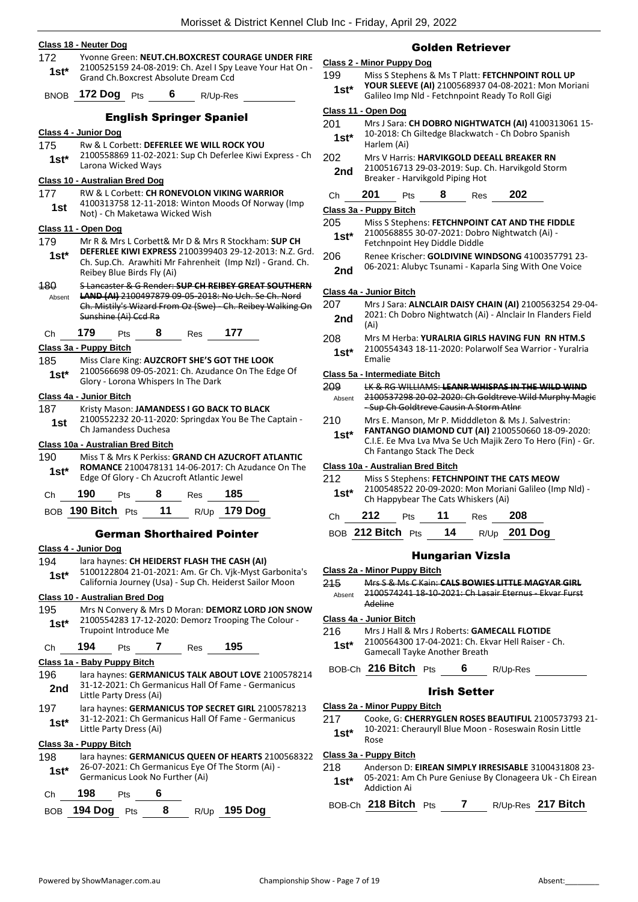#### **Class 18 - Neuter Dog**

172 Yvonne Green: **NEUT.CH.BOXCREST COURAGE UNDER FIRE** 2100525159 24-08-2019: Ch. Azel I Spy Leave Your Hat On - Grand Ch.Boxcrest Absolute Dream Ccd **1st\***

BNOB **172 Dog** Pts **6** R/Up-Res

#### English Springer Spaniel

#### **Class 4 - Junior Dog**

- 175 Rw & L Corbett: **DEFERLEE WE WILL ROCK YOU**
	- 2100558869 11-02-2021: Sup Ch Deferlee Kiwi Express Ch Larona Wicked Ways **1st\***

## **Class 10 - Australian Bred Dog**

177 RW & L Corbett: **CH RONEVOLON VIKING WARRIOR** 4100313758 12-11-2018: Winton Moods Of Norway (Imp **1st** 4100313758 12-11-2018: Winton<br>Not) - Ch Maketawa Wicked Wish

### **Class 11 - Open Dog**

- 179 Mr R & Mrs L Corbett& Mr D & Mrs R Stockham: **SUP CH**
- **DEFERLEE KIWI EXPRESS** 2100399403 29-12-2013: N.Z. Grd. Ch. Sup.Ch. Arawhiti Mr Fahrenheit (Imp Nzl) - Grand. Ch. Reibey Blue Birds Fly (Ai) **1st\***
- 180 S Lancaster & G Render: **SUP CH REIBEY GREAT SOUTHERN LAND (AI)** 2100497879 09-05-2018: No Uch. Se Ch. Nord Ch. Mistily's Wizard From Oz (Swe) - Ch. Reibey Walking On Absent
- Sunshine (Ai) Ccd Ra
- Ch **179** Pts **8** Res **177**

#### **Class 3a - Puppy Bitch**

- 185 Miss Clare King: **AUZCROFT SHE'S GOT THE LOOK**
	- 2100566698 09-05-2021: Ch. Azudance On The Edge Of **1st**\* *LIOUSOODS US-US-ZUZI*: Cn. Azudar<br>Glory - Lorona Whispers In The Dark

#### **Class 4a - Junior Bitch**

#### 187 Kristy Mason: **JAMANDESS I GO BACK TO BLACK**

2100552232 20-11-2020: Springdax You Be The Captain - Ch Jamandess Duchesa **1st**

#### **Class 10a - Australian Bred Bitch**

190 Miss T & Mrs K Perkiss: **GRAND CH AZUCROFT ATLANTIC ROMANCE** 2100478131 14-06-2017: Ch Azudance On The Edge Of Glory - Ch Azucroft Atlantic Jewel **1st\***

| Ch. | 190                  | <b>Pts</b> |    | <b>Res</b> | 185          |
|-----|----------------------|------------|----|------------|--------------|
|     | BOB 190 Bitch $P$ ts |            | 11 |            | R/Up 179 Dog |

#### German Shorthaired Pointer

#### **Class 4 - Junior Dog**

- 194 lara haynes: **CH HEIDERST FLASH THE CASH (AI)**
- 5100122804 21-01-2021: Am. Gr Ch. Vjk-Myst Garbonita's **1St\*** 5100122804 21-01-2021: Am. Gr Ch. VJK-Myst Garbonit<br>California Journey (Usa) - Sup Ch. Heiderst Sailor Moon

## **Class 10 - Australian Bred Dog**

195 Mrs N Convery & Mrs D Moran: **DEMORZ LORD JON SNOW** 2100554283 17-12-2020: Demorz Trooping The Colour - Trupoint Introduce Me **1st\***

## Ch **194** Pts **7** Res **195**

## **Class 1a - Baby Puppy Bitch**

- 196 lara haynes: **GERMANICUS TALK ABOUT LOVE** 2100578214 31-12-2021: Ch Germanicus Hall Of Fame - Germanicus **2nd** <sup>31-12-2021: Ch Germ</sup><br>**Little Party Dress (Ai)**
- 197 lara haynes: **GERMANICUS TOP SECRET GIRL** 2100578213 31-12-2021: Ch Germanicus Hall Of Fame - Germanicus **1st**\* <sup>31-12-2021: Ch Germ<br>Little Party Dress (Ai)</sup>

## **Class 3a - Puppy Bitch**

198 lara haynes: **GERMANICUS QUEEN OF HEARTS** 2100568322 26-07-2021: Ch Germanicus Eye Of The Storm (Ai) - Germanicus Look No Further (Ai) **1st\***

| Ch | 198 | Pts |  |
|----|-----|-----|--|
|    |     |     |  |

| BOB 194 Dog Pts |  | R/Up 195 Dog |
|-----------------|--|--------------|
|                 |  |              |

## Golden Retriever

## **Class 2 - Minor Puppy Dog**

- 199 Miss S Stephens & Ms T Platt: **FETCHNPOINT ROLL UP YOUR SLEEVE (AI)** 2100568937 04-08-2021: Mon Moriani
	- Galileo Imp Nld Fetchnpoint Ready To Roll Gigi **1st\***

#### **Class 11 - Open Dog**

- 201 Mrs J Sara: **CH DOBRO NIGHTWATCH (AI)** 4100313061 15- 10-2018: Ch Giltedge Blackwatch - Ch Dobro Spanish
- **1st**\* 10-2018: Cr<br>Harlem (Ai) 202 Mrs V Harris: **HARVIKGOLD DEEALL BREAKER RN**
- 2100516713 29-03-2019: Sup. Ch. Harvikgold Storm 2nd <sup>2100516713</sup> 29-03-2019: Sup. C<br>Breaker - Harvikgold Piping Hot

## Ch **201** Pts **8** Res **202**

#### **Class 3a - Puppy Bitch**

- 205 Miss S Stephens: **FETCHNPOINT CAT AND THE FIDDLE** 2100568855 30-07-2021: Dobro Nightwatch (Ai) - Fetchnpoint Hey Diddle Diddle **1st\***
- 206 Renee Krischer: **GOLDIVINE WINDSONG** 4100357791 23-
	- 06-2021: Alubyc Tsunami Kaparla Sing With One Voice **2nd**

#### **Class 4a - Junior Bitch**

- 207 Mrs J Sara: **ALNCLAIR DAISY CHAIN (AI)** 2100563254 29-04- 2021: Ch Dobro Nightwatch (Ai) - Alnclair In Flanders Field **2nd**  $\frac{202}{(Ai)}$
- 208 Mrs M Herba: **YURALRIA GIRLS HAVING FUN RN HTM.S** 2100554343 18-11-2020: Polarwolf Sea Warrior - Yuralria  $1$ **st**\*  $\frac{210055}{5}$

#### **Class 5a - Intermediate Bitch**

| 209    | LK & RG WILLIAMS: LEANR WHISPAS IN THE WILD WIND      |
|--------|-------------------------------------------------------|
| Absent | 2100537298 20-02-2020: Ch Goldtreve Wild Murphy Magic |
|        | -Sup Ch Goldtreve Causin A Storm Atlnr                |

- 210 Mrs E. Manson, Mr P. Midddleton & Ms J. Salvestrin:
	- **FANTANGO DIAMOND CUT (AI)** 2100550660 18-09-2020: C.I.E. Ee Mva Lva Mva Se Uch Majik Zero To Hero (Fin) - Gr. Ch Fantango Stack The Deck **1st\***

#### **Class 10a - Australian Bred Bitch**

| 212    | Miss S Stephens: FETCHNPOINT THE CATS MEOW                                                    |
|--------|-----------------------------------------------------------------------------------------------|
| $1st*$ | 2100548522 20-09-2020: Mon Moriani Galileo (Imp Nld) -<br>Ch Happybear The Cats Whiskers (Ai) |

Ch **212** Pts **11** Res **208**

BOB **212 Bitch** Pts **14** R/Up **201 Dog**

## Hungarian Vizsla

- **Class 2a - Minor Puppy Bitch**
- 215 Mrs S & Ms C Kain: **CALS BOWIES LITTLE MAGYAR GIRL** 2100574241 18-10-2021: Ch Lasair Eternus - Ekvar Furst Adeline Absent
- **Class 4a - Junior Bitch**
- 216 Mrs J Hall & Mrs J Roberts: **GAMECALL FLOTIDE**
	- 2100564300 17-04-2021: Ch. Ekvar Hell Raiser Ch. Gamecall Tayke Another Breath **1st\***

BOB-Ch **216 Bitch** Pts **6** R/Up-Res

## Irish Setter

#### **Class 2a - Minor Puppy Bitch**

217 Cooke, G: **CHERRYGLEN ROSES BEAUTIFUL** 2100573793 21- 10-2021: Cherauryll Blue Moon - Roseswain Rosin Little **1st**\*  $\frac{10-20}{\text{Rose}}$ 

## **Class 3a - Puppy Bitch**

- 218 Anderson D: **EIREAN SIMPLY IRRESISABLE** 3100431808 23-
	- 05-2021: Am Ch Pure Geniuse By Clonageera Uk Ch Eirean **1st**\* U<sub>2</sub>-2021: Am<br>Addiction Ai

BOB-Ch **218 Bitch** Pts **7** R/Up-Res **217 Bitch**

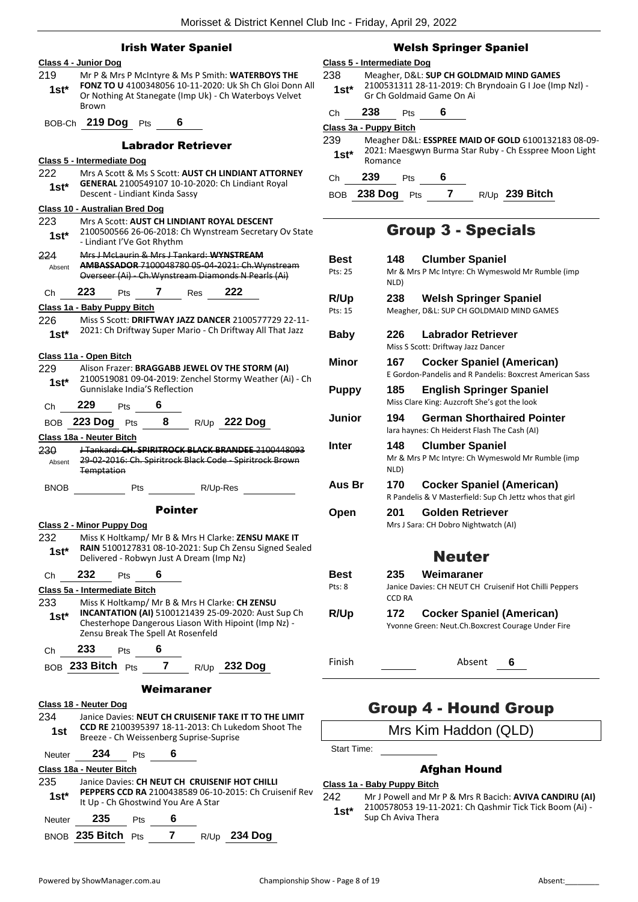## Irish Water Spaniel

|                | Class 4 - Junior Dog                                                                                                                                                                                |
|----------------|-----------------------------------------------------------------------------------------------------------------------------------------------------------------------------------------------------|
| 219<br>$1st^*$ | Mr P & Mrs P McIntyre & Ms P Smith: WATERBOYS THE<br>FONZ TO U 4100348056 10-11-2020: Uk Sh Ch Gloi Donn All<br>Or Nothing At Stanegate (Imp Uk) - Ch Waterboys Velvet<br>Brown                     |
| BOB-Ch         | 219 Dog Pts<br>6                                                                                                                                                                                    |
|                | <b>Labrador Retriever</b>                                                                                                                                                                           |
|                | <u> Class 5 - Intermediate Doq</u>                                                                                                                                                                  |
| 222<br>$1st^*$ | Mrs A Scott & Ms S Scott: AUST CH LINDIANT ATTORNEY<br>GENERAL 2100549107 10-10-2020: Ch Lindiant Royal<br>Descent - Lindiant Kinda Sassy                                                           |
|                | <b>Class 10 - Australian Bred Dog</b>                                                                                                                                                               |
| 223<br>1st*    | Mrs A Scott: AUST CH LINDIANT ROYAL DESCENT<br>2100500566 26-06-2018: Ch Wynstream Secretary Ov State<br>- Lindiant I'Ve Got Rhythm                                                                 |
| 224<br>Absent  | Mrs J McLaurin & Mrs J Tankard: WYNSTREAM<br>AMBASSADOR 7100048780 05-04-2021: Ch. Wynstream<br>Overseer (Ai) Ch. Wynstream Diamonds N Pearls (Ai)                                                  |
| Ch             | 223<br>Pts 7 Res 222                                                                                                                                                                                |
|                | Class 1a - Baby Puppy Bitch                                                                                                                                                                         |
| 226<br>$1st^*$ | Miss S Scott: DRIFTWAY JAZZ DANCER 2100577729 22-11-<br>2021: Ch Driftway Super Mario - Ch Driftway All That Jazz                                                                                   |
|                | Class 11a - Open Bitch                                                                                                                                                                              |
| 229<br>$1st^*$ | Alison Frazer: BRAGGABB JEWEL OV THE STORM (AI)<br>2100519081 09-04-2019: Zenchel Stormy Weather (Ai) - Ch<br>Gunnislake India'S Reflection                                                         |
| Ch             | 229<br>6<br>Pts                                                                                                                                                                                     |
|                | BOB 223 Dog Pts<br>8 -<br>R/Up 222 Dog                                                                                                                                                              |
|                | Class 18a - Neuter Bitch                                                                                                                                                                            |
| 230<br>Absent  | J Tankard: CH. SPIRITROCK BLACK BRANDEE 2100448093<br>29-02-2016: Ch. Spiritrock Black Code - Spiritrock Brown<br><b>Temptation</b>                                                                 |
| <b>BNOB</b>    | R/Up-Res<br>Pts                                                                                                                                                                                     |
|                | <b>Pointer</b>                                                                                                                                                                                      |
|                | <b>Class 2 - Minor Puppy Dog</b>                                                                                                                                                                    |
| 232<br>$1st*$  | Miss K Holtkamp/ Mr B & Mrs H Clarke: ZENSU MAKE IT<br>RAIN 5100127831 08-10-2021: Sup Ch Zensu Signed Sealed<br>Delivered - Robwyn Just A Dream (Imp Nz)                                           |
| Ch             | 232<br>6<br>Pts                                                                                                                                                                                     |
|                | Class 5a - Intermediate Bitch                                                                                                                                                                       |
| 233<br>$1st^*$ | Miss K Holtkamp/ Mr B & Mrs H Clarke: CH ZENSU<br>INCANTATION (AI) 5100121439 25-09-2020: Aust Sup Ch<br>Chesterhope Dangerous Liason With Hipoint (Imp Nz) -<br>Zensu Break The Spell At Rosenfeld |
| Christ         | 233<br>Pts $\overline{\mathbf{6}}$                                                                                                                                                                  |
|                | BOB 233 Bitch Pts 7 R/Up 232 Dog                                                                                                                                                                    |
|                | Weimaraner                                                                                                                                                                                          |
| 234            | Class 18 - Neuter Dog<br>Janice Davies: NEUT CH CRUISENIF TAKE IT TO THE LIMIT                                                                                                                      |
| 1st.           | <b>CCD RE</b> 2100395397 18-11-2013: Ch Lukedom Shoot The<br>Breeze - Ch Weissenberg Suprise-Suprise                                                                                                |
| Neuter         | 234<br>$6\quad$<br><b>Pts</b>                                                                                                                                                                       |
|                | Class 18a - Neuter Bitch                                                                                                                                                                            |
| 235<br>$1st^*$ | Janice Davies: CH NEUT CH CRUISENIF HOT CHILLI<br>PEPPERS CCD RA 2100438589 06-10-2015: Ch Cruisenif Rev<br>It Up - Ch Ghostwind You Are A Star                                                     |
| Neuter         | 235<br>6<br><b>Pts</b>                                                                                                                                                                              |
|                | BNOB 235 Bitch Pts<br>7         R/Up <b>234 Dog</b>                                                                                                                                                 |

### Welsh Springer Spaniel

## **Class 5 - Intermediate Dog**

| 238    | Meagher, D&L: SUP CH GOLDMAID MIND GAMES                                             |
|--------|--------------------------------------------------------------------------------------|
| $1st*$ | 2100531311 28-11-2019: Ch Bryndoain G I Joe (Imp NzI) -<br>Gr Ch Goldmaid Game On Ai |

| C.h | 238                    | Pts |                                                     |  |
|-----|------------------------|-----|-----------------------------------------------------|--|
|     | Class 3a - Puppy Bitch |     |                                                     |  |
| 239 |                        |     | Meagher D&L: ESSPREE MAID OF GOLD 6100132183 08-09- |  |

Ch **239** Pts **6**

BOB **238 Dog** Pts **7** R/Up **239 Bitch**

## Group 3 - Specials

| Best         | <b>Clumber Spaniel</b><br>148                                                                       |
|--------------|-----------------------------------------------------------------------------------------------------|
| Pts: 25      | Mr & Mrs P Mc Intyre: Ch Wymeswold Mr Rumble (imp<br>NLD)                                           |
| R/Up         | 238<br><b>Welsh Springer Spaniel</b>                                                                |
| Pts: 15      | Meagher, D&L: SUP CH GOLDMAID MIND GAMES                                                            |
| <b>Baby</b>  | <b>Labrador Retriever</b><br>226                                                                    |
|              | Miss S Scott: Driftway Jazz Dancer                                                                  |
| Minor        | 167<br><b>Cocker Spaniel (American)</b><br>E Gordon-Pandelis and R Pandelis: Boxcrest American Sass |
| <b>Puppy</b> | <b>English Springer Spaniel</b><br>185<br>Miss Clare King: Auzcroft She's got the look              |
| Junior       | 194<br><b>German Shorthaired Pointer</b><br>lara haynes: Ch Heiderst Flash The Cash (AI)            |
| <b>Inter</b> | <b>Clumber Spaniel</b><br>148<br>Mr & Mrs P Mc Intyre: Ch Wymeswold Mr Rumble (imp<br>NLD)          |
| Aus Br       | <b>Cocker Spaniel (American)</b><br>170<br>R Pandelis & V Masterfield: Sup Ch Jettz whos that girl  |
| Open         | <b>Golden Retriever</b><br>201                                                                      |
|              | Mrs J Sara: CH Dobro Nightwatch (AI)                                                                |
|              | <b>Neuter</b>                                                                                       |
| <b>Best</b>  | Weimaraner<br>235                                                                                   |
| Pts: 8       | Janice Davies: CH NEUT CH Cruisenif Hot Chilli Peppers<br><b>CCD RA</b>                             |
| R/Up         | <b>Cocker Spaniel (American)</b><br>172                                                             |
|              | Yvonne Green: Neut.Ch.Boxcrest Courage Under Fire                                                   |
| Finish       | Absent<br>6                                                                                         |
|              |                                                                                                     |

## Group 4 - Hound Group

Mrs Kim Haddon (QLD)

Start Time:

## Afghan Hound

**Class 1a - Baby Puppy Bitch**

242 Mr J Powell and Mr P & Mrs R Bacich: **AVIVA CANDIRU (AI)** 2100578053 19-11-2021: Ch Qashmir Tick Tick Boom (Ai) - **1st**\* <sup>2100578053 19-11-<br>Sup Ch Aviva Thera</sup>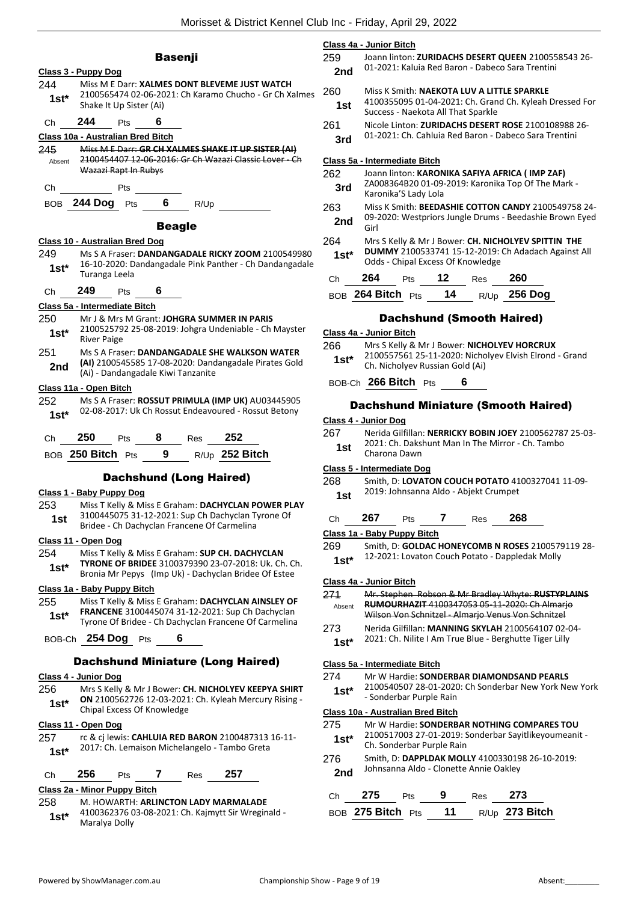**Class 4a - Junior Bitch**

|                |                                                                    | <b>Basenji</b>   |      |                                                                                                                                                                 |
|----------------|--------------------------------------------------------------------|------------------|------|-----------------------------------------------------------------------------------------------------------------------------------------------------------------|
| 244<br>$1st^*$ | Class 3 - Puppy Dog<br>Shake It Up Sister (Ai)                     |                  |      | Miss M E Darr: XALMES DONT BLEVEME JUST WATCH<br>2100565474 02-06-2021: Ch Karamo Chucho - Gr Ch Xalmes                                                         |
| Ch             | 244<br>Pts                                                         |                  |      |                                                                                                                                                                 |
| 245<br>Absent  | Class 10a - Australian Bred Bitch<br>Wazazi Rapt In Rubys          |                  |      | Miss M E Darr: GR CH XALMES SHAKE IT UP SISTER (AI)<br>2100454407 12 06 2016: Gr Ch Wazazi Classic Lover - Ch                                                   |
| Ch             | <b>Pts</b>                                                         |                  |      |                                                                                                                                                                 |
|                | BOB 244 Dog Pts 6                                                  |                  | R/Up |                                                                                                                                                                 |
|                |                                                                    | <b>Beagle</b>    |      |                                                                                                                                                                 |
|                | Class 10 - Australian Bred Dog                                     |                  |      |                                                                                                                                                                 |
| 249<br>$1st*$  | Turanga Leela                                                      |                  |      | Ms S A Fraser: DANDANGADALE RICKY ZOOM 2100549980<br>16-10-2020: Dandangadale Pink Panther - Ch Dandangadale                                                    |
| Ch             | 249<br><b>Pts</b>                                                  | -6               |      |                                                                                                                                                                 |
|                | Class 5a - Intermediate Bitch                                      |                  |      |                                                                                                                                                                 |
| 250<br>$1st*$  | Mr J & Mrs M Grant: JOHGRA SUMMER IN PARIS<br><b>River Paige</b>   |                  |      | 2100525792 25-08-2019: Johgra Undeniable - Ch Mayster                                                                                                           |
| 251<br>2nd     | (Ai) - Dandangadale Kiwi Tanzanite                                 |                  |      | Ms S A Fraser: DANDANGADALE SHE WALKSON WATER<br>(AI) 2100545585 17-08-2020: Dandangadale Pirates Gold                                                          |
|                | Class 11a - Open Bitch                                             |                  |      |                                                                                                                                                                 |
| 252<br>$1st^*$ |                                                                    |                  |      | Ms S A Fraser: ROSSUT PRIMULA (IMP UK) AU03445905<br>02-08-2017: Uk Ch Rossut Endeavoured - Rossut Betony                                                       |
| Сh             |                                                                    |                  |      |                                                                                                                                                                 |
|                | 250<br><b>Pts</b>                                                  | <b>8</b> Res 252 |      |                                                                                                                                                                 |
|                | BOB 250 Bitch Pts 9 R/Up 252 Bitch                                 |                  |      |                                                                                                                                                                 |
|                |                                                                    |                  |      |                                                                                                                                                                 |
|                | <b>Dachshund (Long Haired)</b><br>Class 1 - Baby Puppy Dog         |                  |      |                                                                                                                                                                 |
| 253<br>1st     |                                                                    |                  |      | Miss T Kelly & Miss E Graham: DACHYCLAN POWER PLAY<br>3100445075 31-12-2021: Sup Ch Dachyclan Tyrone Of                                                         |
|                | Bridee - Ch Dachyclan Francene Of Carmelina<br>Class 11 - Open Dog |                  |      |                                                                                                                                                                 |
| 254<br>1st*    |                                                                    |                  |      | Miss T Kelly & Miss E Graham: SUP CH. DACHYCLAN<br>TYRONE OF BRIDEE 3100379390 23-07-2018: Uk. Ch. Ch.<br>Bronia Mr Pepys (Imp Uk) - Dachyclan Bridee Of Estee  |
|                | Class 1a - Baby Puppy Bitch                                        |                  |      |                                                                                                                                                                 |
| 255<br>1st*    |                                                                    |                  |      | Miss T Kelly & Miss E Graham: DACHYCLAN AINSLEY OF<br>FRANCENE 3100445074 31-12-2021: Sup Ch Dachyclan<br>Tyrone Of Bridee - Ch Dachyclan Francene Of Carmelina |
| BOB-Ch         | $254$ Dog Pts                                                      | 6                |      |                                                                                                                                                                 |
|                | <b>Dachshund Miniature (Long Haired)</b>                           |                  |      |                                                                                                                                                                 |
|                | Class 4 - Junior Dog                                               |                  |      |                                                                                                                                                                 |
| 256<br>1st*    | Chipal Excess Of Knowledge                                         |                  |      | Mrs S Kelly & Mr J Bower: CH. NICHOLYEV KEEPYA SHIRT<br>ON 2100562726 12-03-2021: Ch. Kyleah Mercury Rising -                                                   |
|                | Class 11 - Open Dog                                                |                  |      |                                                                                                                                                                 |
| 257<br>$1st*$  | 2017: Ch. Lemaison Michelangelo - Tambo Greta                      |                  |      | rc & cj lewis: CAHLUIA RED BARON 2100487313 16-11-                                                                                                              |
| Сh             | 256<br>Pts                                                         | 7                | Res  | 257                                                                                                                                                             |
|                | Class 2a - Minor Puppy Bitch                                       |                  |      |                                                                                                                                                                 |
| 258<br>$1st^*$ | M. HOWARTH: ARLINCTON LADY MARMALADE                               |                  |      | 4100362376 03-08-2021: Ch. Kajmytt Sir Wreginald -                                                                                                              |

|                          | 2nd           |                                    |   | 01-2021: Kaluia Red Baron - Dabeco Sara Trentini                                                               |  |
|--------------------------|---------------|------------------------------------|---|----------------------------------------------------------------------------------------------------------------|--|
| $\overline{\phantom{a}}$ | 260<br>1st    | Success - Naekota All That Sparkle |   | Miss K Smith: NAEKOTA LUV A LITTLE SPARKLE<br>4100355095 01-04-2021: Ch. Grand Ch. Kyleah Dressed For          |  |
|                          | 261<br>3rd    |                                    |   | Nicole Linton: ZURIDACHS DESERT ROSE 2100108988 26-<br>01-2021: Ch. Cahluia Red Baron - Dabeco Sara Trentini   |  |
|                          |               | Class 5a - Intermediate Bitch      |   |                                                                                                                |  |
|                          | 262<br>3rd    | Karonika'S Lady Lola               |   | Joann linton: KARONIKA SAFIYA AFRICA (IMP ZAF)<br>ZA008364B20 01-09-2019: Karonika Top Of The Mark -           |  |
|                          | 263<br>2nd    | Girl                               |   | Miss K Smith: BEEDASHIE COTTON CANDY 2100549758 24-<br>09-2020: Westpriors Jungle Drums - Beedashie Brown Eyed |  |
|                          | 264<br>$1st*$ | Odds - Chipal Excess Of Knowledge  |   | Mrs S Kelly & Mr J Bower: CH. NICHOLYEV SPITTIN THE<br>DUMMY 2100533741 15-12-2019: Ch Adadach Against All     |  |
|                          |               | Ch 264 Pts 12 Res 260              |   |                                                                                                                |  |
|                          |               |                                    |   | BOB 264 Bitch Pts 14 R/Up 256 Dog                                                                              |  |
|                          |               |                                    |   | <b>Dachshund (Smooth Haired)</b>                                                                               |  |
|                          |               | Class 4a - Junior Bitch            |   |                                                                                                                |  |
|                          | 266<br>1st*   | Ch. Nicholyev Russian Gold (Ai)    |   | Mrs S Kelly & Mr J Bower: NICHOLYEV HORCRUX<br>2100557561 25-11-2020: Nicholyev Elvish Elrond - Grand          |  |
|                          |               | BOB-Ch 266 Bitch Pts               | 6 |                                                                                                                |  |

259 Joann linton: **ZURIDACHS DESERT QUEEN** 2100558543 26-

### Dachshund Miniature (Smooth Haired)

#### **Class 4 - Junior Dog**

| 267 | Nerida Gilfillan: NERRICKY BOBIN JOEY 2100562787 25-03- |
|-----|---------------------------------------------------------|
| 1st | 2021: Ch. Dakshunt Man In The Mirror - Ch. Tambo        |
|     | Charona Dawn                                            |

#### **Class 5 - Intermediate Dog**

268 Smith, D: **LOVATON COUCH POTATO** 4100327041 11-09- 2019: Johnsanna Aldo - Abjekt Crumpet **1st**

#### Ch **267** Pts **7** Res **268**

## **Class 1a - Baby Puppy Bitch**

269 Smith, D: **GOLDAC HONEYCOMB N ROSES** 2100579119 28- 12-2021: Lovaton Couch Potato - Dappledak Molly **1st\***

## **Class 4a - Junior Bitch**

| 271    | Mr. Stephen Robson & Mr Bradley Whyte: RUSTYPLAINS                                                                                                                                                                                                                                                                                 |
|--------|------------------------------------------------------------------------------------------------------------------------------------------------------------------------------------------------------------------------------------------------------------------------------------------------------------------------------------|
| Absent | RUMOURHAZIT 4100347053 05-11-2020: Ch Almarjo                                                                                                                                                                                                                                                                                      |
|        | Wilson Von Schnitzel - Almarjo Venus Von Schnitzel                                                                                                                                                                                                                                                                                 |
| $\sim$ | $\mathbf{A}$ $\mathbf{A}$ $\mathbf{A}$ $\mathbf{A}$ $\mathbf{A}$ $\mathbf{A}$ $\mathbf{A}$ $\mathbf{A}$ $\mathbf{A}$ $\mathbf{A}$ $\mathbf{A}$ $\mathbf{A}$ $\mathbf{A}$ $\mathbf{A}$ $\mathbf{A}$ $\mathbf{A}$ $\mathbf{A}$ $\mathbf{A}$ $\mathbf{A}$ $\mathbf{A}$ $\mathbf{A}$ $\mathbf{A}$ $\mathbf{A}$ $\mathbf{A}$ $\mathbf{$ |

273 Nerida Gilfillan: **MANNING SKYLAH** 2100564107 02-04- 2021: Ch. Nilite I Am True Blue - Berghutte Tiger Lilly **1st\***

#### **Class 5a - Intermediate Bitch**

274 Mr W Hardie: **SONDERBAR DIAMONDSAND PEARLS** 2100540507 28-01-2020: Ch Sonderbar New York New York - Sonderbar Purple Rain **1st\***

#### **Class 10a - Australian Bred Bitch**

| 275 | Mr W Hardie: SONDERBAR NOTHING COMPARES TOU         |
|-----|-----------------------------------------------------|
|     | 2100E17002.27.01.2010; Sanderbar Savitlikeveumeanit |

- 2100517003 27-01-2019: Sonderbar Sayitlikeyoumeanit 1st<sup>\*</sup> <sup>2100517003</sup> 27-01-2019: 5<br>Ch. Sonderbar Purple Rain
- 276 Smith, D: **DAPPLDAK MOLLY** 4100330198 26-10-2019: Johnsanna Aldo - Clonette Annie Oakley **2nd**

| Ch — | 275 | <b>Pts</b> | - 9 | $Res$ 273                               |
|------|-----|------------|-----|-----------------------------------------|
|      |     |            |     | BOB 275 Bitch $Pts$ 11 $R/Up$ 273 Bitch |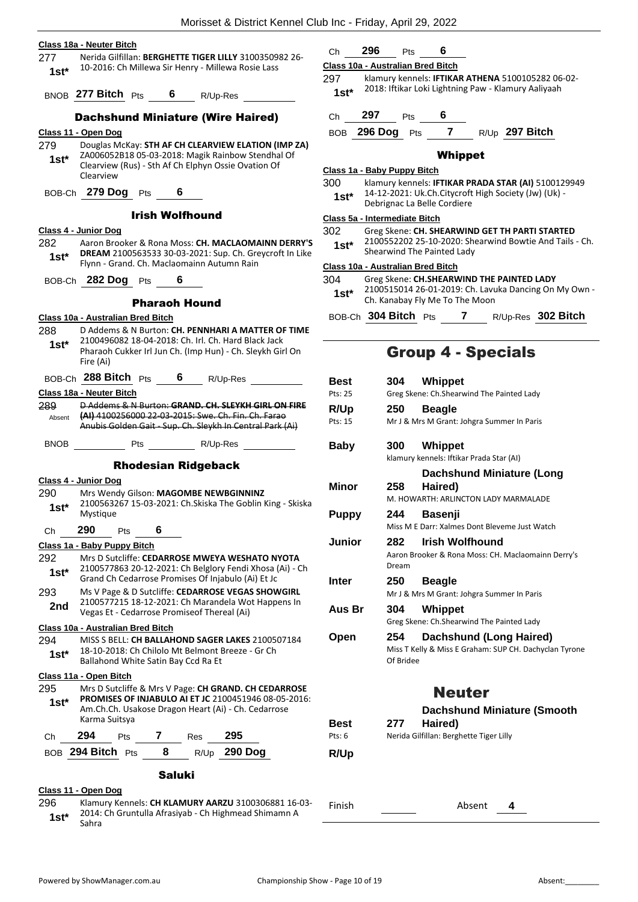#### **Class 18a - Neuter Bitch**

277 Nerida Gilfillan: **BERGHETTE TIGER LILLY** 3100350982 26- 10-2016: Ch Millewa Sir Henry - Millewa Rosie Lass **1st\***

BNOB **277 Bitch** Pts **6** R/Up-Res

#### Dachshund Miniature (Wire Haired)

**Class 11 - Open Dog**

279 Douglas McKay: **STH AF CH CLEARVIEW ELATION (IMP ZA)** ZA006052B18 05-03-2018: Magik Rainbow Stendhal Of Clearview (Rus) - Sth Af Ch Elphyn Ossie Ovation Of Clearview **1st\***

BOB-Ch **279 Dog** Pts **6**

#### Irish Wolfhound

#### **Class 4 - Junior Dog**

282 Aaron Brooker & Rona Moss: **CH. MACLAOMAINN DERRY'S DREAM** 2100563533 30-03-2021: Sup. Ch. Greycroft In Like Flynn - Grand. Ch. Maclaomainn Autumn Rain **1st\***

BOB-Ch **282 Dog** Pts **6**

#### Pharaoh Hound

#### **Class 10a - Australian Bred Bitch**

- 288 D Addems & N Burton: **CH. PENNHARI A MATTER OF TIME** 2100496082 18-04-2018: Ch. Irl. Ch. Hard Black Jack Pharaoh Cukker Irl Jun Ch. (Imp Hun) - Ch. Sleykh Girl On **1st\***
- Fire (Ai) BOB-Ch **288 Bitch** Pts **6** R/Up-Res

#### **Class 18a - Neuter Bitch**

289 D Addems & N Burton: **GRAND. CH. SLEYKH GIRL ON FIRE (AI)** 4100256000 22-03-2015: Swe. Ch. Fin. Ch. Farao Anubis Golden Gait - Sup. Ch. Sleykh In Central Park (Ai) Absent

## BNOB Pts R/Up-Res

#### Rhodesian Ridgeback

**Class 4 - Junior Dog**

- 290 Mrs Wendy Gilson: **MAGOMBE NEWBGINNINZ**
- 2100563267 15-03-2021: Ch.Skiska The Goblin King Skiska Mystique **1st\***

## Ch **290** Pts **6 Class 1a - Baby Puppy Bitch**

- 292 Mrs D Sutcliffe: **CEDARROSE MWEYA WESHATO NYOTA** 2100577863 20-12-2021: Ch Belglory Fendi Xhosa (Ai) - Ch Grand Ch Cedarrose Promises Of Injabulo (Ai) Et Jc **1st\***
- 293 Ms V Page & D Sutcliffe: **CEDARROSE VEGAS SHOWGIRL** 2100577215 18-12-2021: Ch Marandela Wot Happens In 2nd 2100577215 18-12-2021: Ch Marandela Wo<br>Vegas Et - Cedarrose Promiseof Thereal (Ai)

#### **Class 10a - Australian Bred Bitch**

294 MISS S BELL: **CH BALLAHOND SAGER LAKES** 2100507184 18-10-2018: Ch Chilolo Mt Belmont Breeze - Gr Ch **1st\*** I<sup>8-10-2018: Ch Childio Mt Belmont **1**<br>Ballahond White Satin Bay Ccd Ra Et</sup>

#### **Class 11a - Open Bitch**

295 Mrs D Sutcliffe & Mrs V Page: **CH GRAND. CH CEDARROSE PROMISES OF INJABULO AI ET JC** 2100451946 08-05-2016: Am.Ch.Ch. Usakose Dragon Heart (Ai) - Ch. Cedarrose Karma Suitsya **1st\*** Ch **294** Pts **7** Res **295** BOB **294 Bitch** Pts **8** R/Up **290 Dog**

# Saluki

## **Class 11 - Open Dog**

296 Klamury Kennels: **CH KLAMURY AARZU** 3100306881 16-03- 2014: Ch Gruntulla Afrasiyab - Ch Highmead Shimamn A **1st**\* <sup>2014:</sup><br>Sahra

Ch **296** Pts **6**

## **Class 10a - Australian Bred Bitch**

- 297 klamury kennels: **IFTIKAR ATHENA** 5100105282 06-02- 2018: Iftikar Loki Lightning Paw - Klamury Aaliyaah **1st\***
- Ch **297** Pts **6**

BOB **296 Dog** Pts **7** R/Up **297 Bitch**

#### Whippet

#### **Class 1a - Baby Puppy Bitch**

300 klamury kennels: **IFTIKAR PRADA STAR (AI)** 5100129949 14-12-2021: Uk.Ch.Citycroft High Society (Jw) (Uk) - **1st** 14-12-2021: UK.CH.CH.CH.<br>Debrignac La Belle Cordiere

#### **Class 5a - Intermediate Bitch**

- 302 Greg Skene: **CH. SHEARWIND GET TH PARTI STARTED**
- 2100552202 25-10-2020: Shearwind Bowtie And Tails Ch. Shearwind The Painted Lady **1st\***

#### **Class 10a - Australian Bred Bitch**

- 304 Greg Skene: **CH.SHEARWIND THE PAINTED LADY**
- 2100515014 26-01-2019: Ch. Lavuka Dancing On My Own **1st** 2100515014 26-01-2019: Ch. Lavenue Ch. Kanabay Fly Me To The Moon
- BOB-Ch **304 Bitch** Pts **7** R/Up-Res **302 Bitch**

## Group 4 - Specials

| Best         | 304              | Whippet                                                                                  |
|--------------|------------------|------------------------------------------------------------------------------------------|
| Pts: 25      |                  | Greg Skene: Ch.Shearwind The Painted Lady                                                |
| <b>R/Up</b>  | 250              | <b>Beagle</b>                                                                            |
| Pts: 15      |                  | Mr J & Mrs M Grant: Johgra Summer In Paris                                               |
| Baby         | 300              | <b>Whippet</b>                                                                           |
|              |                  | klamury kennels: Iftikar Prada Star (AI)                                                 |
|              |                  | <b>Dachshund Miniature (Long</b>                                                         |
| <b>Minor</b> | 258              | Haired)                                                                                  |
|              |                  | M. HOWARTH: ARLINCTON LADY MARMALADE                                                     |
| <b>Puppy</b> | 244              | <b>Basenji</b>                                                                           |
|              |                  | Miss M E Darr: Xalmes Dont Bleveme Just Watch                                            |
| Junior       | 282              | Irish Wolfhound                                                                          |
|              | Dream            | Aaron Brooker & Rona Moss: CH. Maclaomainn Derry's                                       |
| Inter        | 250              | <b>Beagle</b>                                                                            |
|              |                  | Mr J & Mrs M Grant: Johgra Summer In Paris                                               |
| Aus Br       | 304              | Whippet                                                                                  |
|              |                  | Greg Skene: Ch.Shearwind The Painted Lady                                                |
| Open         | 254<br>Of Bridee | <b>Dachshund (Long Haired)</b><br>Miss T Kelly & Miss E Graham: SUP CH. Dachyclan Tyrone |
|              |                  | <b>Neuter</b>                                                                            |
|              |                  | <b>Dachshund Miniature (Smooth</b>                                                       |
| Best         | 277              | Haired)                                                                                  |
| Pts: 6       |                  | Nerida Gilfillan: Berghette Tiger Lilly                                                  |
| R/Up         |                  |                                                                                          |
|              |                  |                                                                                          |

Finish Absent **4**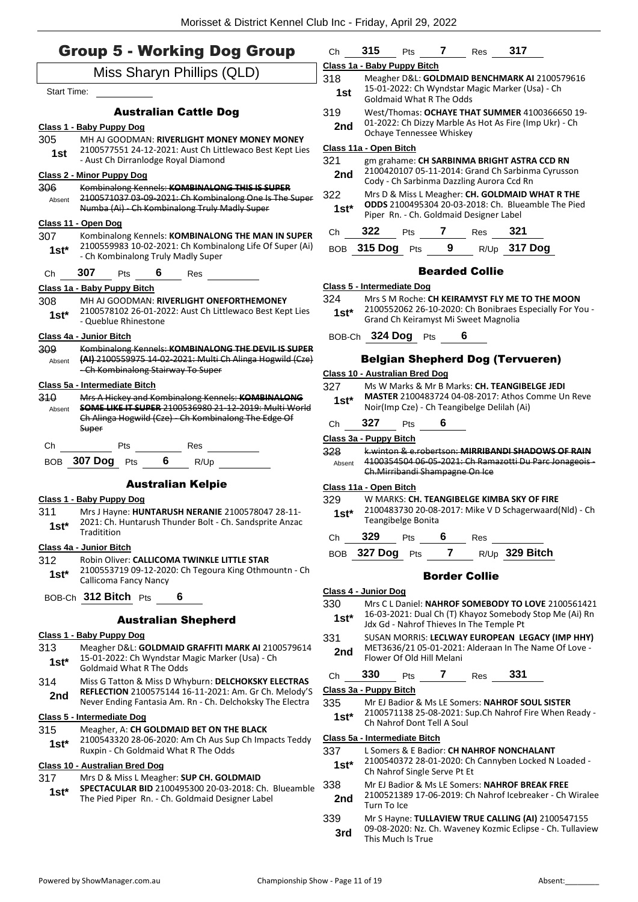|                    | <b>Group 5 - Working Dog Group</b>                                                                                                                                      |                                                      | Class 1a - Baby Puppy Bitch                                                                                                                      |  |  |  |  |
|--------------------|-------------------------------------------------------------------------------------------------------------------------------------------------------------------------|------------------------------------------------------|--------------------------------------------------------------------------------------------------------------------------------------------------|--|--|--|--|
|                    | Miss Sharyn Phillips (QLD)                                                                                                                                              | 318<br>Meagher D&L: GOLDMAID BENCHMARK AI 2100579616 |                                                                                                                                                  |  |  |  |  |
| <b>Start Time:</b> |                                                                                                                                                                         | 1st                                                  | 15-01-2022: Ch Wyndstar Magic Marker (Usa) - Ch<br><b>Goldmaid What R The Odds</b>                                                               |  |  |  |  |
|                    | <b>Australian Cattle Dog</b><br>Class 1 - Baby Puppy Dog                                                                                                                | 319<br>2nd                                           | West/Thomas: OCHAYE THAT SUMMER 4100366650 19-<br>01-2022: Ch Dizzy Marble As Hot As Fire (Imp Ukr) - Ch                                         |  |  |  |  |
| 305                | MH AJ GOODMAN: RIVERLIGHT MONEY MONEY MONEY                                                                                                                             |                                                      | Ochaye Tennessee Whiskey                                                                                                                         |  |  |  |  |
| 1st                | 2100577551 24-12-2021: Aust Ch Littlewaco Best Kept Lies<br>- Aust Ch Dirranlodge Royal Diamond                                                                         | 321                                                  | Class 11a - Open Bitch<br>gm grahame: CH SARBINMA BRIGHT ASTRA CCD RN                                                                            |  |  |  |  |
|                    | <b>Class 2 - Minor Puppy Dog</b>                                                                                                                                        | 2nd                                                  | 2100420107 05-11-2014: Grand Ch Sarbinma Cyrusson<br>Cody - Ch Sarbinma Dazzling Aurora Ccd Rn                                                   |  |  |  |  |
| 306<br>Absent      | Kombinalong Kennels: KOMBINALONG THIS IS SUPER<br>2100571037 03-09-2021: Ch Kombinalong One Is The Super<br>Numba (Ai) Ch Kombinalong Truly Madly Super                 | 322<br>$1st*$                                        | Mrs D & Miss L Meagher: CH. GOLDMAID WHAT R THE<br>ODDS 2100495304 20-03-2018: Ch. Blueamble The Pied<br>Piper Rn. - Ch. Goldmaid Designer Label |  |  |  |  |
|                    | Class 11 - Open Dog                                                                                                                                                     |                                                      | 321<br>322<br>$\mathbf{7}$                                                                                                                       |  |  |  |  |
| 307<br>$1st*$      | Kombinalong Kennels: KOMBINALONG THE MAN IN SUPER<br>2100559983 10-02-2021: Ch Kombinalong Life Of Super (Ai)<br>- Ch Kombinalong Truly Madly Super                     | Ch                                                   | Pts<br>Res<br>BOB 315 Dog Pts<br>9<br>$R/Up$ 317 Dog                                                                                             |  |  |  |  |
| Ch                 | 307<br>6<br>Pts<br><b>Res</b>                                                                                                                                           |                                                      | <b>Bearded Collie</b>                                                                                                                            |  |  |  |  |
|                    | Class 1a - Baby Puppy Bitch                                                                                                                                             |                                                      | <b>Class 5 - Intermediate Dog</b>                                                                                                                |  |  |  |  |
| 308                | MH AJ GOODMAN: RIVERLIGHT ONEFORTHEMONEY                                                                                                                                | 324                                                  | Mrs S M Roche: CH KEIRAMYST FLY ME TO THE MOON                                                                                                   |  |  |  |  |
| $1st*$             | 2100578102 26-01-2022: Aust Ch Littlewaco Best Kept Lies<br>- Queblue Rhinestone                                                                                        | $1st*$                                               | 2100552062 26-10-2020: Ch Bonibraes Especially For You -<br>Grand Ch Keiramyst Mi Sweet Magnolia                                                 |  |  |  |  |
|                    | Class 4a - Junior Bitch                                                                                                                                                 |                                                      | BOB-Ch 324 Dog Pts<br>6                                                                                                                          |  |  |  |  |
| 309<br>Absent      | Kombinalong Kennels: KOMBINALONG THE DEVIL IS SUPER<br>(AI) 2100559975 14-02-2021: Multi Ch Alinga Hogwild (Cze)                                                        |                                                      | <b>Belgian Shepherd Dog (Tervueren)</b>                                                                                                          |  |  |  |  |
|                    | - Ch Kombinalong Stairway To Super                                                                                                                                      |                                                      | Class 10 - Australian Bred Dog                                                                                                                   |  |  |  |  |
|                    | Class 5a - Intermediate Bitch                                                                                                                                           | 327                                                  | Ms W Marks & Mr B Marks: CH. TEANGIBELGE JEDI                                                                                                    |  |  |  |  |
| 310<br>Absent      | Mrs A Hickey and Kombinalong Kennels: KOMBINALONG<br><b>SOME LIKE IT SUPER 2100536980 21-12-2019: Multi World</b><br>Ch Alinga Hogwild (Cze) Ch Kombinalong The Edge Of | $1st*$                                               | <b>MASTER 2100483724 04-08-2017: Athos Comme Un Reve</b><br>Noir(Imp Cze) - Ch Teangibelge Delilah (Ai)                                          |  |  |  |  |
|                    | Super                                                                                                                                                                   | Ch                                                   | 327<br>6<br>Pts                                                                                                                                  |  |  |  |  |
| Ch                 | Pts<br>Res                                                                                                                                                              |                                                      | Class 3a - Puppy Bitch                                                                                                                           |  |  |  |  |
|                    | BOB 307 Dog Pts<br>6<br>R/Up                                                                                                                                            | 328<br>Absent                                        | k.winton & e.robertson: MIRRIBANDI SHADOWS OF RAIN<br>4100354504 06-05-2021: Ch Ramazotti Du Parc Jonageois-<br>Ch. Mirribandi Shampagne On Ice  |  |  |  |  |
|                    | <b>Australian Kelpie</b>                                                                                                                                                |                                                      | Class 11a - Open Bitch                                                                                                                           |  |  |  |  |
|                    | Class 1 - Baby Puppy Dog                                                                                                                                                | 329                                                  | W MARKS: CH. TEANGIBELGE KIMBA SKY OF FIRE                                                                                                       |  |  |  |  |
| 311<br>$1st^*$     | Mrs J Hayne: HUNTARUSH NERANIE 2100578047 28-11-<br>2021: Ch. Huntarush Thunder Bolt - Ch. Sandsprite Anzac                                                             | $1st*$                                               | 2100483730 20-08-2017: Mike V D Schagerwaard(Nld) - Ch<br>Teangibelge Bonita                                                                     |  |  |  |  |
|                    | Traditition                                                                                                                                                             | Ch                                                   | 329<br>Pts<br>6<br>Res                                                                                                                           |  |  |  |  |
|                    | Class 4a - Junior Bitch                                                                                                                                                 |                                                      | R/Up 329 Bitch<br>$\mathbf{7}$<br>BOB 327 Dog Pts                                                                                                |  |  |  |  |
| 312<br>$1st*$      | Robin Oliver: CALLICOMA TWINKLE LITTLE STAR<br>2100553719 09-12-2020: Ch Tegoura King Othmountn - Ch<br>Callicoma Fancy Nancy                                           |                                                      | <b>Border Collie</b>                                                                                                                             |  |  |  |  |
|                    | BOB-Ch 312 Bitch Pts<br>6                                                                                                                                               |                                                      | Class 4 - Junior Dog                                                                                                                             |  |  |  |  |
|                    |                                                                                                                                                                         | 330                                                  | Mrs C L Daniel: NAHROF SOMEBODY TO LOVE 2100561421                                                                                               |  |  |  |  |
|                    | <b>Australian Shepherd</b>                                                                                                                                              | $1st*$                                               | 16-03-2021: Dual Ch (T) Khayoz Somebody Stop Me (Ai) Rn<br>Jdx Gd - Nahrof Thieves In The Temple Pt                                              |  |  |  |  |
| 313                | Class 1 - Baby Puppy Dog<br>Meagher D&L: GOLDMAID GRAFFITI MARK AI 2100579614                                                                                           | 331                                                  | SUSAN MORRIS: LECLWAY EUROPEAN LEGACY (IMP HHY)<br>MET3636/21 05-01-2021: Alderaan In The Name Of Love -                                         |  |  |  |  |
| $1st^*$            | 15-01-2022: Ch Wyndstar Magic Marker (Usa) - Ch<br><b>Goldmaid What R The Odds</b>                                                                                      | 2nd                                                  | Flower Of Old Hill Melani                                                                                                                        |  |  |  |  |
| 314                | Miss G Tatton & Miss D Whyburn: DELCHOKSKY ELECTRAS                                                                                                                     | Ch                                                   | 331<br>330<br>$7^{\circ}$<br>Res<br>Pts                                                                                                          |  |  |  |  |
| 2nd                | REFLECTION 2100575144 16-11-2021: Am. Gr Ch. Melody'S                                                                                                                   |                                                      | Class 3a - Puppy Bitch                                                                                                                           |  |  |  |  |
|                    | Never Ending Fantasia Am. Rn - Ch. Delchoksky The Electra                                                                                                               | 335                                                  | Mr EJ Badior & Ms LE Somers: NAHROF SOUL SISTER<br>2100571138 25-08-2021: Sup.Ch Nahrof Fire When Ready -                                        |  |  |  |  |
|                    | Class 5 - Intermediate Dog                                                                                                                                              | $1st*$                                               | Ch Nahrof Dont Tell A Soul                                                                                                                       |  |  |  |  |
| 315                | Meagher, A: CH GOLDMAID BET ON THE BLACK<br>2100543320 28-06-2020: Am Ch Aus Sup Ch Impacts Teddy                                                                       |                                                      | Class 5a - Intermediate Bitch                                                                                                                    |  |  |  |  |
| $1st*$             | Ruxpin - Ch Goldmaid What R The Odds                                                                                                                                    | 337                                                  | L Somers & E Badior: CH NAHROF NONCHALANT<br>2100540372 28-01-2020: Ch Cannyben Locked N Loaded -                                                |  |  |  |  |
|                    | <b>Class 10 - Australian Bred Dog</b>                                                                                                                                   | 1st*                                                 | Ch Nahrof Single Serve Pt Et                                                                                                                     |  |  |  |  |

- **Class 10 - Australian Bred Dog**
- 317 Mrs D & Miss L Meagher: **SUP CH. GOLDMAID**
- **SPECTACULAR BID** 2100495300 20-03-2018: Ch. Blueamble **1st\* SPECTACULAR BID** 2100495300 20-03-2018: Ch. I<br>The Pied Piper Rn. - Ch. Goldmaid Designer Label
- 338 Mr EJ Badior & Ms LE Somers: **NAHROF BREAK FREE** 2100521389 17-06-2019: Ch Nahrof Icebreaker - Ch Wiralee **2nd** <sup>2100521389</sup><br>Turn To Ice
- 339 Mr S Hayne: **TULLAVIEW TRUE CALLING (AI)** 2100547155 09-08-2020: Nz. Ch. Waveney Kozmic Eclipse - Ch. Tullaview **3rd** 09-08-2020: Nz. C<br>This Much Is True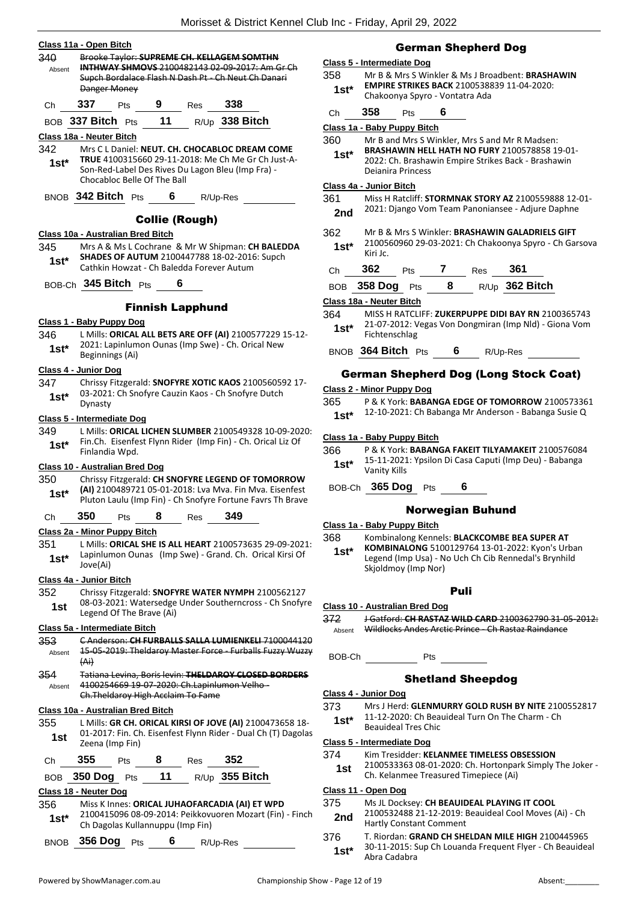#### **Class 11a - Open Bitch**

| 340    |     |              |     | Brooke Taylor: SUPREME CH. KELLAGEM SOMTHN          |                                                       |
|--------|-----|--------------|-----|-----------------------------------------------------|-------------------------------------------------------|
| Absent |     |              |     |                                                     | <b>INTHWAY SHMOVS 2100482143 02-09-2017: Am Gr Ch</b> |
|        |     |              |     | Supch Bordalace Flash N Dash Pt - Ch Neut Ch Danari |                                                       |
|        |     | Danger Money |     |                                                     |                                                       |
|        | 337 | Pts          | Res | 338                                                 |                                                       |

BOB **337 Bitch** Pts **11** R/Up **338 Bitch**

#### **Class 18a - Neuter Bitch**

342 Mrs C L Daniel: **NEUT. CH. CHOCABLOC DREAM COME TRUE** 4100315660 29-11-2018: Me Ch Me Gr Ch Just-A-Son-Red-Label Des Rives Du Lagon Bleu (Imp Fra) - Chocabloc Belle Of The Ball **1st\***

BNOB **342 Bitch** Pts **6** R/Up-Res

## Collie (Rough)

#### **Class 10a - Australian Bred Bitch**

345 Mrs A & Ms L Cochrane & Mr W Shipman: **CH BALEDDA SHADES OF AUTUM** 2100447788 18-02-2016: Supch Cathkin Howzat - Ch Baledda Forever Autum **1st\***

BOB-Ch **345 Bitch** Pts **6**

### Finnish Lapphund

#### **Class 1 - Baby Puppy Dog**

346 L Mills: **ORICAL ALL BETS ARE OFF (AI)** 2100577229 15-12- 2021: Lapinlumon Ounas (Imp Swe) - Ch. Orical New **1st**\* <sup>2021:</sup> Lapinlum<br>Beginnings (Ai)

#### **Class 4 - Junior Dog**

347 Chrissy Fitzgerald: **SNOFYRE XOTIC KAOS** 2100560592 17- 03-2021: Ch Snofyre Cauzin Kaos - Ch Snofyre Dutch Dynasty **1st\***

#### **Class 5 - Intermediate Dog**

349 L Mills: **ORICAL LICHEN SLUMBER** 2100549328 10-09-2020: Fin.Ch. Eisenfest Flynn Rider (Imp Fin) - Ch. Orical Liz Of Finlandia Wpd. **1st\***

#### **Class 10 - Australian Bred Dog**

350 Chrissy Fitzgerald: **CH SNOFYRE LEGEND OF TOMORROW (AI)** 2100489721 05-01-2018: Lva Mva. Fin Mva. Eisenfest Pluton Laulu (Imp Fin) - Ch Snofyre Fortune Favrs Th Brave **1st\***

Ch **350** Pts **8** Res **349**

#### **Class 2a - Minor Puppy Bitch**

351 L Mills: **ORICAL SHE IS ALL HEART** 2100573635 29-09-2021: Lapinlumon Ounas (Imp Swe) - Grand. Ch. Orical Kirsi Of Jove(Ai) **1st\***

#### **Class 4a - Junior Bitch**

352 Chrissy Fitzgerald: **SNOFYRE WATER NYMPH** 2100562127 08-03-2021: Watersedge Under Southerncross - Ch Snofyre **1st** U<sub>8</sub>-03-2021: Watersedge<br>Legend Of The Brave (Ai)

#### **Class 5a - Intermediate Bitch**

- 353 C Anderson: **CH FURBALLS SALLA LUMIENKELI** 7100044120 15-05-2019: Theldaroy Master Force - Furballs Fuzzy Wuzzy (Ai) Absent
- 354 Tatiana Levina, Boris levin: **THELDAROY CLOSED BORDERS** 4100254669 19-07-2020: Ch.Lapinlumon Velho - Ch.Theldaroy High Acclaim To Fame Absent

#### **Class 10a - Australian Bred Bitch**

- 355 L Mills: **GR CH. ORICAL KIRSI OF JOVE (AI)** 2100473658 18- 01-2017: Fin. Ch. Eisenfest Flynn Rider - Dual Ch (T) Dagolas **1st**  $\frac{01-201}{i}$ : Fin. Ch
- Ch **355** Pts **8** Res **352**

BOB **350 Dog** Pts **11** R/Up **355 Bitch**

#### **Class 18 - Neuter Dog**

- 356 Miss K Innes: **ORICAL JUHAOFARCADIA (AI) ET WPD**
- 2100415096 08-09-2014: Peikkovuoren Mozart (Fin) Finch 1st\* 2100415096 08-09-2014: Pelkkovi<br>Ch Dagolas Kullannuppu (Imp Fin)
- BNOB **356 Dog** Pts **6** R/Up-Res

## German Shepherd Dog

#### **Class 5 - Intermediate Dog**

- 358 Mr B & Mrs S Winkler & Ms J Broadbent: **BRASHAWIN EMPIRE STRIKES BACK** 2100538839 11-04-2020: 1st\* **EMPIRE STRIKES BACK** 21005388<br>Chakoonya Spyro - Vontatra Ada
- Ch **358** Pts **6**

#### **Class 1a - Baby Puppy Bitch**

- 360 Mr B and Mrs S Winkler, Mrs S and Mr R Madsen:
- **BRASHAWIN HELL HATH NO FURY** 2100578858 19-01- 2022: Ch. Brashawin Empire Strikes Back - Brashawin Deianira Princess **1st\***

#### **Class 4a - Junior Bitch**

- 361 Miss H Ratcliff: **STORMNAK STORY AZ** 2100559888 12-01-
- 2nd 2021: Django Vom Team Panoniansee Adjure Daphne
- 362 Mr B & Mrs S Winkler: **BRASHAWIN GALADRIELS GIFT**
- 2100560960 29-03-2021: Ch Chakoonya Spyro Ch Garsova **1st**\*  $\frac{21005}{100}$

| $\mathbf{r}$ | 362 | ເວ |  | 361 |
|--------------|-----|----|--|-----|
|              |     |    |  |     |

| BOB 358 Dog Pts |  | $R/Up$ 362 Bitch |
|-----------------|--|------------------|
|                 |  |                  |

#### **Class 18a - Neuter Bitch**

364 MISS H RATCLIFF: **ZUKERPUPPE DIDI BAY RN** 2100365743 21-07-2012: Vegas Von Dongmiran (Imp Nld) - Giona Vom 1st\* <sup>21-07-2012. v</sup><br>Fichtenschlag

BNOB **364 Bitch** Pts **6** R/Up-Res

## German Shepherd Dog (Long Stock Coat)

#### **Class 2 - Minor Puppy Dog**

- 365 P & K York: **BABANGA EDGE OF TOMORROW** 2100573361
	- 12-10-2021: Ch Babanga Mr Anderson Babanga Susie Q **1st\***

#### **Class 1a - Baby Puppy Bitch**

- 366 P & K York: **BABANGA FAKEIT TILYAMAKEIT** 2100576084 15-11-2021: Ypsilon Di Casa Caputi (Imp Deu) - Babanga Vanity Kills **1st\***
- BOB-Ch **365 Dog** Pts **6**

### Norwegian Buhund

**Class 1a - Baby Puppy Bitch**

368 Kombinalong Kennels: **BLACKCOMBE BEA SUPER AT KOMBINALONG** 5100129764 13-01-2022: Kyon's Urban Legend (Imp Usa) - No Uch Ch Cib Rennedal's Brynhild Skjoldmoy (Imp Nor) **1st\***

#### Puli

- **Class 10 - Australian Bred Dog**
- 372 J Gatford: **CH RASTAZ WILD CARD** 2100362790 31-05-2012: Absent Wildlocks Andes Arctic Prince - Ch Rastaz Raindance

BOB-Ch Pts

#### Shetland Sheepdog

#### **Class 4 - Junior Dog**

- 373 Mrs J Herd: **GLENMURRY GOLD RUSH BY NITE** 2100552817 11-12-2020: Ch Beauideal Turn On The Charm - Ch
- **1st**\* **11-12-2020**: Chief Beauideal Tres Chic

## **Class 5 - Intermediate Dog**

- 374 Kim Tresidder: **KELANMEE TIMELESS OBSESSION**
	- 2100533363 08-01-2020: Ch. Hortonpark Simply The Joker 1st <sup>2100555565</sup> 08-01-2020: Ch. Hortonpar

#### **Class 11 - Open Dog**

#### 375 Ms JL Docksey: **CH BEAUIDEAL PLAYING IT COOL**

- 2100532488 21-12-2019: Beauideal Cool Moves (Ai) Ch 2nd <sup>2100532488</sup> <sup>21-12-2019</sup>
- 376 T. Riordan: **GRAND CH SHELDAN MILE HIGH** 2100445965 30-11-2015: Sup Ch Louanda Frequent Flyer - Ch Beauideal 1st<sup>\*</sup> <sup>30-11-2015: 5</sup><br>Abra Cadabra

- -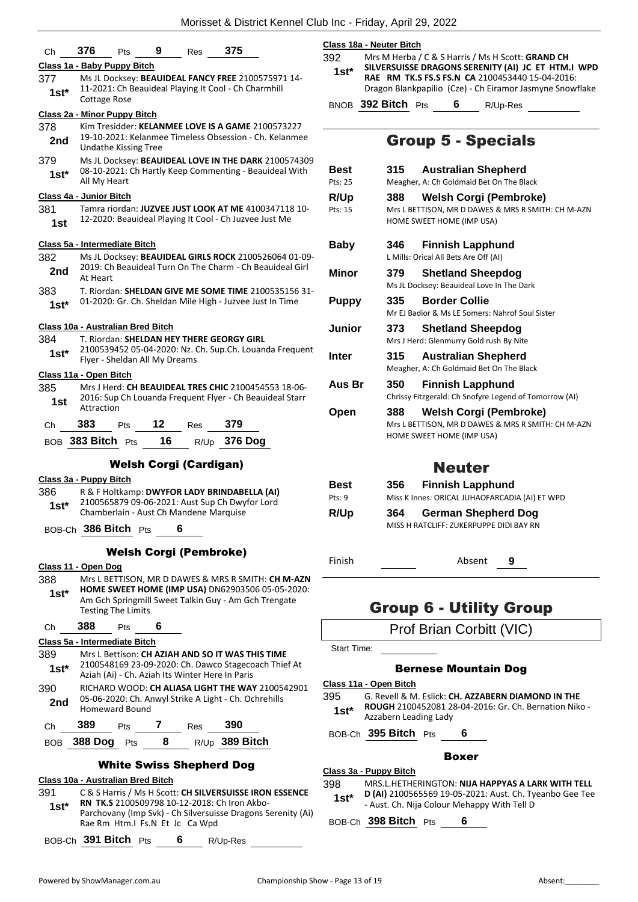| Ch      | 376<br>Pts                                      | 9                               | Res  | 375                                                                                                              |  |
|---------|-------------------------------------------------|---------------------------------|------|------------------------------------------------------------------------------------------------------------------|--|
|         | Class 1a - Baby Puppy Bitch                     |                                 |      |                                                                                                                  |  |
| 377     |                                                 |                                 |      | Ms JL Docksey: BEAUIDEAL FANCY FREE 2100575971 14-                                                               |  |
| 1st*    |                                                 |                                 |      | 11-2021: Ch Beauideal Playing It Cool - Ch Charmhill                                                             |  |
|         | Cottage Rose                                    |                                 |      |                                                                                                                  |  |
|         | Class 2a - Minor Puppy Bitch                    |                                 |      |                                                                                                                  |  |
| 378     |                                                 |                                 |      | Kim Tresidder: KELANMEE LOVE IS A GAME 2100573227                                                                |  |
| 2nd     |                                                 |                                 |      | 19-10-2021: Kelanmee Timeless Obsession - Ch. Kelanmee                                                           |  |
| 379     | Undathe Kissing Tree                            |                                 |      | Ms JL Docksey: BEAUIDEAL LOVE IN THE DARK 2100574309                                                             |  |
| $1st*$  |                                                 |                                 |      | 08-10-2021: Ch Hartly Keep Commenting - Beauideal With                                                           |  |
|         | All My Heart                                    |                                 |      |                                                                                                                  |  |
|         | <b>Class 4a - Junior Bitch</b>                  |                                 |      |                                                                                                                  |  |
| 381     |                                                 |                                 |      | Tamra riordan: JUZVEE JUST LOOK AT ME 4100347118 10-                                                             |  |
| 1st     |                                                 |                                 |      | 12-2020: Beauideal Playing It Cool - Ch Juzvee Just Me                                                           |  |
|         | Class 5a - Intermediate Bitch                   |                                 |      |                                                                                                                  |  |
| 382     |                                                 |                                 |      | Ms JL Docksey: BEAUIDEAL GIRLS ROCK 2100526064 01-09-                                                            |  |
| 2nd     |                                                 |                                 |      | 2019: Ch Beauideal Turn On The Charm - Ch Beauideal Girl                                                         |  |
|         | At Heart                                        |                                 |      |                                                                                                                  |  |
| 383     |                                                 |                                 |      | T. Riordan: SHELDAN GIVE ME SOME TIME 2100535156 31-                                                             |  |
| $1st*$  |                                                 |                                 |      | 01-2020: Gr. Ch. Sheldan Mile High - Juzvee Just In Time                                                         |  |
|         | Class 10a - Australian Bred Bitch               |                                 |      |                                                                                                                  |  |
| 384     |                                                 |                                 |      | T. Riordan: SHELDAN HEY THERE GEORGY GIRL                                                                        |  |
| $1st*$  |                                                 |                                 |      | 2100539452 05-04-2020: Nz. Ch. Sup.Ch. Louanda Frequent                                                          |  |
|         | Flyer - Sheldan All My Dreams                   |                                 |      |                                                                                                                  |  |
|         | Class 11a - Open Bitch                          |                                 |      |                                                                                                                  |  |
| 385     |                                                 |                                 |      | Mrs J Herd: CH BEAUIDEAL TRES CHIC 2100454553 18-06-<br>2016: Sup Ch Louanda Frequent Flyer - Ch Beauideal Starr |  |
| 1st     | Attraction                                      |                                 |      |                                                                                                                  |  |
| Ch      | 383<br>Pts                                      | 12                              | Res  | 379                                                                                                              |  |
|         | BOB 383 Bitch Pts                               | 16                              | R/Up | 376 Dog                                                                                                          |  |
|         |                                                 |                                 |      |                                                                                                                  |  |
|         |                                                 | <b>Welsh Corgi (Cardigan)</b>   |      |                                                                                                                  |  |
|         | Class 3a - Puppy Bitch                          |                                 |      |                                                                                                                  |  |
| 386     |                                                 |                                 |      | R & F Holtkamp: DWYFOR LADY BRINDABELLA (AI)<br>2100565879 09-06-2021: Aust Sup Ch Dwyfor Lord                   |  |
| $1st*$  | Chamberlain - Aust Ch Mandene Marquise          |                                 |      |                                                                                                                  |  |
|         | BOB-Ch 386 Bitch Pts 6                          |                                 |      |                                                                                                                  |  |
|         |                                                 |                                 |      |                                                                                                                  |  |
|         |                                                 | <b>Welsh Corgi (Pembroke)</b>   |      |                                                                                                                  |  |
|         | Class 11 - Open Dog                             |                                 |      |                                                                                                                  |  |
| 388     |                                                 |                                 |      | Mrs L BETTISON, MR D DAWES & MRS R SMITH: CH M-AZN<br>HOME SWEET HOME (IMP USA) DN62903506 05-05-2020:           |  |
| $1st*$  |                                                 |                                 |      | Am Gch Springmill Sweet Talkin Guy - Am Gch Trengate                                                             |  |
|         | <b>Testing The Limits</b>                       |                                 |      |                                                                                                                  |  |
| Ch      | 388                                             | Pts 6                           |      |                                                                                                                  |  |
|         | Class 5a - Intermediate Bitch                   |                                 |      |                                                                                                                  |  |
| 389     |                                                 |                                 |      | Mrs L Bettison: CH AZIAH AND SO IT WAS THIS TIME                                                                 |  |
| $1st^*$ | Aziah (Ai) - Ch. Aziah Its Winter Here In Paris |                                 |      | 2100548169 23-09-2020: Ch. Dawco Stagecoach Thief At                                                             |  |
| 390     |                                                 |                                 |      | RICHARD WOOD: CH ALIASA LIGHT THE WAY 2100542901                                                                 |  |
| 2nd     |                                                 |                                 |      | 05-06-2020: Ch. Anwyl Strike A Light - Ch. Ochrehills                                                            |  |
|         | <b>Homeward Bound</b>                           |                                 |      |                                                                                                                  |  |
| Ch      | 389 Pts 7 Res 390                               |                                 |      |                                                                                                                  |  |
|         | BOB 388 Dog Pts 8 R/Up 389 Bitch                |                                 |      |                                                                                                                  |  |
|         |                                                 | <b>White Swiss Shepherd Dog</b> |      |                                                                                                                  |  |
|         | Class 10a - Australian Bred Bitch               |                                 |      |                                                                                                                  |  |
| 391     |                                                 |                                 |      | C & S Harris / Ms H Scott: CH SILVERSUISSE IRON ESSENCE                                                          |  |
| $1st^*$ |                                                 |                                 |      | RN TK.S 2100509798 10-12-2018: Ch Iron Akbo-                                                                     |  |
|         |                                                 |                                 |      | Parchovany (Imp Svk) - Ch Silversuisse Dragons Serenity (Ai)                                                     |  |

#### **Class 18a - Neuter Bitch**

392 Mrs M Herba / C & S Harris / Ms H Scott: **GRAND CH SILVERSUISSE DRAGONS SERENITY (AI) JC ET HTM.I WPD RAE RM TK.S FS.S FS.N CA** 2100453440 15-04-2016: Dragon Blankpapilio (Cze) - Ch Eiramor Jasmyne Snowflake **1st\***

BNOB **392 Bitch** Pts **6** R/Up-Res

## Group 5 - Specials

| Best         | 315 | <b>Australian Shepherd</b>                             |
|--------------|-----|--------------------------------------------------------|
| Pts: 25      |     | Meagher, A: Ch Goldmaid Bet On The Black               |
| R/Up         | 388 | <b>Welsh Corgi (Pembroke)</b>                          |
| Pts: 15      |     | Mrs L BETTISON, MR D DAWES & MRS R SMITH: CH M-AZN     |
|              |     | HOME SWEET HOME (IMP USA)                              |
| <b>Baby</b>  | 346 | <b>Finnish Lapphund</b>                                |
|              |     | L Mills: Orical All Bets Are Off (AI)                  |
| Minor        | 379 | <b>Shetland Sheepdog</b>                               |
|              |     | Ms JL Docksey: Beauideal Love In The Dark              |
| <b>Puppy</b> | 335 | <b>Border Collie</b>                                   |
|              |     | Mr EJ Badior & Ms LE Somers: Nahrof Soul Sister        |
| Junior       | 373 | <b>Shetland Sheepdog</b>                               |
|              |     | Mrs J Herd: Glenmurry Gold rush By Nite                |
| Inter        | 315 | <b>Australian Shepherd</b>                             |
|              |     | Meagher, A: Ch Goldmaid Bet On The Black               |
| Aus Br       | 350 | <b>Finnish Lapphund</b>                                |
|              |     | Chrissy Fitzgerald: Ch Snofyre Legend of Tomorrow (AI) |
| Open         | 388 | <b>Welsh Corgi (Pembroke)</b>                          |
|              |     | Mrs L BETTISON, MR D DAWES & MRS R SMITH: CH M-AZN     |
|              |     | HOME SWEET HOME (IMP USA)                              |
|              |     |                                                        |
|              |     | Neuter                                                 |
| Best         | 356 | Finnish Lannhund                                       |

| <b>Best</b> | 356 | <b>Finnish Lapphund</b>                                        |
|-------------|-----|----------------------------------------------------------------|
| Pts: 9      |     | Miss K Innes: ORICAL JUHAOFARCADIA (AI) ET WPD                 |
| R/Up        | 364 | German Shepherd Dog<br>MISS H RATCLIFF: ZUKERPUPPE DIDI BAY RN |
|             |     |                                                                |

Finish Absent **9**

## Group 6 - Utility Group

Prof Brian Corbitt (VIC)

Start Time:

## Bernese Mountain Dog

## **Class 11a - Open Bitch**

- 395 G. Revell & M. Eslick: **CH. AZZABERN DIAMOND IN THE ROUGH** 2100452081 28-04-2016: Gr. Ch. Bernation Niko -
- Azzabern Leading Lady **1st\***

BOB-Ch **395 Bitch** Pts **6**

## Boxer

**Class 3a - Puppy Bitch** 398 MRS.L.HETHERINGTON: **NIJA HAPPYAS A LARK WITH TELL** 

- **D (AI)** 2100565569 19-05-2021: Aust. Ch. Tyeanbo Gee Tee **1st\*** D (AI) 2100565569 19-05-2021: Aust. Ch. Ty<br>Aust. Ch. Nija Colour Mehappy With Tell D
- BOB-Ch **398 Bitch** Pts **6**

Rae Rm Htm.I Fs.N Et Jc Ca Wpd

BOB-Ch **391 Bitch** Pts **6** R/Up-Res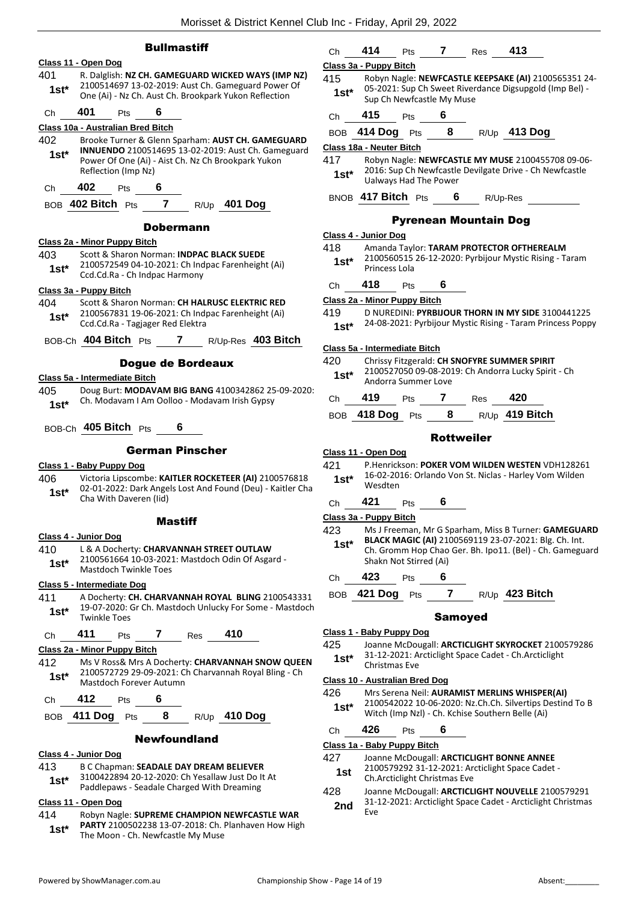## **Bullmastiff**

### **Class 11 - Open Dog**

- 401 R. Dalglish: **NZ CH. GAMEGUARD WICKED WAYS (IMP NZ)** 2100514697 13-02-2019: Aust Ch. Gameguard Power Of **1st** 2100514697 13-02-2019: Aust Ch. Gameguard Power<br>One (Ai) - Nz Ch. Aust Ch. Brookpark Yukon Reflection
- Ch **401** Pts **6**

#### **Class 10a - Australian Bred Bitch**

- 402 Brooke Turner & Glenn Sparham: **AUST CH. GAMEGUARD INNUENDO** 2100514695 13-02-2019: Aust Ch. Gameguard Power Of One (Ai) - Aist Ch. Nz Ch Brookpark Yukon Reflection (Imp Nz) **1st\***
- Ch **402** Pts **6**

BOB **402 Bitch** Pts **7** R/Up **401 Dog**

#### Dobermann

#### **Class 2a - Minor Puppy Bitch**

- 403 Scott & Sharon Norman: **INDPAC BLACK SUEDE** 2100572549 04-10-2021: Ch Indpac Farenheight (Ai)
- 1st\* 2100572549 04-10-2021: Ch Indebted Ccd.Cd.Ra Ch Indpac Harmony

#### **Class 3a - Puppy Bitch**

- 404 Scott & Sharon Norman: **CH HALRUSC ELEKTRIC RED** 2100567831 19-06-2021: Ch Indpac Farenheight (Ai) Ccd.Cd.Ra - Tagjager Red Elektra **1st\***
- BOB-Ch **404 Bitch** Pts **7** R/Up-Res **403 Bitch**

#### Dogue de Bordeaux

#### **Class 5a - Intermediate Bitch**

405 Doug Burt: **MODAVAM BIG BANG** 4100342862 25-09-2020: Ch. Modavam I Am Oolloo - Modavam Irish Gypsy **1st\***

## BOB-Ch **405 Bitch** Pts **6**

## German Pinscher

#### **Class 1 - Baby Puppy Dog**

406 Victoria Lipscombe: **KAITLER ROCKETEER (AI)** 2100576818 02-01-2022: Dark Angels Lost And Found (Deu) - Kaitler Cha **1st**\* UZ-UI-ZUZZ: Dark Ange

#### **Mastiff**

#### **Class 4 - Junior Dog**

- 410 L & A Docherty: **CHARVANNAH STREET OUTLAW**
- 2100561664 10-03-2021: Mastdoch Odin Of Asgard 1st\* <sup>21005</sup>bb4 10-03-2023<br>Mastdoch Twinkle Toes

#### **Class 5 - Intermediate Dog**

411 A Docherty: **CH. CHARVANNAH ROYAL BLING** 2100543331 19-07-2020: Gr Ch. Mastdoch Unlucky For Some - Mastdoch **1st\* 19-07-2020:**<br>Twinkle Toes

## Ch **411** Pts **7** Res **410**

### **Class 2a - Minor Puppy Bitch**

- 412 Ms V Ross& Mrs A Docherty: **CHARVANNAH SNOW QUEEN** 2100572729 29-09-2021: Ch Charvannah Royal Bling - Ch Mastdoch Forever Autumn **1st\***
- Ch **412** Pts **6**
- BOB **411 Dog** Pts **8** R/Up **410 Dog**

#### Newfoundland

### **Class 4 - Junior Dog**

- 413 B C Chapman: **SEADALE DAY DREAM BELIEVER**
- 3100422894 20-12-2020: Ch Yesallaw Just Do It At Paddlepaws - Seadale Charged With Dreaming **1st\***
- 

### **Class 11 - Open Dog**

414 Robyn Nagle: **SUPREME CHAMPION NEWFCASTLE WAR PARTY** 2100502238 13-07-2018: Ch. Planhaven How High **1st\*** PARTY 2100502238 13-07-2018: Ch.<br>The Moon - Ch. Newfcastle My Muse

|         | Class 3a - Puppy Bitch        |                                                                                                                 |                   |                              |                                                            |  |
|---------|-------------------------------|-----------------------------------------------------------------------------------------------------------------|-------------------|------------------------------|------------------------------------------------------------|--|
| 415     |                               | Robyn Nagle: NEWFCASTLE KEEPSAKE (AI) 2100565351 24-<br>05-2021: Sup Ch Sweet Riverdance Digsupgold (Imp Bel) - |                   |                              |                                                            |  |
| $1st^*$ | Sup Ch Newfcastle My Muse     |                                                                                                                 |                   |                              |                                                            |  |
| Ch      | 415                           | <b>Pts</b>                                                                                                      | 6                 |                              |                                                            |  |
|         |                               |                                                                                                                 |                   |                              | BOB 414 Dog Pts 8 R/Up 413 Dog                             |  |
|         | Class 18a - Neuter Bitch      |                                                                                                                 |                   |                              |                                                            |  |
| 417     |                               |                                                                                                                 |                   |                              | Robyn Nagle: NEWFCASTLE MY MUSE 2100455708 09-06-          |  |
| $1st^*$ | Ualways Had The Power         |                                                                                                                 |                   |                              | 2016: Sup Ch Newfcastle Devilgate Drive - Ch Newfcastle    |  |
|         | BNOB 417 Bitch Pts 6 R/Up-Res |                                                                                                                 |                   |                              |                                                            |  |
|         |                               |                                                                                                                 |                   | <b>Pyrenean Mountain Dog</b> |                                                            |  |
|         | Class 4 - Junior Dog          |                                                                                                                 |                   |                              |                                                            |  |
| 418     |                               |                                                                                                                 |                   |                              | Amanda Taylor: TARAM PROTECTOR OFTHEREALM                  |  |
| $1st^*$ |                               |                                                                                                                 |                   |                              | 2100560515 26-12-2020: Pyrbijour Mystic Rising - Taram     |  |
|         | Princess Lola                 |                                                                                                                 |                   |                              |                                                            |  |
|         | Ch <b>418</b> Pts             |                                                                                                                 | 6.                |                              |                                                            |  |
|         | Class 2a - Minor Puppy Bitch  |                                                                                                                 |                   |                              |                                                            |  |
| 419     |                               |                                                                                                                 |                   |                              | D NUREDINI: PYRBIJOUR THORN IN MY SIDE 3100441225          |  |
| $1st^*$ |                               |                                                                                                                 |                   |                              | 24-08-2021: Pyrbijour Mystic Rising - Taram Princess Poppy |  |
|         | Class 5a - Intermediate Bitch |                                                                                                                 |                   |                              |                                                            |  |
| 420     |                               |                                                                                                                 |                   |                              | Chrissy Fitzgerald: CH SNOFYRE SUMMER SPIRIT               |  |
| 1st*    | Andorra Summer Love           |                                                                                                                 |                   |                              | 2100527050 09-08-2019: Ch Andorra Lucky Spirit - Ch        |  |
| Ch      | 419 Pts 7 Res 420             |                                                                                                                 |                   |                              |                                                            |  |
|         |                               |                                                                                                                 |                   |                              | BOB 418 Dog Pts 8 R/Up 419 Bitch                           |  |
|         |                               |                                                                                                                 | <b>Rottweiler</b> |                              |                                                            |  |
|         | Class 11 - Open Dog           |                                                                                                                 |                   |                              |                                                            |  |
| 421     |                               |                                                                                                                 |                   |                              | P.Henrickson: POKER VOM WILDEN WESTEN VDH128261            |  |

Ch **414** Pts **7** Res **413**

16-02-2016: Orlando Von St. Niclas - Harley Vom Wilden Wesdten **1st\***

Ch **421** Pts **6**

## **Class 3a - Puppy Bitch**

- 423 Ms J Freeman, Mr G Sparham, Miss B Turner: **GAMEGUARD BLACK MAGIC (AI)** 2100569119 23-07-2021: Blg. Ch. Int. Ch. Gromm Hop Chao Ger. Bh. Ipo11. (Bel) - Ch. Gameguard Shakn Not Stirred (Ai) **1st\***
- Ch **423** Pts **6**
- BOB **421 Dog** Pts **7** R/Up **423 Bitch**

#### Samoyed

## **Class 1 - Baby Puppy Dog**

- 425 Joanne McDougall: **ARCTICLIGHT SKYROCKET** 2100579286
- 31-12-2021: Arcticlight Space Cadet Ch.Arcticlight **1st**\* <sup>31-12-2021: A<br>Christmas Eve</sup>

#### **Class 10 - Australian Bred Dog**

- 426 Mrs Serena Neil: **AURAMIST MERLINS WHISPER(AI)** 2100542022 10-06-2020: Nz.Ch.Ch. Silvertips Destind To B Witch (Imp Nzl) - Ch. Kchise Southern Belle (Ai) **1st\***
- Ch **426** Pts **6**

#### **Class 1a - Baby Puppy Bitch**

- 427 Joanne McDougall: **ARCTICLIGHT BONNE ANNEE**
	- 2100579292 31-12-2021: Arcticlight Space Cadet **1st 2100579292 31-12-2021:** Arcticlight Christmas Eve
- 428 Joanne McDougall: **ARCTICLIGHT NOUVELLE** 2100579291 31-12-2021: Arcticlight Space Cadet - Arcticlight Christmas Eve **2nd**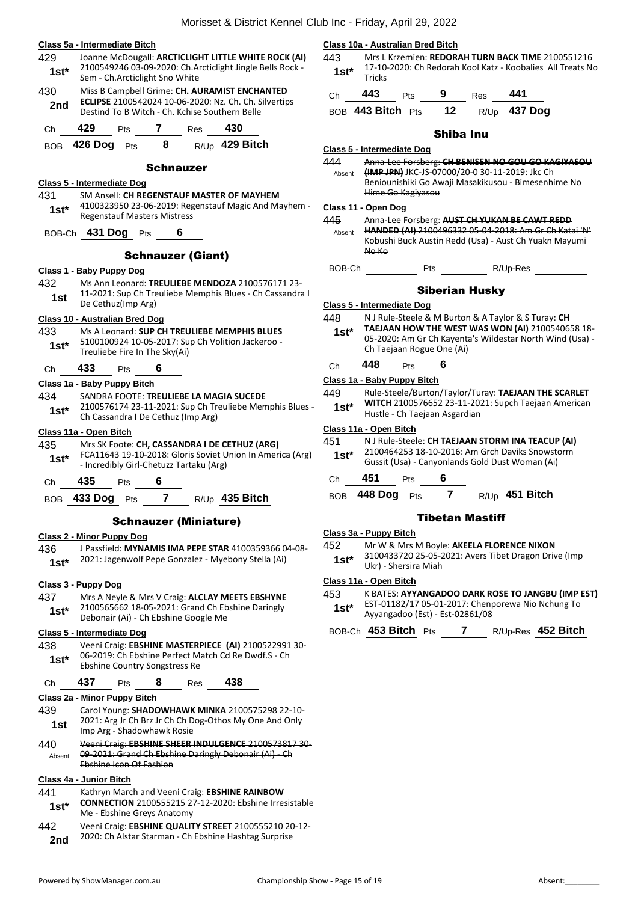|                | Class 5a - Intermediate Bitch     |                                                                                  |                  |                                         |                                                                                                                   | $\overline{\mathsf{C}}$ |
|----------------|-----------------------------------|----------------------------------------------------------------------------------|------------------|-----------------------------------------|-------------------------------------------------------------------------------------------------------------------|-------------------------|
| 429<br>$1st*$  |                                   |                                                                                  |                  |                                         | Joanne McDougall: ARCTICLIGHT LITTLE WHITE ROCK (AI)<br>2100549246 03-09-2020: Ch.Arcticlight Jingle Bells Rock - | $\overline{\mathbf{r}}$ |
| 430            |                                   | Sem - Ch. Arcticlight Sno White<br>Miss B Campbell Grime: CH. AURAMIST ENCHANTED |                  |                                         |                                                                                                                   |                         |
| 2nd            |                                   |                                                                                  |                  |                                         | ECLIPSE 2100542024 10-06-2020: Nz. Ch. Ch. Silvertips                                                             |                         |
|                |                                   |                                                                                  |                  |                                         | Destind To B Witch - Ch. Kchise Southern Belle                                                                    |                         |
| Ch             | 429                               | <b>Pts</b>                                                                       | 7                | Res                                     | 430                                                                                                               |                         |
| BOB            | 426 Dog Pts                       |                                                                                  | -8               |                                         | R/Up 429 Bitch                                                                                                    | Ω<br>Z                  |
|                |                                   |                                                                                  | <b>Schnauzer</b> |                                         |                                                                                                                   |                         |
| 431            | <u>Class 5 - Intermediate Doq</u> |                                                                                  |                  |                                         | SM Ansell: CH REGENSTAUF MASTER OF MAYHEM                                                                         |                         |
| 1st*           |                                   | <b>Regenstauf Masters Mistress</b>                                               |                  |                                         | 4100323950 23-06-2019: Regenstauf Magic And Mayhem -                                                              | C<br>4                  |
| BOB-Ch         |                                   | 431 Dog Pts                                                                      |                  | 6                                       |                                                                                                                   |                         |
|                |                                   |                                                                                  |                  | <b>Schnauzer (Giant)</b>                |                                                                                                                   |                         |
|                | <u> Class 1 - Baby Puppy Doq</u>  |                                                                                  |                  |                                         |                                                                                                                   |                         |
| 432<br>1st     |                                   | De Cethuz(Imp Arg)                                                               |                  |                                         | Ms Ann Leonard: TREULIEBE MENDOZA 2100576171 23-<br>11-2021: Sup Ch Treuliebe Memphis Blues - Ch Cassandra I      | $\overline{\mathsf{C}}$ |
|                | Class 10 - Australian Bred Dog    |                                                                                  |                  |                                         |                                                                                                                   | 4                       |
| 433            |                                   |                                                                                  |                  |                                         | Ms A Leonard: SUP CH TREULIEBE MEMPHIS BLUES                                                                      |                         |
| 1st*           |                                   | Treuliebe Fire In The Sky(Ai)                                                    |                  |                                         | 5100100924 10-05-2017: Sup Ch Volition Jackeroo -                                                                 |                         |
| Сh             | 433                               | Pts                                                                              | 6                |                                         |                                                                                                                   | $\overline{\mathsf{C}}$ |
|                | Class 1a - Baby Puppy Bitch       |                                                                                  |                  |                                         | SANDRA FOOTE: TREULIEBE LA MAGIA SUCEDE                                                                           | 4                       |
| 434<br>1st*    |                                   |                                                                                  |                  | Ch Cassandra I De Cethuz (Imp Arg)      | 2100576174 23-11-2021: Sup Ch Treuliebe Memphis Blues -                                                           |                         |
|                | Class 11a - Open Bitch            |                                                                                  |                  |                                         |                                                                                                                   | $\overline{\mathsf{C}}$ |
| 435<br>$1st*$  |                                   |                                                                                  |                  | - Incredibly Girl-Chetuzz Tartaku (Arg) | Mrs SK Foote: CH, CASSANDRA I DE CETHUZ (ARG)<br>FCA11643 19-10-2018: Gloris Soviet Union In America (Arg)        | $\overline{\mathbf{r}}$ |
| Сh             | 435                               | Pts                                                                              | 6                |                                         |                                                                                                                   |                         |
| BOB            | 433 Dog                           | Pts                                                                              | $\overline{7}$   |                                         | R/Up 435 Bitch                                                                                                    |                         |
|                |                                   |                                                                                  |                  | Schnauzer (Miniature)                   |                                                                                                                   |                         |
|                | <b>Class 2 - Minor Puppy Dog</b>  |                                                                                  |                  |                                         |                                                                                                                   | $\mathsf{C}$            |
| 436<br>1st*    |                                   |                                                                                  |                  |                                         | J Passfield: MYNAMIS IMA PEPE STAR 4100359366 04-08-<br>2021: Jagenwolf Pepe Gonzalez - Myebony Stella (Ai)       | 4                       |
|                | Class 3 - Puppy Dog               |                                                                                  |                  |                                         |                                                                                                                   | C                       |
| 437            |                                   |                                                                                  |                  |                                         | Mrs A Neyle & Mrs V Craig: ALCLAY MEETS EBSHYNE                                                                   | ۷                       |
| 1st*           |                                   |                                                                                  |                  | Debonair (Ai) - Ch Ebshine Google Me    | 2100565662 18-05-2021: Grand Ch Ebshine Daringly                                                                  |                         |
|                | <u>Class 5 - Intermediate Doq</u> |                                                                                  |                  |                                         |                                                                                                                   |                         |
| 438<br>$1st^*$ |                                   | <b>Ebshine Country Songstress Re</b>                                             |                  |                                         | Veeni Craig: EBSHINE MASTERPIECE (AI) 2100522991 30-<br>06-2019: Ch Ebshine Perfect Match Cd Re Dwdf.S - Ch       |                         |
| Сh             | 437                               | Pts                                                                              | 8                | Res                                     | 438                                                                                                               |                         |
|                | Class 2a - Minor Puppy Bitch      |                                                                                  |                  |                                         |                                                                                                                   |                         |
| 439<br>1st     |                                   | Imp Arg - Shadowhawk Rosie                                                       |                  |                                         | Carol Young: SHADOWHAWK MINKA 2100575298 22-10-<br>2021: Arg Jr Ch Brz Jr Ch Ch Dog-Othos My One And Only         |                         |
| 440            |                                   |                                                                                  |                  |                                         | Veeni Craig: EBSHINE SHEER INDULGENCE 2100573817 30-                                                              |                         |
| Absent         |                                   | Ebshine Icon Of Fashion                                                          |                  |                                         | 09-2021: Grand Ch Ebshine Daringly Debonair (Ai) - Ch                                                             |                         |
|                | <u> Class 4a - Junior Bitch</u>   |                                                                                  |                  |                                         |                                                                                                                   |                         |
| 441            |                                   |                                                                                  |                  |                                         | Kathryn March and Veeni Craig: EBSHINE RAINBOW                                                                    |                         |
| 1st*           |                                   | Me - Ebshine Greys Anatomy                                                       |                  |                                         | <b>CONNECTION</b> 2100555215 27-12-2020: Ebshine Irresistable                                                     |                         |

442 Veeni Craig: **EBSHINE QUALITY STREET** 2100555210 20-12- 2020: Ch Alstar Starman - Ch Ebshine Hashtag Surprise **2nd**

#### **Class 10a - Australian Bred Bitch**

443 Mrs L Krzemien: **REDORAH TURN BACK TIME** 2100551216 17-10-2020: Ch Redorah Kool Katz - Koobalies All Treats No 1st<sup>\*</sup> <sup>1/-10</sup><br>Tricks

| Ch | 443                     | <b>Pts</b> | - 9 | Res | 441            |
|----|-------------------------|------------|-----|-----|----------------|
|    | BOB 443 Bitch $P$ ts 12 |            |     |     | $R/Up$ 437 Dog |

## Shiba Inu

#### **Class 5 - Intermediate Dog**

| 444    | Anna-Lee Forsberg: CH BENISEN NO GOU GO KAGIYASOU |
|--------|---------------------------------------------------|
| Ahsent | (IMP JPN) JKC-JS-07000/20-0 30-11-2019: Jkc Ch    |
|        | Beniounishiki Go Awaji Masakikusou Bimesenhime No |
|        | Hime Go Kagiyasou                                 |
|        |                                                   |

#### **Class 11 - Open Dog**

#### 445 Anna-Lee Forsberg: **AUST CH YUKAN BE CAWT REDD**

- **HANDED (AI)** 2100496332 05-04-2018: Am Gr Ch Katai 'N' Kobushi Buck Austin Redd (Usa) - Aust Ch Yuakn Mayumi No Ko Absent
- BOB-Ch Pts R/Up-Res

### Siberian Husky

#### **Class 5 - Intermediate Dog**

448 N J Rule-Steele & M Burton & A Taylor & S Turay: **CH TAEJAAN HOW THE WEST WAS WON (AI)** 2100540658 18- 05-2020: Am Gr Ch Kayenta's Wildestar North Wind (Usa) - Ch Taejaan Rogue One (Ai) **1st\***

## Ch **448** Pts **6**

### **Class 1a - Baby Puppy Bitch**

| 449    | Rule-Steele/Burton/Taylor/Turay: TAEJAAN THE SCARLET       |
|--------|------------------------------------------------------------|
| $1st*$ | <b>WITCH 2100576652 23-11-2021: Supch Taejaan American</b> |
|        | Hustle - Ch Taejaan Asgardian                              |

#### **Class 11a - Open Bitch**

| 451<br>$1st*$ |     | N J Rule-Steele: CH TAEJAAN STORM INA TEACUP (AI)<br>2100464253 18-10-2016: Am Grch Daviks Snowstorm<br>Gussit (Usa) - Canyonlands Gold Dust Woman (Ai) |   |  |
|---------------|-----|---------------------------------------------------------------------------------------------------------------------------------------------------------|---|--|
| Ch            | 451 | <b>Pts</b>                                                                                                                                              | 6 |  |

## BOB **448 Dog** Pts **7** R/Up **451 Bitch**

## Tibetan Mastiff

### **Class 3a - Puppy Bitch**

| 452 | Mr W & Mrs M Boyle: AKEELA FLORENCE NIXON          |
|-----|----------------------------------------------------|
|     | 2100422720 JE OE 2021: Avers Tibet Dragon Drive (L |

3100433720 25-05-2021: Avers Tibet Dragon Drive (Imp Ukr) - Shersira Miah **1st\***

## **Class 11a - Open Bitch**

- 453 K BATES: **AYYANGADOO DARK ROSE TO JANGBU (IMP EST)**
	- EST-01182/17 05-01-2017: Chenporewa Nio Nchung To **1st**\* EST-01182/17 05-01-2017: Chenp<br>Ayyangadoo (Est) - Est-02861/08

BOB-Ch **453 Bitch** Pts **7** R/Up-Res **452 Bitch**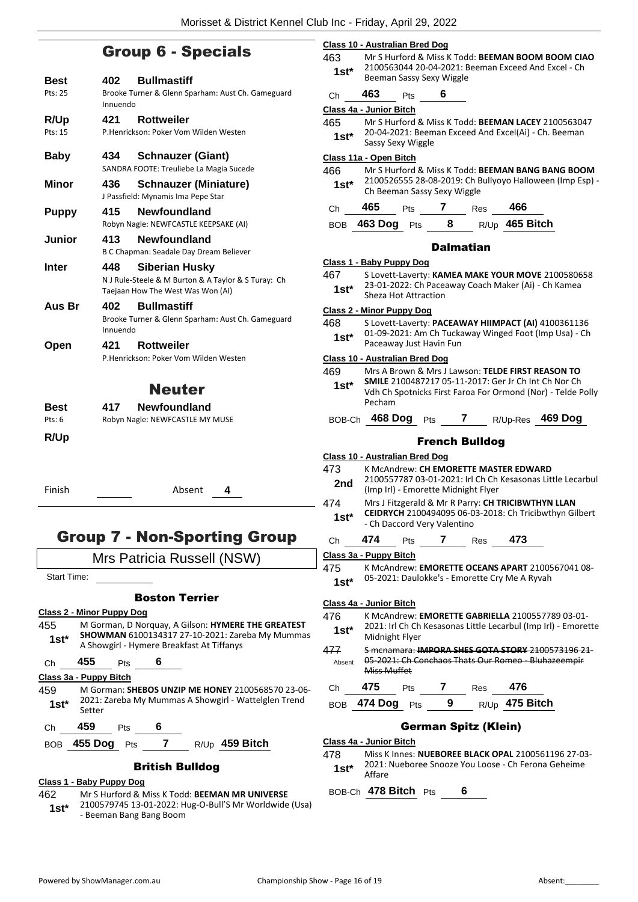## Group 6 - Specials

| Best<br>Pts: 25 | <b>Bullmastiff</b><br>402<br>Brooke Turner & Glenn Sparham: Aust Ch. Gameguard<br>Innuendo                        |
|-----------------|-------------------------------------------------------------------------------------------------------------------|
| R/Up<br>Pts: 15 | 421<br><b>Rottweiler</b><br>P.Henrickson: Poker Vom Wilden Westen                                                 |
| <b>Baby</b>     | 434<br><b>Schnauzer (Giant)</b><br>SANDRA FOOTE: Treuliebe La Magia Sucede                                        |
| <b>Minor</b>    | 436<br><b>Schnauzer (Miniature)</b><br>J Passfield: Mynamis Ima Pepe Star                                         |
| <b>Puppy</b>    | <b>Newfoundland</b><br>415<br>Robyn Nagle: NEWFCASTLE KEEPSAKE (AI)                                               |
| Junior          | <b>Newfoundland</b><br>413<br>B C Chapman: Seadale Day Dream Believer                                             |
| Inter           | 448<br>Siberian Husky<br>N J Rule-Steele & M Burton & A Taylor & S Turay: Ch<br>Taejaan How The West Was Won (AI) |
| Aus Br          | 402<br><b>Bullmastiff</b><br>Brooke Turner & Glenn Sparham: Aust Ch. Gameguard<br>Innuendo                        |
| Open            | <b>Rottweiler</b><br>421 —<br>P.Henrickson: Poker Vom Wilden Westen                                               |
|                 | <b>Neuter</b>                                                                                                     |
| Best<br>Pts: 6  | <b>Newfoundland</b><br>417<br>Robyn Nagle: NEWFCASTLE MY MUSE                                                     |
| R/Up            |                                                                                                                   |
| Finish          | Absent<br>4                                                                                                       |
|                 | Group 7 - Non-Sporting Group                                                                                      |

## Group 7 - Non-Sporting Group

Mrs Patricia Russell (NSW)

Start Time:

## Boston Terrier

#### **Class 2 - Minor Puppy Dog**

455 M Gorman, D Norquay, A Gilson: **HYMERE THE GREATEST SHOWMAN** 6100134317 27-10-2021: Zareba My Mummas A Showgirl - Hymere Breakfast At Tiffanys **1st\***

Ch **455** Pts **6**

#### **Class 3a - Puppy Bitch**

- 459 M Gorman: **SHEBOS UNZIP ME HONEY** 2100568570 23-06- 2021: Zareba My Mummas A Showgirl - Wattelglen Trend 1st\* 2021:
- Ch **459** Pts **6**

BOB **455 Dog** Pts **7** R/Up **459 Bitch**

## British Bulldog

#### **Class 1 - Baby Puppy Dog**

462 Mr S Hurford & Miss K Todd: **BEEMAN MR UNIVERSE** 2100579745 13-01-2022: Hug-O-Bull'S Mr Worldwide (Usa) - Beeman Bang Bang Boom **1st\***

|   | <b>Class 10 - Australian Bred Dog</b> |                                                                                                                         |  |  |  |
|---|---------------------------------------|-------------------------------------------------------------------------------------------------------------------------|--|--|--|
|   | 463                                   | Mr S Hurford & Miss K Todd: BEEMAN BOOM BOOM CIAO                                                                       |  |  |  |
|   | $1st*$                                | 2100563044 20-04-2021: Beeman Exceed And Excel - Ch<br>Beeman Sassy Sexy Wiggle                                         |  |  |  |
|   | Ch                                    | 463<br>6<br>Pts                                                                                                         |  |  |  |
|   |                                       | Class 4a - Junior Bitch                                                                                                 |  |  |  |
|   | 465                                   | Mr S Hurford & Miss K Todd: BEEMAN LACEY 2100563047                                                                     |  |  |  |
|   | $1st*$                                | 20-04-2021: Beeman Exceed And Excel(Ai) - Ch. Beeman<br>Sassy Sexy Wiggle                                               |  |  |  |
|   |                                       | Class 11a - Open Bitch                                                                                                  |  |  |  |
|   | 466<br>$1st^*$                        | Mr S Hurford & Miss K Todd: BEEMAN BANG BANG BOOM<br>2100526555 28-08-2019: Ch Bullyoyo Halloween (Imp Esp) -           |  |  |  |
|   | Сh                                    | Ch Beeman Sassy Sexy Wiggle<br>465<br>7<br>466<br>Pts<br><b>Res</b>                                                     |  |  |  |
|   | <b>BOB</b>                            | R/Up 465 Bitch<br>463 Dog<br>8<br><b>Pts</b>                                                                            |  |  |  |
|   |                                       | <b>Dalmatian</b>                                                                                                        |  |  |  |
|   |                                       | Class 1 - Baby Puppy Dog                                                                                                |  |  |  |
|   | 467                                   | S Lovett-Laverty: KAMEA MAKE YOUR MOVE 2100580658                                                                       |  |  |  |
|   | $1st^*$                               | 23-01-2022: Ch Paceaway Coach Maker (Ai) - Ch Kamea                                                                     |  |  |  |
|   |                                       | Sheza Hot Attraction                                                                                                    |  |  |  |
|   |                                       | <u> Class 2 - Minor Puppy Dog</u>                                                                                       |  |  |  |
|   | 468                                   | S Lovett-Laverty: PACEAWAY HIIMPACT (AI) 4100361136<br>01-09-2021: Am Ch Tuckaway Winged Foot (Imp Usa) - Ch            |  |  |  |
|   | $1st*$                                | Paceaway Just Havin Fun                                                                                                 |  |  |  |
|   |                                       | <b>Class 10 - Australian Bred Dog</b>                                                                                   |  |  |  |
|   | 469                                   | Mrs A Brown & Mrs J Lawson: TELDE FIRST REASON TO                                                                       |  |  |  |
|   | 1st*                                  | SMILE 2100487217 05-11-2017: Ger Jr Ch Int Ch Nor Ch                                                                    |  |  |  |
|   |                                       | Vdh Ch Spotnicks First Faroa For Ormond (Nor) - Telde Polly                                                             |  |  |  |
|   |                                       | Pecham                                                                                                                  |  |  |  |
|   |                                       | BOB-Ch 468 Dog Pts<br>R/Up-Res 469 Dog<br>$\mathbf{7}$                                                                  |  |  |  |
|   |                                       | <b>French Bulldog</b>                                                                                                   |  |  |  |
|   |                                       | <b>Class 10 - Australian Bred Dog</b>                                                                                   |  |  |  |
|   | 473                                   | K McAndrew: CH EMORETTE MASTER EDWARD                                                                                   |  |  |  |
|   | 2nd                                   | 2100557787 03-01-2021: Irl Ch Ch Kesasonas Little Lecarbul<br>(Imp Irl) - Emorette Midnight Flyer                       |  |  |  |
|   | 474                                   | Mrs J Fitzgerald & Mr R Parry: CH TRICIBWTHYN LLAN                                                                      |  |  |  |
|   | $1st*$                                | CEIDRYCH 2100494095 06-03-2018: Ch Tricibwthyn Gilbert<br>- Ch Daccord Very Valentino                                   |  |  |  |
|   | Ch                                    | 474<br>473<br>7<br>Pts<br>Res                                                                                           |  |  |  |
|   |                                       | Class 3a - Puppy Bitch                                                                                                  |  |  |  |
|   | 475                                   | K McAndrew: EMORETTE OCEANS APART 2100567041 08-                                                                        |  |  |  |
|   | $1st^*$                               | 05-2021: Daulokke's - Emorette Cry Me A Ryvah                                                                           |  |  |  |
|   |                                       | Class 4a - Junior Bitch                                                                                                 |  |  |  |
|   | 476                                   | K McAndrew: EMORETTE GABRIELLA 2100557789 03-01-                                                                        |  |  |  |
| S | $1st*$                                | 2021: Irl Ch Ch Kesasonas Little Lecarbul (Imp Irl) - Emorette                                                          |  |  |  |
|   |                                       | Midnight Flyer                                                                                                          |  |  |  |
|   | 477<br>Absent                         | S mcnamara: IMPORA SHES GOTA STORY 2100573196 21-<br>05-2021: Ch Conchaos Thats Our Romeo - Bluhazeempir<br>Miss Muffet |  |  |  |
|   | Ch                                    | 475<br>$\mathbf{7}$<br>476<br>Res<br><b>Pts</b>                                                                         |  |  |  |
|   | <b>BOB</b>                            | R/Up 475 Bitch<br>474 Dog<br>9<br>Pts                                                                                   |  |  |  |
|   |                                       | <b>German Spitz (Klein)</b>                                                                                             |  |  |  |
|   |                                       | Class 4a - Junior Bitch                                                                                                 |  |  |  |
|   | 478                                   | Miss K Innes: NUEBOREE BLACK OPAL 2100561196 27-03-                                                                     |  |  |  |
|   | 1st*                                  | 2021: Nueboree Snooze You Loose - Ch Ferona Geheime<br>Affare                                                           |  |  |  |

BOB-Ch **478 Bitch** Pts **6**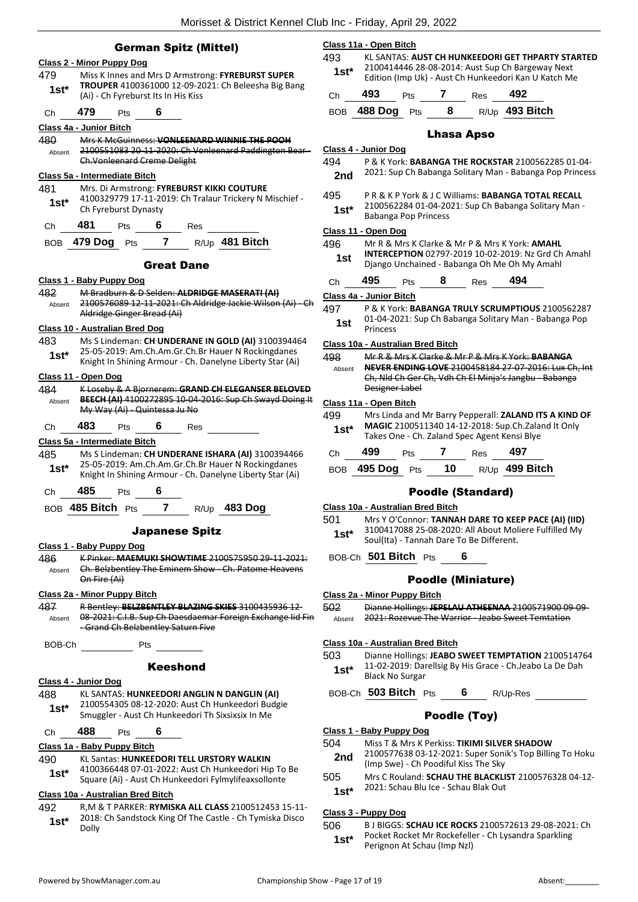|                | <b>German Spitz (Mittel)</b>                                                                                                                                         | Class 11a - Open Bitch<br>493<br>KL SANTAS: AUST CH HUNKEEDORI GET THPARTY STARTED                                                                                         |
|----------------|----------------------------------------------------------------------------------------------------------------------------------------------------------------------|----------------------------------------------------------------------------------------------------------------------------------------------------------------------------|
| 479            | <b>Class 2 - Minor Puppy Dog</b><br>Miss K Innes and Mrs D Armstrong: FYREBURST SUPER                                                                                | 2100414446 28-08-2014: Aust Sup Ch Bargeway Next<br>$1st^*$<br>Edition (Imp Uk) - Aust Ch Hunkeedori Kan U Katch Me                                                        |
| $1st*$         | TROUPER 4100361000 12-09-2021: Ch Beleesha Big Bang<br>(Ai) - Ch Fyreburst Its In His Kiss                                                                           | 493<br>7<br>492<br>Pts<br><b>Res</b><br>Ch                                                                                                                                 |
| Ch             | 479<br>6<br>Pts                                                                                                                                                      | 8<br>488 Dog Pts<br>R/Up 493 Bitch<br><b>BOB</b>                                                                                                                           |
|                |                                                                                                                                                                      |                                                                                                                                                                            |
|                | Class 4a - Junior Bitch<br>Mrs K McGuinness: VONLEENARD WINNIE THE POOH                                                                                              | <b>Lhasa Apso</b>                                                                                                                                                          |
| 480<br>Absent  | 2100551083 20 11 2020: Ch Vonleenard Paddington Bear-<br><b>Ch. Vonleenard Creme Delight</b>                                                                         | <b>Class 4 - Junior Dog</b><br>494<br>P & K York: BABANGA THE ROCKSTAR 2100562285 01-04-                                                                                   |
|                | Class 5a - Intermediate Bitch                                                                                                                                        | 2021: Sup Ch Babanga Solitary Man - Babanga Pop Princess<br>2nd                                                                                                            |
| 481<br>$1st*$  | Mrs. Di Armstrong: FYREBURST KIKKI COUTURE<br>4100329779 17-11-2019: Ch Tralaur Trickery N Mischief -<br>Ch Fyreburst Dynasty                                        | 495<br>PR&KPYork&JCWilliams: BABANGA TOTAL RECALL<br>2100562284 01-04-2021: Sup Ch Babanga Solitary Man -<br>$1st*$<br>Babanga Pop Princess                                |
| Ch             | 481<br>6<br>Pts<br>Res                                                                                                                                               | Class 11 - Open Dog                                                                                                                                                        |
| <b>BOB</b>     | R/Up 481 Bitch<br>479 Dog Pts<br>$\mathbf{7}$                                                                                                                        | 496<br>Mr R & Mrs K Clarke & Mr P & Mrs K York: AMAHL<br>INTERCEPTION 02797-2019 10-02-2019: Nz Grd Ch Amahl<br>1st                                                        |
|                | <b>Great Dane</b>                                                                                                                                                    | Django Unchained - Babanga Oh Me Oh My Amahl                                                                                                                               |
|                | Class 1 - Baby Puppy Dog                                                                                                                                             | 495<br>494<br>8<br>Ch<br>Pts<br><b>Res</b>                                                                                                                                 |
| 482            | M Bradburn & D Selden: ALDRIDGE MASERATI (AI)                                                                                                                        | Class 4a - Junior Bitch                                                                                                                                                    |
| Absent         | 2100576089 12 11 2021: Ch Aldridge Jackie Wilson (Ai)                                                                                                                | 497<br>P & K York: BABANGA TRULY SCRUMPTIOUS 2100562287                                                                                                                    |
|                | Aldridge Ginger Bread (Ai)<br>Class 10 - Australian Bred Dog                                                                                                         | 01-04-2021: Sup Ch Babanga Solitary Man - Babanga Pop<br>1st<br>Princess                                                                                                   |
| 483            | Ms S Lindeman: CH UNDERANE IN GOLD (AI) 3100394464                                                                                                                   | Class 10a - Australian Bred Bitch                                                                                                                                          |
| $1st^*$        | 25-05-2019: Am.Ch.Am.Gr.Ch.Br Hauer N Rockingdanes<br>Knight In Shining Armour - Ch. Danelyne Liberty Star (Ai)                                                      | 498<br>Mr R & Mrs K Clarke & Mr P & Mrs K York: BABANGA<br>NEVER ENDING LOVE 2100458184 27-07-2016: Lux Ch. Int<br>Absent                                                  |
|                | Class 11 - Open Dog                                                                                                                                                  | Ch, Nld Ch Ger Ch, Vdh Ch El Minja's Jangbu - Babanga<br>Designer Label                                                                                                    |
| 484<br>Absent  | K Loseby & A Bjornerem: GRAND CH ELEGANSER BELOVED<br>BEECH (AI) 4100272895 10 04 2016: Sup Ch Swayd Doing It                                                        |                                                                                                                                                                            |
|                | My Way (Ai) - Quintessa Ju No                                                                                                                                        | Class 11a - Open Bitch<br>499                                                                                                                                              |
| Ch             | 483<br>6<br>Pts<br>Res                                                                                                                                               | Mrs Linda and Mr Barry Pepperall: ZALAND ITS A KIND OF<br>MAGIC 2100511340 14-12-2018: Sup.Ch.Zaland It Only<br>$1st*$<br>Takes One - Ch. Zaland Spec Agent Kensi Blye     |
|                | Class 5a - Intermediate Bitch                                                                                                                                        | 499<br>7<br>497<br>Pts<br><b>Res</b><br>Ch                                                                                                                                 |
| 485<br>$1st^*$ | Ms S Lindeman: CH UNDERANE ISHARA (AI) 3100394466<br>25-05-2019: Am.Ch.Am.Gr.Ch.Br Hauer N Rockingdanes<br>Knight In Shining Armour - Ch. Danelyne Liberty Star (Ai) | 495 Dog Pts<br>10<br>R/Up 499 Bitch<br>BOB                                                                                                                                 |
| Ch             | 485<br>6<br>Pts                                                                                                                                                      | <b>Poodle (Standard)</b>                                                                                                                                                   |
| <b>BOB</b>     | 485 Bitch Pts<br><b>483 Dog</b><br>R/Up                                                                                                                              | Class 10a - Australian Bred Bitch                                                                                                                                          |
|                | <b>Japanese Spitz</b><br>Class 1 - Baby Puppy Dog                                                                                                                    | 501<br>Mrs Y O'Connor: TANNAH DARE TO KEEP PACE (AI) (IID)<br>3100417088 25-08-2020: All About Moliere Fulfilled My<br>$1st^*$<br>Soul(Ita) - Tannah Dare To Be Different. |
| 486            | K Pinker: MAEMUKI SHOWTIME 2100575950 29-11-2021:                                                                                                                    | BOB-Ch 501 Bitch Pts<br>6                                                                                                                                                  |
| Absent         | Ch. Belzbentley The Eminem Show - Ch. Patome Heavens<br>On Fire (Ai)                                                                                                 | <b>Poodle (Miniature)</b>                                                                                                                                                  |
|                | Class 2a - Minor Puppy Bitch                                                                                                                                         | Class 2a - Minor Puppy Bitch                                                                                                                                               |
| 487<br>Absent  | R Bentley: BELZBENTLEY BLAZING SKIES 3100435936 12<br>08-2021: C.I.B. Sup Ch Daesdaemar Foreign Exchange lid Fin<br>-Grand Ch Belzbentley Saturn Five                | 502<br>Dianne Hollings: JEPELAU ATHEENAA 2100571900 09-09-<br>2021: Rozevue The Warrior Jeabo Sweet Temtation<br>Absent                                                    |
|                | BOB-Ch Pts                                                                                                                                                           | Class 10a - Australian Bred Bitch<br>503<br>Dianne Hollings: JEABO SWEET TEMPTATION 2100514764                                                                             |
|                | <b>Keeshond</b><br>Class 4 - Junior Dog                                                                                                                              | 11-02-2019: Darellsig By His Grace - Ch.Jeabo La De Dah<br>$1st^*$<br><b>Black No Surgar</b>                                                                               |
| 488            | KL SANTAS: HUNKEEDORI ANGLIN N DANGLIN (AI)                                                                                                                          | BOB-Ch 503 Bitch Pts 6 R/Up-Res                                                                                                                                            |
| $1st^*$        | 2100554305 08-12-2020: Aust Ch Hunkeedori Budgie<br>Smuggler - Aust Ch Hunkeedori Th Sixsixsix In Me                                                                 | Poodle (Toy)                                                                                                                                                               |
| Ch             | 488<br>6<br>Pts                                                                                                                                                      | Class 1 - Baby Puppy Dog                                                                                                                                                   |
|                | Class 1a - Baby Puppy Bitch                                                                                                                                          | Miss T & Mrs K Perkiss: TIKIMI SILVER SHADOW<br>504                                                                                                                        |
| 490            | <b>KL Santas: HUNKEEDORI TELL URSTORY WALKIN</b>                                                                                                                     | 2100577638 03-12-2021: Super Sonik's Top Billing To Hoku<br>2nd                                                                                                            |
| $1st^*$        | 4100366448 07-01-2022: Aust Ch Hunkeedori Hip To Be<br>Square (Ai) - Aust Ch Hunkeedori Fylmylifeaxsollonte                                                          | (Imp Swe) - Ch Poodiful Kiss The Sky<br>505<br>Mrs C Rouland: SCHAU THE BLACKLIST 2100576328 04-12-                                                                        |
|                | Class 10a - Australian Bred Bitch                                                                                                                                    | 2021: Schau Blu Ice - Schau Blak Out<br>$1st*$                                                                                                                             |
| 492            | R, M & T PARKER: RYMISKA ALL CLASS 2100512453 15-11-<br>2018: Ch Sandstock King Of The Castle - Ch Tymiska Disco                                                     | Class 3 - Puppy Dog                                                                                                                                                        |
| $1st^*$        | Dolly                                                                                                                                                                | 506<br>B J BIGGS: SCHAU ICE ROCKS 2100572613 29-08-2021: Ch                                                                                                                |

Pocket Rocket Mr Rockefeller - Ch Lysandra Sparkling

Perignon At Schau (Imp Nzl) **1st\***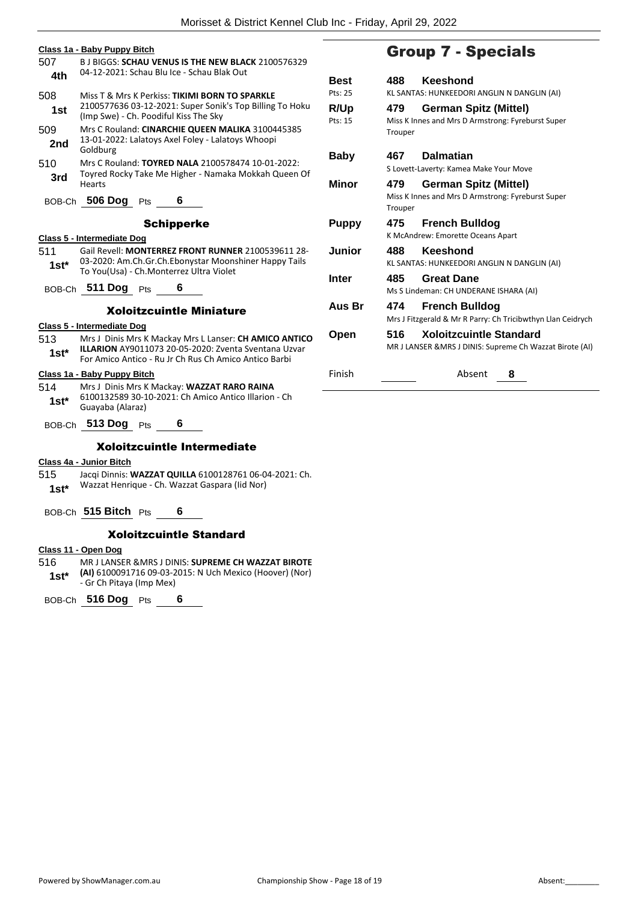|         | Class 1a - Baby Puppy Bitch                                                                                   |           |
|---------|---------------------------------------------------------------------------------------------------------------|-----------|
| 507     | <b>B.J BIGGS: SCHAU VENUS IS THE NEW BLACK 2100576329</b>                                                     |           |
| 4th     | 04-12-2021: Schau Blu Ice - Schau Blak Out                                                                    | В١        |
|         |                                                                                                               | Pt:       |
| 508     | Miss T & Mrs K Perkiss: TIKIMI BORN TO SPARKLE<br>2100577636 03-12-2021: Super Sonik's Top Billing To Hoku    |           |
| 1st     | (Imp Swe) - Ch. Poodiful Kiss The Sky                                                                         | R,<br>Pt: |
| 509     | Mrs C Rouland: CINARCHIE QUEEN MALIKA 3100445385                                                              |           |
| 2nd     | 13-01-2022: Lalatoys Axel Foley - Lalatoys Whoopi<br>Goldburg                                                 | В         |
| 510     | Mrs C Rouland: TOYRED NALA 2100578474 10-01-2022:                                                             |           |
| 3rd     | Toyred Rocky Take Me Higher - Namaka Mokkah Queen Of<br>Hearts                                                | М         |
|         | BOB-Ch 506 Dog Pts<br>6                                                                                       |           |
|         | <b>Schipperke</b>                                                                                             | Ρı        |
|         | Class 5 - Intermediate Dog                                                                                    |           |
| 511     | Gail Revell: MONTERREZ FRONT RUNNER 2100539611 28-                                                            | Jι        |
| $1st^*$ | 03-2020: Am.Ch.Gr.Ch.Ebonystar Moonshiner Happy Tails<br>To You(Usa) - Ch.Monterrez Ultra Violet              |           |
|         |                                                                                                               | In        |
|         | BOB-Ch 511 Dog Pts<br>6                                                                                       |           |
|         | <b>Xoloitzcuintle Miniature</b>                                                                               | A         |
|         | Class 5 - Intermediate Dog                                                                                    |           |
| 513     | Mrs J Dinis Mrs K Mackay Mrs L Lanser: CH AMICO ANTICO                                                        | O         |
| $1st^*$ | ILLARION AY9011073 20-05-2020: Zventa Sventana Uzvar<br>For Amico Antico - Ru Jr Ch Rus Ch Amico Antico Barbi |           |
|         |                                                                                                               |           |
|         | Class 1a - Baby Puppy Bitch                                                                                   | Fir       |
| 514     | Mrs J Dinis Mrs K Mackay: WAZZAT RARO RAINA<br>6100132589 30-10-2021: Ch Amico Antico Illarion - Ch           |           |
| $1st^*$ | Guayaba (Alaraz)                                                                                              |           |
|         | BOB-Ch 513 Dog Pts<br>6                                                                                       |           |

## Xoloitzcuintle Intermediate

## **Class 4a - Junior Bitch**

515 Jacqi Dinnis: **WAZZAT QUILLA** 6100128761 06-04-2021: Ch. Wazzat Henrique - Ch. Wazzat Gaspara (Iid Nor) **1st\***

BOB-Ch **515 Bitch** Pts **6**

## Xoloitzcuintle Standard

#### **Class 11 - Open Dog**

516 MR J LANSER &MRS J DINIS: **SUPREME CH WAZZAT BIROTE (AI)** 6100091716 09-03-2015: N Uch Mexico (Hoover) (Nor) - Gr Ch Pitaya (Imp Mex) **1st\***

BOB-Ch **516 Dog** Pts **6**

## Group 7 - Specials

| <b>Best</b>     | 488            | Keeshond                                                                                   |
|-----------------|----------------|--------------------------------------------------------------------------------------------|
| Pts: 25         |                | KL SANTAS: HUNKEEDORI ANGLIN N DANGLIN (AI)                                                |
| R/Up<br>Pts: 15 | 479<br>Trouper | German Spitz (Mittel)<br>Miss K Innes and Mrs D Armstrong: Fyreburst Super                 |
| Baby            | 467            | <b>Dalmatian</b>                                                                           |
|                 |                | S Lovett-Laverty: Kamea Make Your Move                                                     |
| Minor           | 479<br>Trouper | German Spitz (Mittel)<br>Miss K Innes and Mrs D Armstrong: Fyreburst Super                 |
| <b>Puppy</b>    | 475            | <b>French Bulldog</b><br>K McAndrew: Emorette Oceans Apart                                 |
| Junior          | 488            | Keeshond<br>KL SANTAS: HUNKEEDORI ANGLIN N DANGLIN (AI)                                    |
| Inter           | 485            | <b>Great Dane</b><br>Ms S Lindeman: CH UNDERANE ISHARA (AI)                                |
| Aus Br          | 474            | <b>French Bulldog</b><br>Mrs J Fitzgerald & Mr R Parry: Ch Tricibwthyn Llan Ceidrych       |
| Open            | 516            | <b>Xoloitzcuintle Standard</b><br>MR J LANSER & MRS J DINIS: Supreme Ch Wazzat Birote (AI) |
| Finish          |                | Absent<br>8                                                                                |